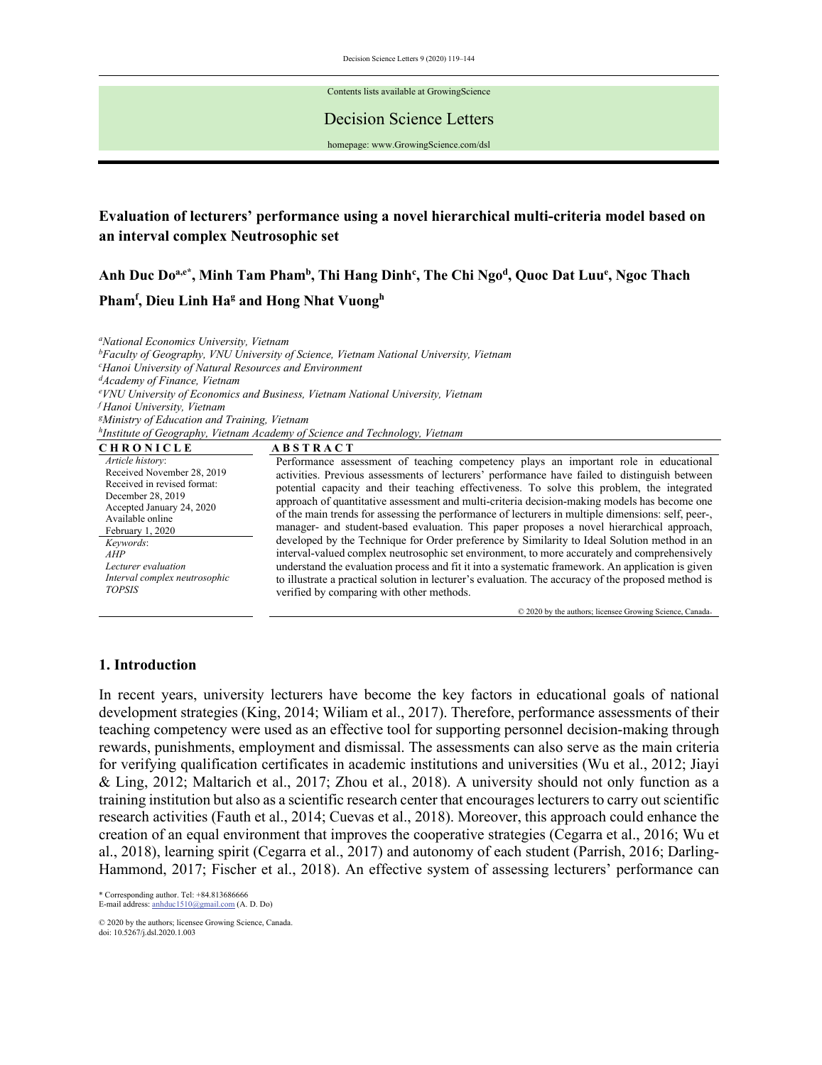Decision Science Letters 9 (2020) 119–144

Contents lists available at GrowingScience

#### Decision Science Letters

homepage: www.GrowingScience.com/dsl

# **Evaluation of lecturers' performance using a novel hierarchical multi-criteria model based on an interval complex Neutrosophic set**

Anh Duc Do<sup>a,e\*</sup>, Minh Tam Pham<sup>b</sup>, Thi Hang Dinh<sup>c</sup>, The Chi Ngo<sup>d</sup>, Quoc Dat Luu<sup>e</sup>, Ngoc Thach Pham<sup>f</sup>, Dieu Linh Ha<sup>g</sup> and Hong Nhat Vuongh

*a National Economics University, Vietnam bFaculty of Geography, VNU University of Science, Vietnam National University, Vietnam c Hanoi University of Natural Resources and Environment d Academy of Finance, Vietnam e VNU University of Economics and Business, Vietnam National University, Vietnam <sup>f</sup> Hanoi University, Vietnam gMinistry of Education and Training, Vietnam h Institute of Geography, Vietnam Academy of Science and Technology, Vietnam* 

| <b>CHRONICLE</b>              | <b>ABSTRACT</b>                                                                                     |
|-------------------------------|-----------------------------------------------------------------------------------------------------|
| Article history:              | Performance assessment of teaching competency plays an important role in educational                |
| Received November 28, 2019    | activities. Previous assessments of lecturers' performance have failed to distinguish between       |
| Received in revised format:   | potential capacity and their teaching effectiveness. To solve this problem, the integrated          |
| December 28, 2019             | approach of quantitative assessment and multi-criteria decision-making models has become one        |
| Accepted January 24, 2020     | of the main trends for assessing the performance of lecturers in multiple dimensions: self, peer-,  |
| Available online              | manager- and student-based evaluation. This paper proposes a novel hierarchical approach,           |
| February 1, 2020              | developed by the Technique for Order preference by Similarity to Ideal Solution method in an        |
| Keywords:<br>AHP              | interval-valued complex neutrosophic set environment, to more accurately and comprehensively        |
| Lecturer evaluation           | understand the evaluation process and fit it into a systematic framework. An application is given   |
| Interval complex neutrosophic | to illustrate a practical solution in lecturer's evaluation. The accuracy of the proposed method is |
| <b>TOPSIS</b>                 |                                                                                                     |
|                               | verified by comparing with other methods.                                                           |
|                               | © 2020 by the authors; licensee Growing Science, Canada-                                            |

## **1. Introduction**

In recent years, university lecturers have become the key factors in educational goals of national development strategies (King, 2014; Wiliam et al., 2017). Therefore, performance assessments of their teaching competency were used as an effective tool for supporting personnel decision-making through rewards, punishments, employment and dismissal. The assessments can also serve as the main criteria for verifying qualification certificates in academic institutions and universities (Wu et al., 2012; Jiayi & Ling, 2012; Maltarich et al., 2017; Zhou et al., 2018). A university should not only function as a training institution but also as a scientific research center that encourages lecturers to carry out scientific research activities (Fauth et al., 2014; Cuevas et al., 2018). Moreover, this approach could enhance the creation of an equal environment that improves the cooperative strategies (Cegarra et al., 2016; Wu et al., 2018), learning spirit (Cegarra et al., 2017) and autonomy of each student (Parrish, 2016; Darling-Hammond, 2017; Fischer et al., 2018). An effective system of assessing lecturers' performance can

\* Corresponding author. Tel: +84.813686666 E-mail address: anhduc1510@gmail.com (A. D. Do)

© 2020 by the authors; licensee Growing Science, Canada. doi: 10.5267/j.dsl.2020.1.003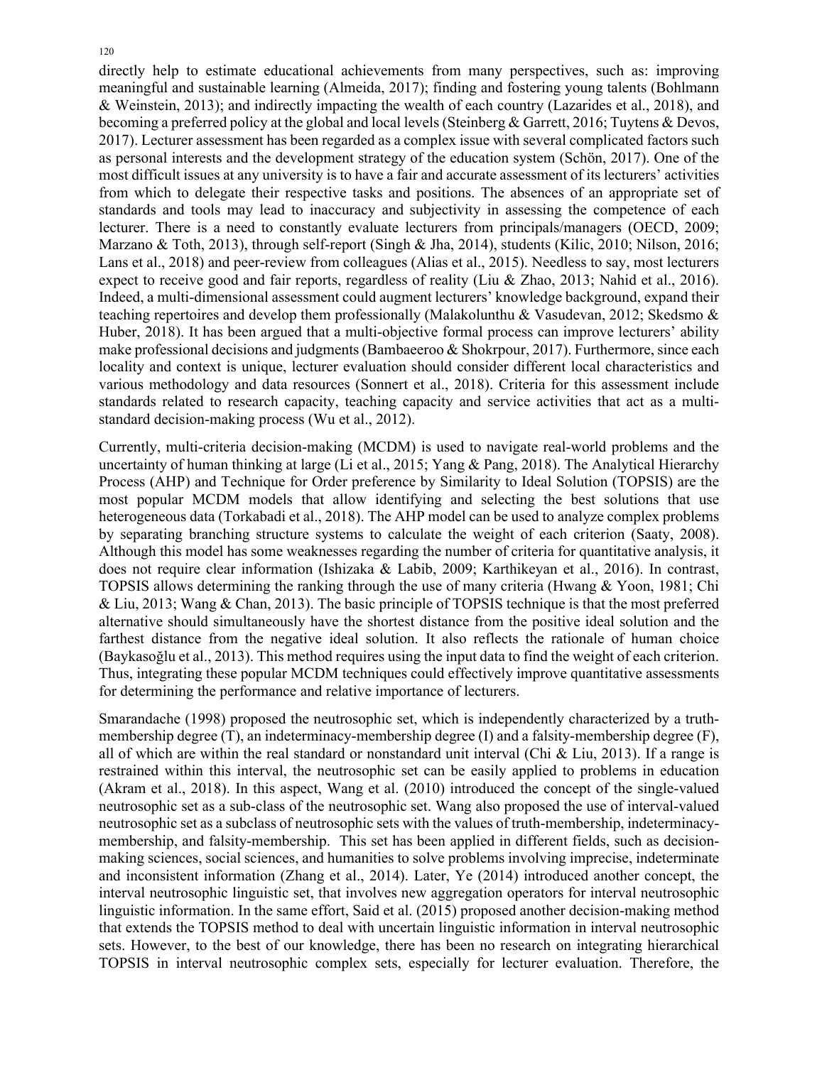directly help to estimate educational achievements from many perspectives, such as: improving meaningful and sustainable learning (Almeida, 2017); finding and fostering young talents (Bohlmann & Weinstein, 2013); and indirectly impacting the wealth of each country (Lazarides et al., 2018), and becoming a preferred policy at the global and local levels (Steinberg & Garrett, 2016; Tuytens & Devos, 2017). Lecturer assessment has been regarded as a complex issue with several complicated factors such as personal interests and the development strategy of the education system (Schön, 2017). One of the most difficult issues at any university is to have a fair and accurate assessment of its lecturers' activities from which to delegate their respective tasks and positions. The absences of an appropriate set of standards and tools may lead to inaccuracy and subjectivity in assessing the competence of each lecturer. There is a need to constantly evaluate lecturers from principals/managers (OECD, 2009; Marzano & Toth, 2013), through self-report (Singh & Jha, 2014), students (Kilic, 2010; Nilson, 2016; Lans et al., 2018) and peer-review from colleagues (Alias et al., 2015). Needless to say, most lecturers expect to receive good and fair reports, regardless of reality (Liu & Zhao, 2013; Nahid et al., 2016). Indeed, a multi-dimensional assessment could augment lecturers' knowledge background, expand their teaching repertoires and develop them professionally (Malakolunthu & Vasudevan, 2012; Skedsmo & Huber, 2018). It has been argued that a multi-objective formal process can improve lecturers' ability make professional decisions and judgments (Bambaeeroo & Shokrpour, 2017). Furthermore, since each locality and context is unique, lecturer evaluation should consider different local characteristics and various methodology and data resources (Sonnert et al., 2018). Criteria for this assessment include standards related to research capacity, teaching capacity and service activities that act as a multistandard decision-making process (Wu et al., 2012).

Currently, multi-criteria decision-making (MCDM) is used to navigate real-world problems and the uncertainty of human thinking at large (Li et al., 2015; Yang & Pang, 2018). The Analytical Hierarchy Process (AHP) and Technique for Order preference by Similarity to Ideal Solution (TOPSIS) are the most popular MCDM models that allow identifying and selecting the best solutions that use heterogeneous data (Torkabadi et al., 2018). The AHP model can be used to analyze complex problems by separating branching structure systems to calculate the weight of each criterion (Saaty, 2008). Although this model has some weaknesses regarding the number of criteria for quantitative analysis, it does not require clear information (Ishizaka & Labib, 2009; Karthikeyan et al., 2016). In contrast, TOPSIS allows determining the ranking through the use of many criteria (Hwang & Yoon, 1981; Chi & Liu, 2013; Wang & Chan, 2013). The basic principle of TOPSIS technique is that the most preferred alternative should simultaneously have the shortest distance from the positive ideal solution and the farthest distance from the negative ideal solution. It also reflects the rationale of human choice (Baykasoğlu et al., 2013). This method requires using the input data to find the weight of each criterion. Thus, integrating these popular MCDM techniques could effectively improve quantitative assessments for determining the performance and relative importance of lecturers.

Smarandache (1998) proposed the neutrosophic set, which is independently characterized by a truthmembership degree (T), an indeterminacy-membership degree (I) and a falsity-membership degree (F), all of which are within the real standard or nonstandard unit interval (Chi & Liu, 2013). If a range is restrained within this interval, the neutrosophic set can be easily applied to problems in education (Akram et al., 2018). In this aspect, Wang et al. (2010) introduced the concept of the single-valued neutrosophic set as a sub-class of the neutrosophic set. Wang also proposed the use of interval-valued neutrosophic set as a subclass of neutrosophic sets with the values of truth-membership, indeterminacymembership, and falsity-membership. This set has been applied in different fields, such as decisionmaking sciences, social sciences, and humanities to solve problems involving imprecise, indeterminate and inconsistent information (Zhang et al., 2014). Later, Ye (2014) introduced another concept, the interval neutrosophic linguistic set, that involves new aggregation operators for interval neutrosophic linguistic information. In the same effort, Said et al. (2015) proposed another decision-making method that extends the TOPSIS method to deal with uncertain linguistic information in interval neutrosophic sets. However, to the best of our knowledge, there has been no research on integrating hierarchical TOPSIS in interval neutrosophic complex sets, especially for lecturer evaluation. Therefore, the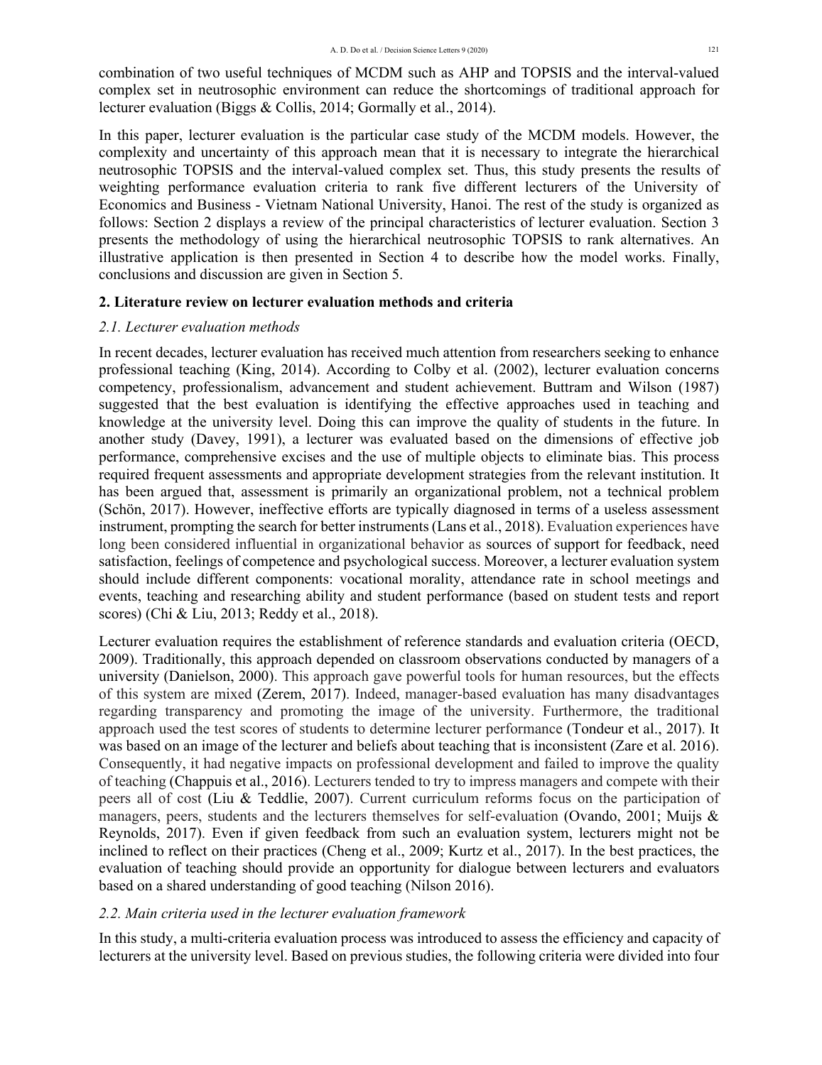combination of two useful techniques of MCDM such as AHP and TOPSIS and the interval-valued complex set in neutrosophic environment can reduce the shortcomings of traditional approach for lecturer evaluation (Biggs & Collis, 2014; Gormally et al., 2014).

In this paper, lecturer evaluation is the particular case study of the MCDM models. However, the complexity and uncertainty of this approach mean that it is necessary to integrate the hierarchical neutrosophic TOPSIS and the interval-valued complex set. Thus, this study presents the results of weighting performance evaluation criteria to rank five different lecturers of the University of Economics and Business - Vietnam National University, Hanoi. The rest of the study is organized as follows: Section 2 displays a review of the principal characteristics of lecturer evaluation. Section 3 presents the methodology of using the hierarchical neutrosophic TOPSIS to rank alternatives. An illustrative application is then presented in Section 4 to describe how the model works. Finally, conclusions and discussion are given in Section 5.

## **2. Literature review on lecturer evaluation methods and criteria**

## *2.1. Lecturer evaluation methods*

In recent decades, lecturer evaluation has received much attention from researchers seeking to enhance professional teaching (King, 2014). According to Colby et al. (2002), lecturer evaluation concerns competency, professionalism, advancement and student achievement. Buttram and Wilson (1987) suggested that the best evaluation is identifying the effective approaches used in teaching and knowledge at the university level. Doing this can improve the quality of students in the future. In another study (Davey, 1991), a lecturer was evaluated based on the dimensions of effective job performance, comprehensive excises and the use of multiple objects to eliminate bias. This process required frequent assessments and appropriate development strategies from the relevant institution. It has been argued that, assessment is primarily an organizational problem, not a technical problem (Schön, 2017). However, ineffective efforts are typically diagnosed in terms of a useless assessment instrument, prompting the search for better instruments (Lans et al., 2018). Evaluation experiences have long been considered influential in organizational behavior as sources of support for feedback, need satisfaction, feelings of competence and psychological success. Moreover, a lecturer evaluation system should include different components: vocational morality, attendance rate in school meetings and events, teaching and researching ability and student performance (based on student tests and report scores) (Chi & Liu, 2013; Reddy et al., 2018).

Lecturer evaluation requires the establishment of reference standards and evaluation criteria (OECD, 2009). Traditionally, this approach depended on classroom observations conducted by managers of a university (Danielson, 2000). This approach gave powerful tools for human resources, but the effects of this system are mixed (Zerem, 2017). Indeed, manager-based evaluation has many disadvantages regarding transparency and promoting the image of the university. Furthermore, the traditional approach used the test scores of students to determine lecturer performance (Tondeur et al., 2017). It was based on an image of the lecturer and beliefs about teaching that is inconsistent (Zare et al. 2016). Consequently, it had negative impacts on professional development and failed to improve the quality of teaching (Chappuis et al., 2016). Lecturers tended to try to impress managers and compete with their peers all of cost (Liu & Teddlie, 2007). Current curriculum reforms focus on the participation of managers, peers, students and the lecturers themselves for self-evaluation (Ovando, 2001; Muijs & Reynolds, 2017). Even if given feedback from such an evaluation system, lecturers might not be inclined to reflect on their practices (Cheng et al., 2009; Kurtz et al., 2017). In the best practices, the evaluation of teaching should provide an opportunity for dialogue between lecturers and evaluators based on a shared understanding of good teaching (Nilson 2016).

# *2.2. Main criteria used in the lecturer evaluation framework*

In this study, a multi-criteria evaluation process was introduced to assess the efficiency and capacity of lecturers at the university level. Based on previous studies, the following criteria were divided into four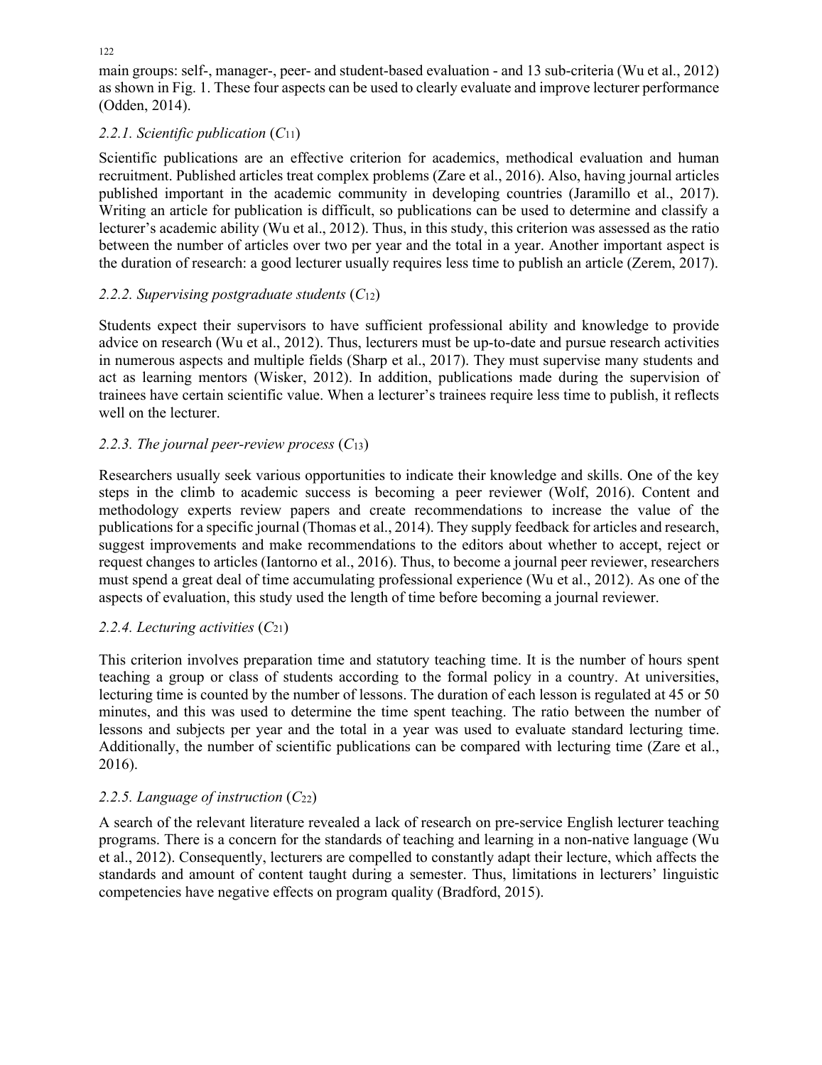main groups: self-, manager-, peer- and student-based evaluation - and 13 sub-criteria (Wu et al., 2012) as shown in Fig. 1. These four aspects can be used to clearly evaluate and improve lecturer performance (Odden, 2014).

# *2.2.1. Scientific publication* (*C*11)

Scientific publications are an effective criterion for academics, methodical evaluation and human recruitment. Published articles treat complex problems (Zare et al., 2016). Also, having journal articles published important in the academic community in developing countries (Jaramillo et al., 2017). Writing an article for publication is difficult, so publications can be used to determine and classify a lecturer's academic ability (Wu et al., 2012). Thus, in this study, this criterion was assessed as the ratio between the number of articles over two per year and the total in a year. Another important aspect is the duration of research: a good lecturer usually requires less time to publish an article (Zerem, 2017).

# *2.2.2. Supervising postgraduate students* (*C*12)

Students expect their supervisors to have sufficient professional ability and knowledge to provide advice on research (Wu et al., 2012). Thus, lecturers must be up-to-date and pursue research activities in numerous aspects and multiple fields (Sharp et al., 2017). They must supervise many students and act as learning mentors (Wisker, 2012). In addition, publications made during the supervision of trainees have certain scientific value. When a lecturer's trainees require less time to publish, it reflects well on the lecturer.

# *2.2.3. The journal peer-review process* (*C*13)

Researchers usually seek various opportunities to indicate their knowledge and skills. One of the key steps in the climb to academic success is becoming a peer reviewer (Wolf, 2016). Content and methodology experts review papers and create recommendations to increase the value of the publications for a specific journal (Thomas et al., 2014). They supply feedback for articles and research, suggest improvements and make recommendations to the editors about whether to accept, reject or request changes to articles (Iantorno et al., 2016). Thus, to become a journal peer reviewer, researchers must spend a great deal of time accumulating professional experience (Wu et al., 2012). As one of the aspects of evaluation, this study used the length of time before becoming a journal reviewer.

# *2.2.4. Lecturing activities* (*C*21)

This criterion involves preparation time and statutory teaching time. It is the number of hours spent teaching a group or class of students according to the formal policy in a country. At universities, lecturing time is counted by the number of lessons. The duration of each lesson is regulated at 45 or 50 minutes, and this was used to determine the time spent teaching. The ratio between the number of lessons and subjects per year and the total in a year was used to evaluate standard lecturing time. Additionally, the number of scientific publications can be compared with lecturing time (Zare et al., 2016).

# *2.2.5. Language of instruction* (*C*22)

A search of the relevant literature revealed a lack of research on pre-service English lecturer teaching programs. There is a concern for the standards of teaching and learning in a non-native language (Wu et al., 2012). Consequently, lecturers are compelled to constantly adapt their lecture, which affects the standards and amount of content taught during a semester. Thus, limitations in lecturers' linguistic competencies have negative effects on program quality (Bradford, 2015).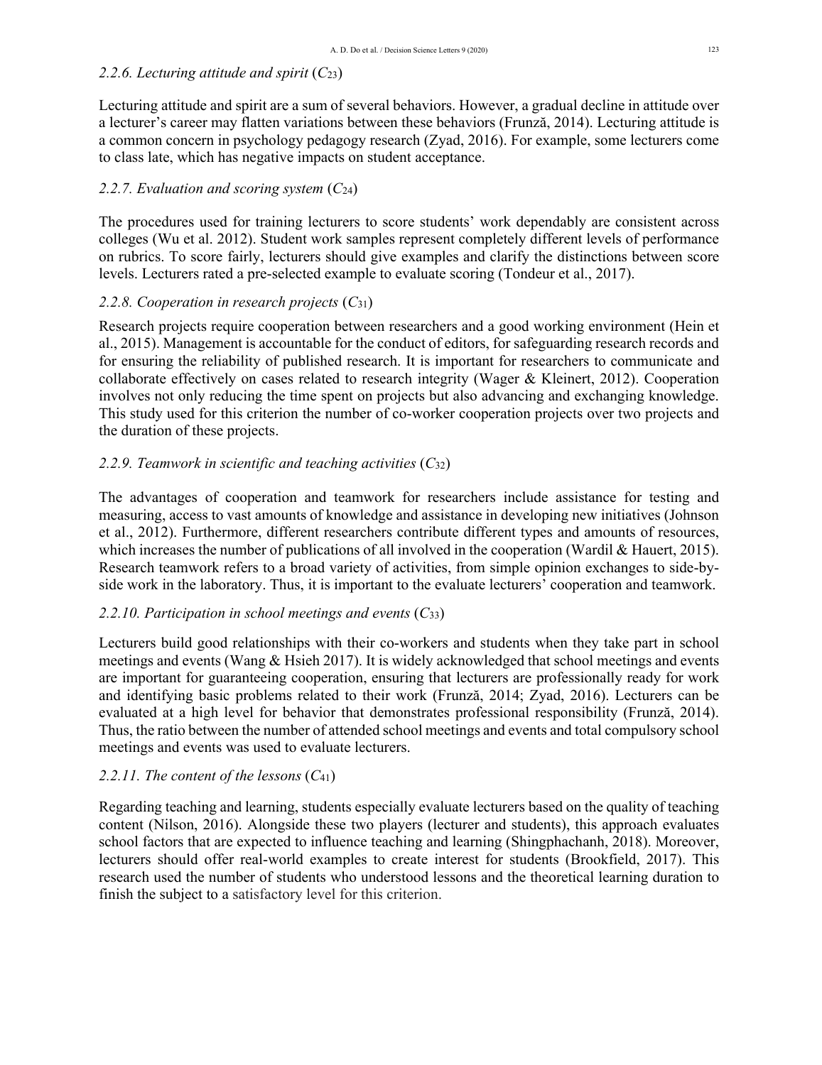# *2.2.6. Lecturing attitude and spirit* (*C*23)

Lecturing attitude and spirit are a sum of several behaviors. However, a gradual decline in attitude over a lecturer's career may flatten variations between these behaviors (Frunză, 2014). Lecturing attitude is a common concern in psychology pedagogy research (Zyad, 2016). For example, some lecturers come to class late, which has negative impacts on student acceptance.

# *2.2.7. Evaluation and scoring system* (*C*24)

The procedures used for training lecturers to score students' work dependably are consistent across colleges (Wu et al. 2012). Student work samples represent completely different levels of performance on rubrics. To score fairly, lecturers should give examples and clarify the distinctions between score levels. Lecturers rated a pre-selected example to evaluate scoring (Tondeur et al., 2017).

## *2.2.8. Cooperation in research projects* (*C*31)

Research projects require cooperation between researchers and a good working environment (Hein et al., 2015). Management is accountable for the conduct of editors, for safeguarding research records and for ensuring the reliability of published research. It is important for researchers to communicate and collaborate effectively on cases related to research integrity (Wager & Kleinert, 2012). Cooperation involves not only reducing the time spent on projects but also advancing and exchanging knowledge. This study used for this criterion the number of co-worker cooperation projects over two projects and the duration of these projects.

## *2.2.9. Teamwork in scientific and teaching activities* (*C*32)

The advantages of cooperation and teamwork for researchers include assistance for testing and measuring, access to vast amounts of knowledge and assistance in developing new initiatives (Johnson et al., 2012). Furthermore, different researchers contribute different types and amounts of resources, which increases the number of publications of all involved in the cooperation (Wardil & Hauert, 2015). Research teamwork refers to a broad variety of activities, from simple opinion exchanges to side-byside work in the laboratory. Thus, it is important to the evaluate lecturers' cooperation and teamwork.

### *2.2.10. Participation in school meetings and events* (*C*33)

Lecturers build good relationships with their co-workers and students when they take part in school meetings and events (Wang  $&$  Hsieh 2017). It is widely acknowledged that school meetings and events are important for guaranteeing cooperation, ensuring that lecturers are professionally ready for work and identifying basic problems related to their work (Frunză, 2014; Zyad, 2016). Lecturers can be evaluated at a high level for behavior that demonstrates professional responsibility (Frunză, 2014). Thus, the ratio between the number of attended school meetings and events and total compulsory school meetings and events was used to evaluate lecturers.

### *2.2.11. The content of the lessons* (*C*41)

Regarding teaching and learning, students especially evaluate lecturers based on the quality of teaching content (Nilson, 2016). Alongside these two players (lecturer and students), this approach evaluates school factors that are expected to influence teaching and learning (Shingphachanh, 2018). Moreover, lecturers should offer real-world examples to create interest for students (Brookfield, 2017). This research used the number of students who understood lessons and the theoretical learning duration to finish the subject to a satisfactory level for this criterion.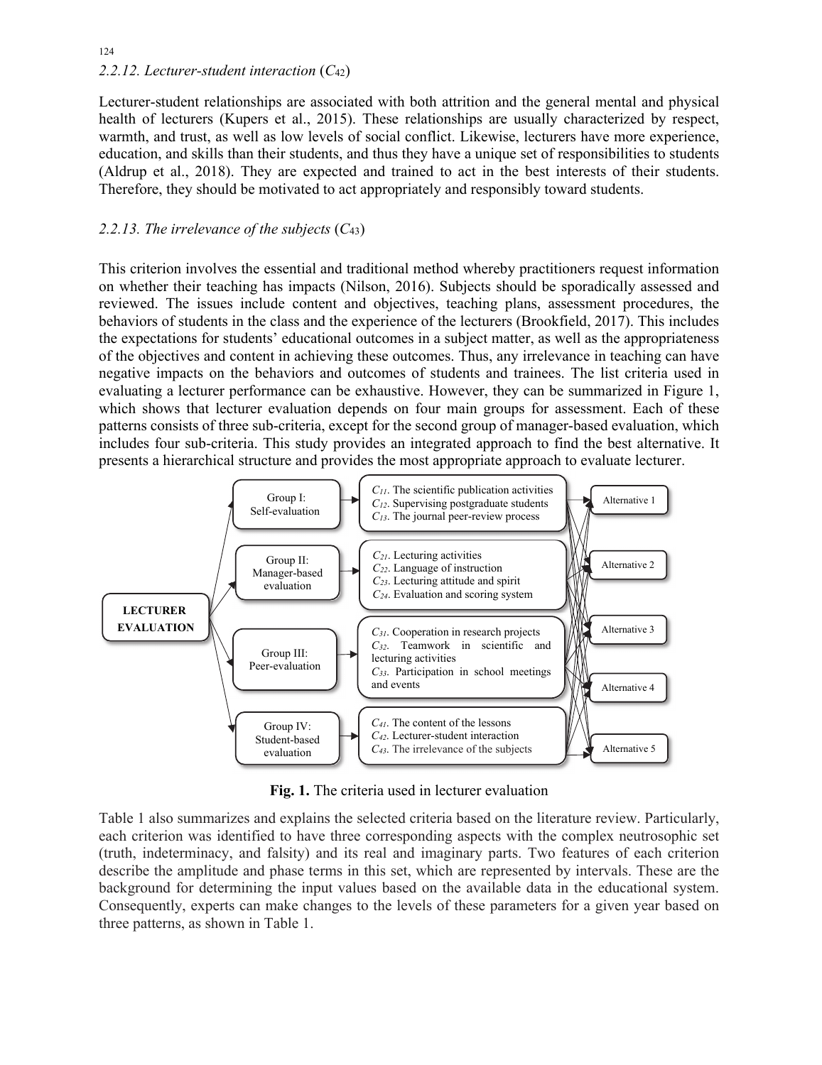# 124 *2.2.12. Lecturer-student interaction* (*C*42)

Lecturer-student relationships are associated with both attrition and the general mental and physical health of lecturers (Kupers et al., 2015). These relationships are usually characterized by respect, warmth, and trust, as well as low levels of social conflict. Likewise, lecturers have more experience, education, and skills than their students, and thus they have a unique set of responsibilities to students (Aldrup et al., 2018). They are expected and trained to act in the best interests of their students. Therefore, they should be motivated to act appropriately and responsibly toward students.

# *2.2.13. The irrelevance of the subjects* (*C*43)

This criterion involves the essential and traditional method whereby practitioners request information on whether their teaching has impacts (Nilson, 2016). Subjects should be sporadically assessed and reviewed. The issues include content and objectives, teaching plans, assessment procedures, the behaviors of students in the class and the experience of the lecturers (Brookfield, 2017). This includes the expectations for students' educational outcomes in a subject matter, as well as the appropriateness of the objectives and content in achieving these outcomes. Thus, any irrelevance in teaching can have negative impacts on the behaviors and outcomes of students and trainees. The list criteria used in evaluating a lecturer performance can be exhaustive. However, they can be summarized in Figure 1, which shows that lecturer evaluation depends on four main groups for assessment. Each of these patterns consists of three sub-criteria, except for the second group of manager-based evaluation, which includes four sub-criteria. This study provides an integrated approach to find the best alternative. It presents a hierarchical structure and provides the most appropriate approach to evaluate lecturer.



**Fig. 1.** The criteria used in lecturer evaluation

Table 1 also summarizes and explains the selected criteria based on the literature review. Particularly, each criterion was identified to have three corresponding aspects with the complex neutrosophic set (truth, indeterminacy, and falsity) and its real and imaginary parts. Two features of each criterion describe the amplitude and phase terms in this set, which are represented by intervals. These are the background for determining the input values based on the available data in the educational system. Consequently, experts can make changes to the levels of these parameters for a given year based on three patterns, as shown in Table 1.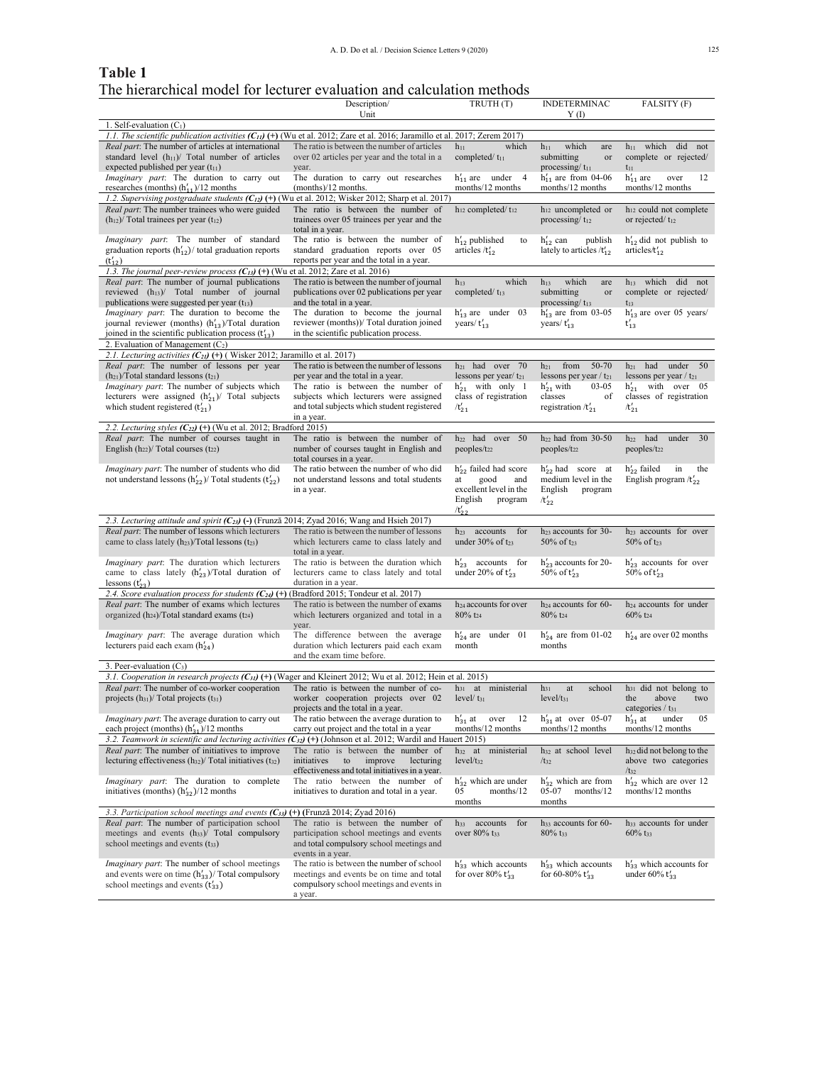# **Table 1** The hierarchical model for lecturer evaluation and calculation methods

|                                                                                                                                                                      | Description/                                                                                                                      | TRUTH (T)                                        | <b>INDETERMINAC</b>                                       | FALSITY (F)                                                         |
|----------------------------------------------------------------------------------------------------------------------------------------------------------------------|-----------------------------------------------------------------------------------------------------------------------------------|--------------------------------------------------|-----------------------------------------------------------|---------------------------------------------------------------------|
| 1. Self-evaluation $(C_1)$                                                                                                                                           | Unit                                                                                                                              |                                                  | Y(I)                                                      |                                                                     |
| 1.1. The scientific publication activities $(C_{11})$ (+) (Wu et al. 2012; Zare et al. 2016; Jaramillo et al. 2017; Zerem 2017)                                      |                                                                                                                                   |                                                  |                                                           |                                                                     |
| Real part: The number of articles at international                                                                                                                   | The ratio is between the number of articles                                                                                       | which<br>$h_{11}$                                | which<br>$h_{11}$<br>are                                  | h <sub>11</sub> which did not                                       |
| standard level $(h_{11})$ Total number of articles                                                                                                                   | over 02 articles per year and the total in a                                                                                      | completed/ $t_{11}$                              | submitting<br>or                                          | complete or rejected/                                               |
| expected published per year $(t_{11})$                                                                                                                               | year.                                                                                                                             |                                                  | processing/ $t_{11}$                                      | $t_{11}$                                                            |
| <i>Imaginary part</i> : The duration to carry out                                                                                                                    | The duration to carry out researches                                                                                              | $h'_{11}$ are under 4                            | $h'_{11}$ are from 04-06                                  | $h'_{11}$ are<br>over<br>12                                         |
| researches (months) $(h'_{11})/12$ months<br>1.2. Supervising postgraduate students $(C_{12})$ (+) (Wu et al. 2012; Wisker 2012; Sharp et al. 2017)                  | $(months)/12$ months.                                                                                                             | months/12 months                                 | months/12 months                                          | months/12 months                                                    |
| Real part: The number trainees who were guided                                                                                                                       | The ratio is between the number of                                                                                                | $h_{12}$ completed/ $t_{12}$                     | h <sub>12</sub> uncompleted or                            | $h_{12}$ could not complete                                         |
| $(h_{12})$ / Total trainees per year $(t_{12})$                                                                                                                      | trainees over 05 trainees per year and the<br>total in a year.                                                                    |                                                  | processing/ $t_{12}$                                      | or rejected/ $t_{12}$                                               |
| <i>Imaginary part</i> : The number of standard<br>graduation reports $(h'_{12})$ total graduation reports                                                            | The ratio is between the number of<br>standard graduation reports over 05                                                         | $h'_{12}$ published<br>to<br>articles $/t_{12}'$ | $h'_{12}$ can<br>publish<br>lately to articles $/t_{12}'$ | $h'_{12}$ did not publish to<br>articles/ $t_{12}$                  |
| $(t'_{12})$                                                                                                                                                          | reports per year and the total in a year.                                                                                         |                                                  |                                                           |                                                                     |
| 1.3. The journal peer-review process $(C_{13})$ (+) (Wu et al. 2012; Zare et al. 2016)<br><i>Real part:</i> The number of journal publications                       | The ratio is between the number of journal                                                                                        | which<br>$h_{13}$                                | which<br>$h_{13}$<br>are                                  | h <sub>13</sub> which did not                                       |
| reviewed $(h_{13})$ Total number of journal                                                                                                                          | publications over 02 publications per year                                                                                        | completed/ $t_{13}$                              | submitting<br>or                                          | complete or rejected/                                               |
| publications were suggested per year $(t_{13})$                                                                                                                      | and the total in a year.                                                                                                          |                                                  | processing/t <sub>13</sub>                                | $t_{13}$                                                            |
| <i>Imaginary part</i> : The duration to become the                                                                                                                   | The duration to become the journal                                                                                                | $h'_{13}$ are under 03                           | $h'_{13}$ are from 03-05                                  | $h'_{13}$ are over 05 years/                                        |
| journal reviewer (months) $(h'_{13})$ Total duration                                                                                                                 | reviewer (months))/ Total duration joined                                                                                         | years/ $t_{13}'$                                 | years/ $t_{13}'$                                          | $t'_{13}$                                                           |
| joined in the scientific publication process $(t'_{13})$                                                                                                             | in the scientific publication process.                                                                                            |                                                  |                                                           |                                                                     |
| 2. Evaluation of Management $(C_2)$                                                                                                                                  |                                                                                                                                   |                                                  |                                                           |                                                                     |
| 2.1. Lecturing activities $(C_{21})$ (+) (Wisker 2012; Jaramillo et al. 2017)<br>Real part: The number of lessons per year                                           | The ratio is between the number of lessons                                                                                        | $h_{21}$ had over 70                             | from<br>50-70<br>$h_{21}$                                 | $h_{21}$ had under 50                                               |
| $(h_{21})$ Total standard lessons $(t_{21})$                                                                                                                         | per year and the total in a year.                                                                                                 | lessons per year/ $t_{21}$                       | lessons per year / $t_{21}$                               | lessons per year $/t_{21}$                                          |
| Imaginary part: The number of subjects which                                                                                                                         | The ratio is between the number of                                                                                                | $h'_{21}$ with only 1                            | $h'_{21}$ with<br>$03 - 05$                               | $h'_{21}$ with over 05                                              |
| lecturers were assigned $(h'_{21})$ Total subjects                                                                                                                   | subjects which lecturers were assigned                                                                                            | class of registration                            | classes<br>of                                             | classes of registration                                             |
| which student registered $(t'_{21})$                                                                                                                                 | and total subjects which student registered                                                                                       | $/t_{21}'$                                       | registration $/t'_{21}$                                   | $/t'_{21}$                                                          |
|                                                                                                                                                                      | in a year.                                                                                                                        |                                                  |                                                           |                                                                     |
| 2.2. Lecturing styles $(C_{22})$ (+) (Wu et al. 2012; Bradford 2015)<br>Real part: The number of courses taught in                                                   | The ratio is between the number of                                                                                                | h <sub>22</sub> had over 50                      | $h_{22}$ had from 30-50                                   | $h_{22}$ had<br>under<br>30                                         |
| English $(h_{22})$ / Total courses $(t_{22})$                                                                                                                        | number of courses taught in English and<br>total courses in a year.                                                               | peoples/t <sub>22</sub>                          | $peoples/t_{22}$                                          | peoples/t <sub>22</sub>                                             |
| <i>Imaginary part</i> : The number of students who did                                                                                                               | The ratio between the number of who did                                                                                           | $h'_{22}$ failed had score                       | $h'_{22}$ had score at                                    | $h'_{22}$ failed<br>in<br>the                                       |
| not understand lessons $(h'_{22})$ Total students $(t'_{22})$                                                                                                        | not understand lessons and total students                                                                                         | at<br>good<br>and                                | medium level in the                                       | English program $/t'_{22}$                                          |
|                                                                                                                                                                      | in a year.                                                                                                                        | excellent level in the                           | English<br>program                                        |                                                                     |
|                                                                                                                                                                      |                                                                                                                                   | English<br>program                               | $/t_{22}'$                                                |                                                                     |
| 2.3. Lecturing attitude and spirit $(C_{23})$ (-) (Frunză 2014; Zyad 2016; Wang and Hsieh 2017)                                                                      |                                                                                                                                   | $/t_{22}'$                                       |                                                           |                                                                     |
| Real part: The number of lessons which lecturers                                                                                                                     | The ratio is between the number of lessons                                                                                        | for<br>$h_{23}$ accounts                         | h <sub>23</sub> accounts for 30-                          | h <sub>23</sub> accounts for over                                   |
| came to class lately $(h_{23})$ /Total lessons $(t_{23})$                                                                                                            | which lecturers came to class lately and<br>total in a year.                                                                      | under $30\%$ of t <sub>23</sub>                  | 50% of $t_{23}$                                           | 50% of $t_{23}$                                                     |
| <i>Imaginary part</i> : The duration which lecturers                                                                                                                 | The ratio is between the duration which                                                                                           | $h'_{23}$ accounts for                           | $h'_{23}$ accounts for 20-                                | $h'_{23}$ accounts for over                                         |
| came to class lately $(h'_{23})$ Total duration of                                                                                                                   | lecturers came to class lately and total                                                                                          | under 20% of $t'_{23}$                           | 50% of $t'_{23}$                                          | 50% of $t'_{23}$                                                    |
| lessons $(t'_{23})$                                                                                                                                                  | duration in a year.                                                                                                               |                                                  |                                                           |                                                                     |
| 2.4. Score evaluation process for students $(C_{24})$ (+)<br><i>Real part</i> : The number of exams which lectures                                                   | (Bradford 2015; Tondeur et al. 2017)<br>The ratio is between the number of exams                                                  | h <sub>24</sub> accounts for over                | $h_{24}$ accounts for 60-                                 | h <sub>24</sub> accounts for under                                  |
| organized $(h_{24})$ /Total standard exams $(t_{24})$                                                                                                                | which lecturers organized and total in a<br>year.                                                                                 | $80\%$ t <sub>24</sub>                           | $80\%$ t <sub>24</sub>                                    | $60\%$ t <sub>24</sub>                                              |
| <i>Imaginary part</i> : The average duration which                                                                                                                   | The difference between the average                                                                                                | $h'_{24}$ are under 01                           | $h'_{24}$ are from 01-02                                  | $h'_{24}$ are over 02 months                                        |
| lecturers paid each exam $(h'_{24})$                                                                                                                                 | duration which lecturers paid each exam                                                                                           | month                                            | months                                                    |                                                                     |
|                                                                                                                                                                      | and the exam time before.                                                                                                         |                                                  |                                                           |                                                                     |
| 3. Peer-evaluation $(C_3)$<br>3.1. Cooperation in research projects $(C_{31})$ (+) (Wager and Kleinert 2012; Wu et al. 2012; Hein et al. 2015)                       |                                                                                                                                   |                                                  |                                                           |                                                                     |
| Real part: The number of co-worker cooperation                                                                                                                       | The ratio is between the number of co-                                                                                            | h <sub>31</sub> at ministerial                   | school<br>$h_{31}$<br>at                                  | $h_{31}$ did not belong to                                          |
| projects $(h_{31})$ Total projects $(t_{31})$                                                                                                                        | worker cooperation projects over 02<br>projects and the total in a year.                                                          | $level/t_{31}$                                   | $level/t_{31}$                                            | the<br>above<br>two<br>categories / $t_{31}$                        |
| <i>Imaginary part</i> : The average duration to carry out                                                                                                            | The ratio between the average duration to                                                                                         | $h'_{31}$ at<br>over<br>- 12                     | $h'_{31}$ at over 05-07                                   | $h'_{31}$ at<br>under<br>05                                         |
| each project (months) $(h'_{31})/12$ months                                                                                                                          | carry out project and the total in a year                                                                                         | months/12 months                                 | months/12 months                                          | months/12 months                                                    |
| 3.2. Teamwork in scientific and lecturing activities $(C_{32})$ (+) (Johnson et al. 2012; Wardil and Hauert 2015)<br>Real part: The number of initiatives to improve |                                                                                                                                   | h <sub>32</sub> at ministerial                   |                                                           |                                                                     |
| lecturing effectiveness $(h_{32})$ Total initiatives $(t_{32})$                                                                                                      | The ratio is between the number of<br>initiatives<br>to<br>improve<br>lecturing<br>effectiveness and total initiatives in a year. | $level/t_{32}$                                   | $h_{32}$ at school level<br>$/t_{32}$                     | $h_{32}$ did not belong to the<br>above two categories<br>$/t_{32}$ |
| <i>Imaginary part</i> : The duration to complete                                                                                                                     | The ratio<br>between the number of                                                                                                | $h'_{32}$ which are under                        | $h'_{32}$ which are from                                  | $h'_{32}$ which are over 12                                         |
| initiatives (months) $(h'_{32})/12$ months                                                                                                                           | initiatives to duration and total in a year.                                                                                      | 05<br>months/12                                  | 05-07<br>months/12                                        | months/12 months                                                    |
|                                                                                                                                                                      |                                                                                                                                   | months                                           | months                                                    |                                                                     |
| 3.3. Participation school meetings and events $(C_{33})$                                                                                                             | (+) (Frunză 2014; Zyad 2016)                                                                                                      |                                                  |                                                           |                                                                     |
| Real part: The number of participation school                                                                                                                        | The ratio is between the number of                                                                                                | accounts<br>for<br>$h_{33}$                      | $h_{33}$ accounts for 60-                                 | h <sub>33</sub> accounts for under                                  |
| meetings and events $(h_{33})$ Total compulsory<br>school meetings and events $(t_{33})$                                                                             | participation school meetings and events<br>and total compulsory school meetings and                                              | over 80% t <sub>33</sub>                         | $80\%$ t <sub>33</sub>                                    | $60\%$ t <sub>33</sub>                                              |
|                                                                                                                                                                      | events in a year.                                                                                                                 |                                                  |                                                           |                                                                     |
| <i>Imaginary part</i> : The number of school meetings                                                                                                                | The ratio is between the number of school                                                                                         | $h'_{33}$ which accounts                         | $h'_{33}$ which accounts                                  | $h'_{33}$ which accounts for                                        |
| and events were on time $(h'_{33})$ Total compulsory                                                                                                                 | meetings and events be on time and total                                                                                          | for over 80% $t'_{33}$                           | for 60-80% $t'_{33}$                                      | under $60\%$ t' <sub>33</sub>                                       |
| school meetings and events $(t'_{33})$                                                                                                                               | compulsory school meetings and events in                                                                                          |                                                  |                                                           |                                                                     |
|                                                                                                                                                                      | a year.                                                                                                                           |                                                  |                                                           |                                                                     |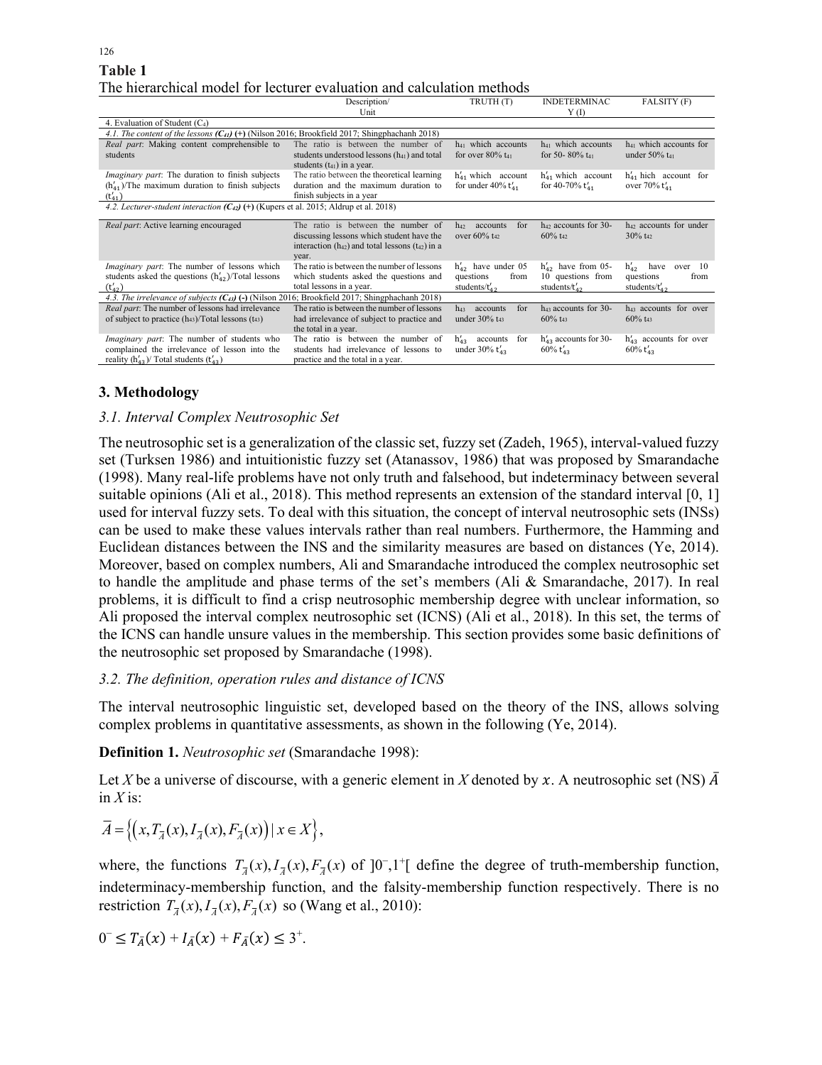| Table 1 |                                                                        |
|---------|------------------------------------------------------------------------|
|         | The hierarchical model for lecturer evaluation and calculation methods |

|                                                                                                                                                       | Description/                                                                                                                                         | TRUTH <sub>(T)</sub>                                               | <b>INDETERMINAC</b>                                                | FALSITY (F)                                                             |
|-------------------------------------------------------------------------------------------------------------------------------------------------------|------------------------------------------------------------------------------------------------------------------------------------------------------|--------------------------------------------------------------------|--------------------------------------------------------------------|-------------------------------------------------------------------------|
|                                                                                                                                                       | Unit                                                                                                                                                 |                                                                    | Y(1)                                                               |                                                                         |
| 4. Evaluation of Student $(C_4)$                                                                                                                      |                                                                                                                                                      |                                                                    |                                                                    |                                                                         |
| 4.1. The content of the lessons $(C_{41})$ (+) (Nilson 2016; Brookfield 2017; Shingphachanh 2018)                                                     |                                                                                                                                                      |                                                                    |                                                                    |                                                                         |
| Real part: Making content comprehensible to<br>students                                                                                               | The ratio is between the number of<br>students understood lessons (h <sub>41</sub> ) and total                                                       | $h_{41}$ which accounts<br>for over $80\%$ t <sub>41</sub>         | h <sub>41</sub> which accounts<br>for 50-80% $t_{41}$              | h <sub>41</sub> which accounts for<br>under $50\%$ t <sub>41</sub>      |
|                                                                                                                                                       | students $(t_{41})$ in a year.                                                                                                                       |                                                                    |                                                                    |                                                                         |
| <i>Imaginary part</i> : The duration to finish subjects                                                                                               | The ratio between the theoretical learning                                                                                                           | $h'_{41}$ which account                                            | $h'_{41}$ which account                                            | $h'_{41}$ hich account for                                              |
| $(h'_{41})$ /The maximum duration to finish subjects<br>$(t'_{41})$                                                                                   | duration and the maximum duration to<br>finish subjects in a year                                                                                    | for under 40% $t'_{41}$                                            | for 40-70% $t_{41}'$                                               | over 70% $t'_{41}$                                                      |
| 4.2. Lecturer-student interaction $(C_{42})$ (+) (Kupers et al. 2015; Aldrup et al. 2018)                                                             |                                                                                                                                                      |                                                                    |                                                                    |                                                                         |
| Real part: Active learning encouraged                                                                                                                 | The ratio is between the number of<br>discussing lessons which student have the<br>interaction $(h_{42})$ and total lessons $(t_{42})$ in a<br>year. | for<br>accounts<br>$h_{42}$<br>over 60% t <sub>42</sub>            | $h_{42}$ accounts for 30-<br>$60\%$ t <sub>42</sub>                | $h_{42}$ accounts for under<br>$30\%$ t <sub>42</sub>                   |
| <i>Imaginary part</i> : The number of lessons which<br>students asked the questions $(h'_{42})$ /Total lessons<br>$(t'_{42})$                         | The ratio is between the number of lessons<br>which students asked the questions and<br>total lessons in a year.                                     | $h'_{42}$ have under 05<br>from<br>questions<br>students/ $t_{42}$ | $h'_{42}$ have from 05-<br>10 questions from<br>students/ $t_{42}$ | $h'_{42}$<br>have<br>over 10<br>questions<br>from<br>students/ $t_{42}$ |
| 4.3. The irrelevance of subjects $(C_{43})$ (-) (Nilson 2016; Brookfield 2017; Shingphachanh 2018)                                                    |                                                                                                                                                      |                                                                    |                                                                    |                                                                         |
| Real part: The number of lessons had irrelevance<br>of subject to practice $(h_{43})$ /Total lessons $(t_{43})$                                       | The ratio is between the number of lessons<br>had irrelevance of subject to practice and<br>the total in a year.                                     | for<br>$h_{43}$<br>accounts<br>under 30% t <sub>43</sub>           | $h_{43}$ accounts for 30-<br>$60\%$ t <sub>43</sub>                | h <sub>43</sub> accounts for over<br>$60\%$ t <sub>43</sub>             |
| <i>Imaginary part</i> : The number of students who<br>complained the irrelevance of lesson into the<br>reality $(h'_{43})$ Total students $(t'_{43})$ | The ratio is between the number of<br>students had irrelevance of lessons to<br>practice and the total in a year.                                    | $h'_{43}$<br>accounts<br>for<br>under $30\%$ t <sub>43</sub>       | $h'_{43}$ accounts for 30-<br>$60\%$ t <sub>43</sub>               | $h'_{43}$ accounts for over<br>$60\%$ t <sub>43</sub>                   |

## **3. Methodology**

## *3.1. Interval Complex Neutrosophic Set*

The neutrosophic set is a generalization of the classic set, fuzzy set (Zadeh, 1965), interval-valued fuzzy set (Turksen 1986) and intuitionistic fuzzy set (Atanassov, 1986) that was proposed by Smarandache (1998). Many real-life problems have not only truth and falsehood, but indeterminacy between several suitable opinions (Ali et al., 2018). This method represents an extension of the standard interval [0, 1] used for interval fuzzy sets. To deal with this situation, the concept of interval neutrosophic sets (INSs) can be used to make these values intervals rather than real numbers. Furthermore, the Hamming and Euclidean distances between the INS and the similarity measures are based on distances (Ye, 2014). Moreover, based on complex numbers, Ali and Smarandache introduced the complex neutrosophic set to handle the amplitude and phase terms of the set's members (Ali & Smarandache, 2017). In real problems, it is difficult to find a crisp neutrosophic membership degree with unclear information, so Ali proposed the interval complex neutrosophic set (ICNS) (Ali et al., 2018). In this set, the terms of the ICNS can handle unsure values in the membership. This section provides some basic definitions of the neutrosophic set proposed by Smarandache (1998).

### *3.2. The definition, operation rules and distance of ICNS*

The interval neutrosophic linguistic set, developed based on the theory of the INS, allows solving complex problems in quantitative assessments, as shown in the following (Ye, 2014).

**Definition 1.** *Neutrosophic set* (Smarandache 1998):

Let X be a universe of discourse, with a generic element in X denoted by x. A neutrosophic set (NS)  $\overline{A}$ in  $X$  is:

$$
\overline{A} = \left\{ \left( x, T_{\overline{A}}(x), I_{\overline{A}}(x), F_{\overline{A}}(x) \right) \mid x \in X \right\},\
$$

where, the functions  $T_{\overline{A}}(x)$ ,  $T_{\overline{A}}(x)$ ,  $F_{\overline{A}}(x)$  of ]0<sup>-</sup>,1<sup>+</sup>[ define the degree of truth-membership function, indeterminacy-membership function, and the falsity-membership function respectively. There is no restriction  $T_{\overline{A}}(x)$ ,  $I_{\overline{A}}(x)$ ,  $F_{\overline{A}}(x)$  so (Wang et al., 2010):

$$
0^{-} \leq T_{\bar{A}}(x) + I_{\bar{A}}(x) + F_{\bar{A}}(x) \leq 3^{+}.
$$

126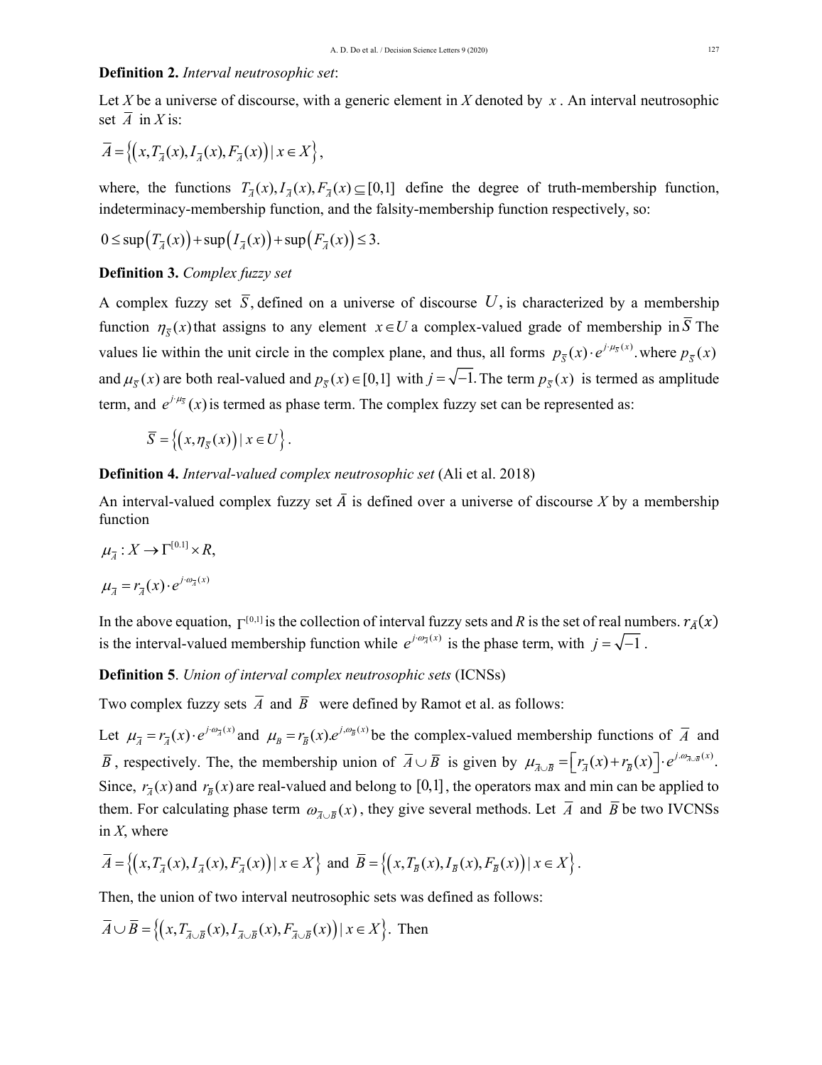### **Definition 2.** *Interval neutrosophic set*:

Let *X* be a universe of discourse, with a generic element in *X* denoted by *x* . An interval neutrosophic set  $\overline{A}$  in *X* is:

$$
\overline{A} = \left\{ \left( x, T_{\overline{A}}(x), I_{\overline{A}}(x), F_{\overline{A}}(x) \right) \mid x \in X \right\},\
$$

where, the functions  $T_{\overline{A}}(x)$ ,  $T_{\overline{A}}(x)$ ,  $F_{\overline{A}}(x) \subseteq [0,1]$  define the degree of truth-membership function, indeterminacy-membership function, and the falsity-membership function respectively, so:

$$
0 \leq \sup\left(T_{\overline{A}}(x)\right) + \sup\left(T_{\overline{A}}(x)\right) + \sup\left(F_{\overline{A}}(x)\right) \leq 3.
$$

**Definition 3.** *Complex fuzzy set*

A complex fuzzy set  $\overline{S}$ , defined on a universe of discourse U, is characterized by a membership function  $\eta_{\bar{s}}(x)$  that assigns to any element  $x \in U$  a complex-valued grade of membership in  $\bar{S}$  The values lie within the unit circle in the complex plane, and thus, all forms  $p_{\bar{s}}(x) \cdot e^{j \cdot \mu_{\bar{s}}(x)}$ . where  $p_{\bar{s}}(x)$ and  $\mu_{\overline{s}}(x)$  are both real-valued and  $p_{\overline{s}}(x) \in [0,1]$  with  $j = \sqrt{-1}$ . The term  $p_{\overline{s}}(x)$  is termed as amplitude term, and  $e^{j \cdot \mu_{\overline{s}}}(x)$  is termed as phase term. The complex fuzzy set can be represented as:

 $\overline{S} = \left\{ (x, \eta_{\overline{s}}(x)) | x \in U \right\}.$ 

**Definition 4.** *Interval-valued complex neutrosophic set* (Ali et al. 2018)

An interval-valued complex fuzzy set  $\overline{A}$  is defined over a universe of discourse X by a membership function

$$
\mu_{\overline{A}}: X \to \Gamma^{[0.1]} \times R,
$$

$$
\mu_{\overline{A}} = r_{\overline{A}}(x) \cdot e^{j \cdot \omega_{\overline{A}}(x)}
$$

In the above equation,  $\Gamma^{[0,1]}$  is the collection of interval fuzzy sets and *R* is the set of real numbers.  $r_{\bar{A}}(x)$ is the interval-valued membership function while  $e^{j \cdot \omega_{\overline{A}}(x)}$  is the phase term, with  $j = \sqrt{-1}$ .

**Definition 5**. *Union of interval complex neutrosophic sets* (ICNSs)

Two complex fuzzy sets  $\overline{A}$  and  $\overline{B}$  were defined by Ramot et al. as follows:

Let  $\mu_{\overline{A}} = r_{\overline{A}}(x) \cdot e^{j \cdot \omega_{\overline{A}}(x)}$  and  $\mu_{B} = r_{\overline{B}}(x) e^{j \cdot \omega_{\overline{B}}(x)}$  be the complex-valued membership functions of  $\overline{A}$  and *B*, respectively. The, the membership union of  $\overline{A} \cup \overline{B}$  is given by  $\mu_{\overline{A} \cup \overline{B}} = \left[ r_{\overline{A}}(x) + r_{\overline{B}}(x) \right] \cdot e^{j \cdot \omega_{\overline{A} \cup \overline{B}}(x)}$ . Since,  $r_{\overline{x}}(x)$  and  $r_{\overline{y}}(x)$  are real-valued and belong to [0,1], the operators max and min can be applied to them. For calculating phase term  $\omega_{\bar{\lambda}\cup\bar{\beta}}(x)$ , they give several methods. Let  $\bar{A}$  and  $\bar{B}$  be two IVCNSs in *X*, where

$$
\overline{A} = \left\{ \left( x, T_{\overline{A}}(x), I_{\overline{A}}(x), F_{\overline{A}}(x) \right) \mid x \in X \right\} \text{ and } \overline{B} = \left\{ \left( x, T_{\overline{B}}(x), I_{\overline{B}}(x), F_{\overline{B}}(x) \right) \mid x \in X \right\}.
$$

Then, the union of two interval neutrosophic sets was defined as follows:

$$
\overline{A} \cup \overline{B} = \left\{ \left( x, T_{\overline{A} \cup \overline{B}}(x), I_{\overline{A} \cup \overline{B}}(x), F_{\overline{A} \cup \overline{B}}(x) \right) | x \in X \right\}.
$$
 Then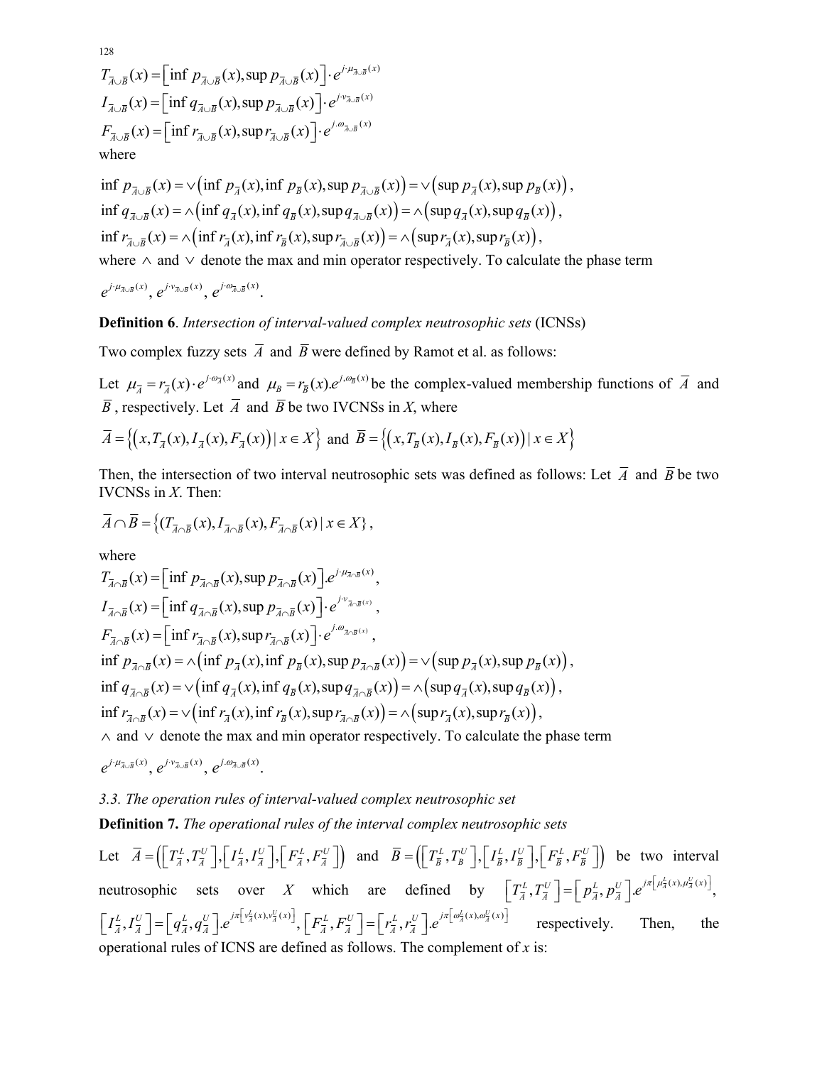$$
T_{\overline{A}\cup\overline{B}}(x) = \left[\inf p_{\overline{A}\cup\overline{B}}(x), \sup p_{\overline{A}\cup\overline{B}}(x)\right] \cdot e^{j \cdot \mu_{\overline{A}\cup\overline{B}}(x)}
$$
  
\n
$$
I_{\overline{A}\cup\overline{B}}(x) = \left[\inf q_{\overline{A}\cup\overline{B}}(x), \sup p_{\overline{A}\cup\overline{B}}(x)\right] \cdot e^{j \cdot \nu_{\overline{A}\cup\overline{B}}(x)}
$$
  
\n
$$
F_{\overline{A}\cup\overline{B}}(x) = \left[\inf r_{\overline{A}\cup\overline{B}}(x), \sup r_{\overline{A}\cup\overline{B}}(x)\right] \cdot e^{j \cdot \omega_{\overline{A}\cup\overline{B}}(x)}
$$
  
\nwhere

inf  $p_{\bar{x}}(x) = \sqrt{\inf p_{\bar{x}}(x)}$ ,  $\inf p_{\bar{x}}(x)$ ,  $\sup p_{\bar{x}}(x) = \sqrt{\sup p_{\bar{x}}(x)}$ ,  $\sup p_{\bar{x}}(x)$ ,  $\inf q_{\overline{A} \cup \overline{B}}(x) = \widehat{\wedge} \left( \inf q_{\overline{A}}(x), \inf q_{\overline{B}}(x), \sup q_{\overline{A} \cup \overline{B}}(x) \right) = \widehat{\wedge} \left( \sup q_{\overline{A}}(x), \sup q_{\overline{B}}(x) \right),$  $\inf r_{\overline{A}\cup\overline{B}}(x) = \wedge \left( \inf r_{\overline{A}}(x),\inf r_{\overline{B}}(x),\sup r_{\overline{A}\cup\overline{B}}(x) \right) = \wedge \left( \sup r_{\overline{A}}(x),\sup r_{\overline{B}}(x) \right),$ where  $\wedge$  and  $\vee$  denote the max and min operator respectively. To calculate the phase term  $e^{j\cdot\mu_{\overline{A}\cup\overline{B}}(x)}$ ,  $e^{j\cdot v_{\overline{A}\cup\overline{B}}(x)}$ ,  $e^{j\cdot\omega_{\overline{A}\cup\overline{B}}(x)}$ .

#### **Definition 6**. *Intersection of interval-valued complex neutrosophic sets* (ICNSs)

Two complex fuzzy sets  $\overline{A}$  and  $\overline{B}$  were defined by Ramot et al. as follows:

Let  $\mu_{\overline{A}} = r_{\overline{A}}(x) \cdot e^{j \cdot \omega_{\overline{A}}(x)}$  and  $\mu_{B} = r_{\overline{B}}(x) \cdot e^{j \cdot \omega_{\overline{B}}(x)}$  be the complex-valued membership functions of  $\overline{A}$  and  $\overline{B}$ , respectively. Let  $\overline{A}$  and  $\overline{B}$  be two IVCNSs in *X*, where

$$
\overline{A} = \left\{ \left( x, T_{\overline{A}}(x), I_{\overline{A}}(x), F_{\overline{A}}(x) \right) \mid x \in X \right\} \text{ and } \overline{B} = \left\{ \left( x, T_{\overline{B}}(x), I_{\overline{B}}(x), F_{\overline{B}}(x) \right) \mid x \in X \right\}
$$

Then, the intersection of two interval neutrosophic sets was defined as follows: Let  $\overline{A}$  and  $\overline{B}$  be two IVCNSs in *X*. Then:

$$
\overline{A} \cap \overline{B} = \left\{ (T_{\overline{A} \cap \overline{B}}(x), I_{\overline{A} \cap \overline{B}}(x), F_{\overline{A} \cap \overline{B}}(x) \mid x \in X \right\},\
$$

where  
\n
$$
T_{\overline{A}\cap\overline{B}}(x) = \left[\inf p_{\overline{A}\cap\overline{B}}(x), \sup p_{\overline{A}\cap\overline{B}}(x)\right] e^{j\cdot\mu_{\overline{A}\cap\overline{B}}(x)},
$$
\n
$$
I_{\overline{A}\cap\overline{B}}(x) = \left[\inf q_{\overline{A}\cap\overline{B}}(x), \sup p_{\overline{A}\cap\overline{B}}(x)\right] \cdot e^{j\cdot\mu_{\overline{A}\cap\overline{B}}(x)},
$$
\n
$$
F_{\overline{A}\cap\overline{B}}(x) = \left[\inf r_{\overline{A}\cap\overline{B}}(x), \sup r_{\overline{A}\cap\overline{B}}(x)\right] \cdot e^{j\cdot\mu_{\overline{A}\cap\overline{B}}(x)},
$$
\n
$$
\inf p_{\overline{A}\cap\overline{B}}(x) = \left(\inf p_{\overline{A}}(x), \inf p_{\overline{B}}(x), \sup p_{\overline{A}\cap\overline{B}}(x)\right) = \left(\sup p_{\overline{A}}(x), \sup p_{\overline{B}}(x)\right),
$$
\n
$$
\inf q_{\overline{A}\cap\overline{B}}(x) = \left(\inf q_{\overline{A}}(x), \inf q_{\overline{B}}(x), \sup q_{\overline{A}\cap\overline{B}}(x)\right) = \left(\sup q_{\overline{A}}(x), \sup q_{\overline{B}}(x)\right),
$$
\n
$$
\inf r_{\overline{A}\cap\overline{B}}(x) = \left(\inf r_{\overline{A}}(x), \inf r_{\overline{B}}(x), \sup r_{\overline{A}\cap\overline{B}}(x)\right) = \left(\sup r_{\overline{A}}(x), \sup r_{\overline{B}}(x)\right),
$$
\n
$$
\therefore \text{ and } \vee \text{ denote the max and min operator respectively. To calculate the phase term}
$$
\n
$$
e^{j\cdot\mu_{\overline{A}\cup\overline{B}}(x)}, e^{j\cdot\mu_{\overline{A}\cup\overline{B}}(x)}, e^{j\cdot\mu_{\overline{A}\cup\overline{B}}(x)}.
$$

### *3.3. The operation rules of interval-valued complex neutrosophic set*

**Definition 7.** *The operational rules of the interval complex neutrosophic sets*

Let  $\overline{A} = (\left[\overline{T_A^L}, T_{\overline{A}}^U\right], \left[\overline{I_A^L}, I_{\overline{A}}^U\right], \left[\overline{F_A^L}, F_{\overline{A}}^U\right]$  and  $\overline{B} = (\left[\overline{T_B^L}, T_B^U\right], \left[\overline{I_B^L}, I_{\overline{B}}^U\right], \left[\overline{F_B^L}, F_{\overline{B}}^U\right]$  be two interval neutrosophic sets over *X* which are defined by  $\left[T_{\overline{A}}^{L}, T_{\overline{A}}^{U}\right] = \left[p_{\overline{A}}^{L}, p_{\overline{A}}^{U}\right] e^{j\pi\left[\mu_{\overline{A}}^{L}(x), \mu_{\overline{A}}^{U}(x)\right]},$  $\begin{bmatrix} I_{\overline{A}}^L, I_{\overline{A}}^U \end{bmatrix} = \begin{bmatrix} q_{\overline{A}}^L, q_{\overline{A}}^U \end{bmatrix} e^{j\pi \begin{bmatrix} v_{\overline{A}}^L(x), v_{\overline{A}}^U(x) \end{bmatrix}}, \begin{bmatrix} F_{\overline{A}}^L, F_{\overline{A}}^U \end{bmatrix} = \begin{bmatrix} r_{\overline{A}}^L, r_{\overline{A}}^U \end{bmatrix} e^{j\pi \begin{bmatrix} \omega_{\overline{A}}^L(x), \omega_{\overline{A}}^U(x) \end{bmatrix}$  operational rules of ICNS are defined as follows. The complement of *x* is: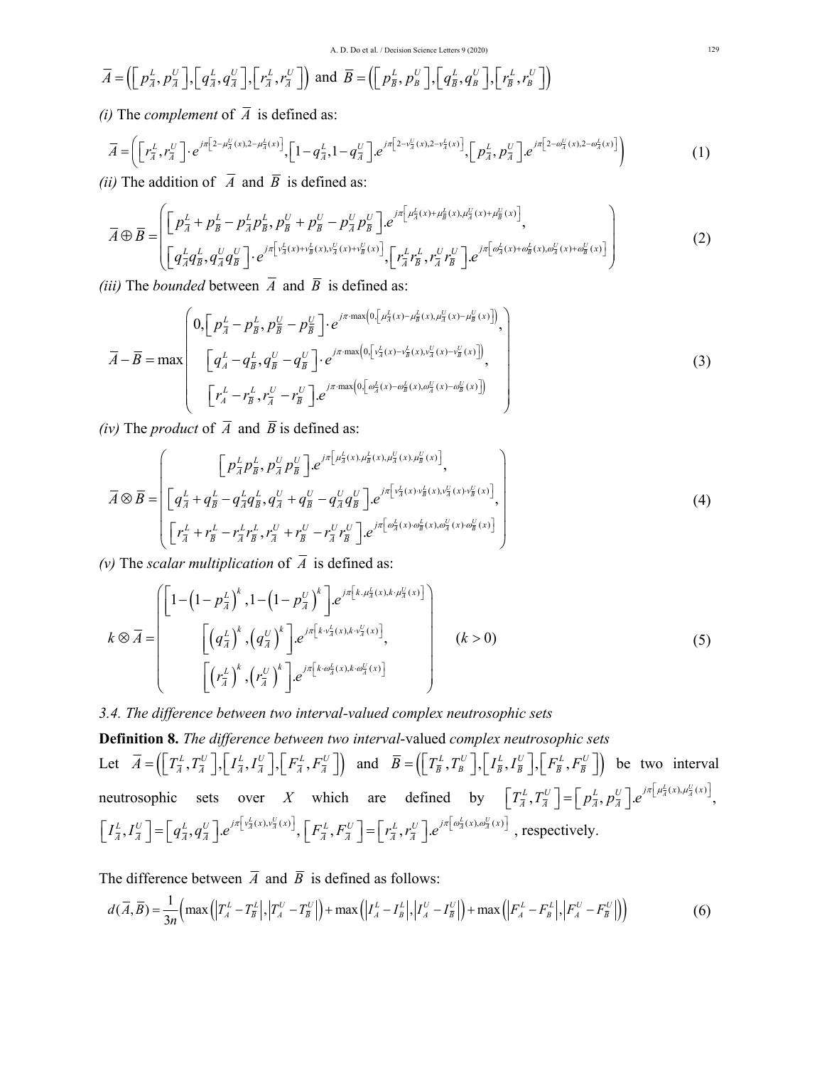$$
\overline{A} = \left( \begin{bmatrix} p_{\overline{A}}^L, p_{\overline{A}}^U \end{bmatrix}, \begin{bmatrix} q_{\overline{A}}^L, q_{\overline{A}}^U \end{bmatrix}, \begin{bmatrix} r_{\overline{A}}^L, r_{\overline{A}}^U \end{bmatrix} \right) \text{ and } \overline{B} = \left( \begin{bmatrix} p_{\overline{B}}^L, p_{\overline{B}}^U \end{bmatrix}, \begin{bmatrix} q_{\overline{B}}^L, q_{\overline{B}}^U \end{bmatrix}, \begin{bmatrix} r_{\overline{B}}^L, r_{\overline{B}}^U \end{bmatrix} \right)
$$

*(i)* The *complement* of  $\overline{A}$  is defined as:

$$
\overline{A} = \left( \left[ r_{\overline{A}}^L, r_{\overline{A}}^U \right] \cdot e^{j\pi \left[ 2 - \mu_{\overline{A}}^U(x), 2 - \mu_{\overline{A}}^L(x) \right]} , \left[ 1 - q_{\overline{A}}^L, 1 - q_{\overline{A}}^U \right] \cdot e^{j\pi \left[ 2 - \nu_{\overline{A}}^U(x), 2 - \nu_{\overline{A}}^L(x) \right]} , \left[ p_{\overline{A}}^L, p_{\overline{A}}^U \right] \cdot e^{j\pi \left[ 2 - \omega_{\overline{A}}^U(x), 2 - \omega_{\overline{A}}^L(x) \right]} \right)
$$
(1)

*(ii)* The addition of  $\overline{A}$  and  $\overline{B}$  is defined as:

$$
\overline{A} \oplus \overline{B} = \left( \begin{bmatrix} p_{\overline{A}}^L + p_{\overline{B}}^L - p_{\overline{A}}^L p_{\overline{B}}^L, p_{\overline{B}}^U + p_{\overline{B}}^U - p_{\overline{A}}^U p_{\overline{B}}^U \end{bmatrix} e^{j\pi \left[ \mu_{\overline{A}}^L(x) + \mu_{\overline{B}}^L(x) + \mu_{\overline{B}}^U(x) + \mu_{\overline{B}}^U(x) \right]},
$$
\n
$$
\left[ q_{\overline{A}}^L q_{\overline{B}}^L, q_{\overline{A}}^U q_{\overline{B}}^U \right] \cdot e^{j\pi \left[ v_{\overline{A}}^L(x) + v_{\overline{B}}^U(x) + v_{\overline{B}}^U(x) + v_{\overline{B}}^U(x) \right]},
$$
\n
$$
\left[ r_{\overline{A}}^L r_{\overline{B}}^L, r_{\overline{A}}^U r_{\overline{B}}^U \right] \cdot e^{j\pi \left[ \omega_{\overline{A}}^L(x) + \omega_{\overline{B}}^U(x) + \omega_{\overline{B}}^U(x) + v_{\overline{B}}^U(x) \right]} \right)
$$
\n(2)

*(iii)* The *bounded* between  $\overline{A}$  and  $\overline{B}$  is defined as:

$$
\overline{A} - \overline{B} = \max \left( \begin{array}{c} 0, \left[ p_{\overline{A}}^{L} - p_{\overline{B}}^{L}, p_{\overline{B}}^{U} - p_{\overline{B}}^{U} \right] \cdot e^{j\pi \cdot \max \left( 0, \left[ \mu_{\overline{A}}^{L}(x) - \mu_{\overline{B}}^{L}(x), \mu_{\overline{A}}^{U}(x) - \mu_{\overline{B}}^{U}(x) \right] \right)}, \\ \left[ q_{A}^{L} - q_{\overline{B}}^{L}, q_{\overline{B}}^{U} - q_{\overline{B}}^{U} \right] \cdot e^{j\pi \cdot \max \left( 0, \left[ \nu_{\overline{A}}^{L}(x) - \nu_{\overline{B}}^{L}(x), \nu_{\overline{A}}^{U}(x) - \nu_{\overline{B}}^{U}(x) \right] \right)}, \\ \left[ r_{A}^{L} - r_{\overline{B}}^{L}, r_{\overline{A}}^{U} - r_{\overline{B}}^{U} \right] \cdot e^{j\pi \cdot \max \left( 0, \left[ \omega_{\overline{A}}^{L}(x) - \omega_{\overline{B}}^{L}(x), \omega_{\overline{A}}^{U}(x) - \omega_{\overline{B}}^{U}(x) \right] \right)} \end{array} \right)
$$
(3)

*(iv)* The *product* of  $\overline{A}$  and  $\overline{B}$  is defined as:

$$
\overline{A} \otimes \overline{B} = \left( \begin{bmatrix} p_{\overline{A}}^L p_{\overline{B}}^L, p_{\overline{A}}^U p_{\overline{B}}^U \end{bmatrix} . e^{j\pi \left[ \mu_{\overline{A}}^L(x), \mu_{\overline{B}}^L(x), \mu_{\overline{B}}^U(x), \mu_{\overline{B}}^U(x) \right]}, \\ \left[ q_{\overline{A}}^L + q_{\overline{B}}^L - q_{\overline{A}}^L q_{\overline{B}}^L, q_{\overline{A}}^U + q_{\overline{B}}^U - q_{\overline{A}}^U q_{\overline{B}}^U \right] . e^{j\pi \left[ v_{\overline{A}}^L(x) \cdot v_{\overline{B}}^L(x), v_{\overline{A}}^U(x) \cdot v_{\overline{B}}^U(x) \right]}, \\ \left[ r_{\overline{A}}^L + r_{\overline{B}}^L - r_{\overline{A}}^L r_{\overline{B}}^L, r_{\overline{A}}^U + r_{\overline{B}}^U - r_{\overline{A}}^U r_{\overline{B}}^U \right] . e^{j\pi \left[ \omega_{\overline{A}}^L(x) \cdot \omega_{\overline{B}}^L(x), \omega_{\overline{A}}^U(x) \cdot \omega_{\overline{B}}^U(x) \right]} \end{bmatrix} \tag{4}
$$

 $(v)$  The *scalar multiplication* of  $\overline{A}$  is defined as:

$$
k \otimes \overline{A} = \begin{bmatrix} \left[1 - \left(1 - p_{\overline{A}}^L\right)^k, 1 - \left(1 - p_{\overline{A}}^U\right)^k\right] e^{j\pi \left[k, \mu_{\overline{A}}^L(x), k, \mu_{\overline{A}}^U(x)\right]} \\ \left[\left(q_{\overline{A}}^L\right)^k, \left(q_{\overline{A}}^U\right)^k\right] e^{j\pi \left[k, \nu_{\overline{A}}^L(x), k, \nu_{\overline{A}}^U(x)\right]}, \\ \left[\left(r_{\overline{A}}^L\right)^k, \left(r_{\overline{A}}^U\right)^k\right] e^{j\pi \left[k, \omega_{\overline{A}}^L(x), k, \omega_{\overline{A}}^U(x)\right]} \end{bmatrix} \qquad (k > 0)
$$

## *3.4. The difference between two interval-valued complex neutrosophic sets*

**Definition 8.** *The difference between two interval*-valued *complex neutrosophic sets* Let  $\overline{A} = \left( \left[ T_{\overline{A}}^L, T_{\overline{A}}^U \right], \left[ I_{\overline{A}}^L, I_{\overline{A}}^U \right], \left[ F_{\overline{A}}^L, F_{\overline{A}}^U \right] \right)$  and  $\overline{B} = \left( \left[ T_{\overline{B}}^L, T_{\overline{B}}^U \right], \left[ I_{\overline{B}}^L, I_{\overline{B}}^U \right], \left[ F_{\overline{B}}^L, F_{\overline{B}}^U \right] \right)$  be two interval neutrosophic sets over *X* which are defined by  $\left[T_{\overline{A}}^{L}, T_{\overline{A}}^{U}\right] = \left[p_{\overline{A}}^{L}, p_{\overline{A}}^{U}\right] e^{j\pi\left[\mu_{\overline{A}}^{L}(x), \mu_{\overline{A}}^{U}(x)\right]},$  $\begin{bmatrix} I_{\overline{A}}^L, I_{\overline{A}}^U \end{bmatrix} = \begin{bmatrix} q_{\overline{A}}^L, q_{\overline{A}}^U \end{bmatrix} e^{j\pi \begin{bmatrix} v_{\overline{A}}^L(x), v_{\overline{A}}^U(x) \end{bmatrix}}, \begin{bmatrix} F_{\overline{A}}^L, F_{\overline{A}}^U \end{bmatrix} = \begin{bmatrix} r_{\overline{A}}^L, r_{\overline{A}}^U \end{bmatrix} e^{j\pi \begin{bmatrix} \omega_{\overline{A}}^L(x), \omega_{\overline{A}}^U(x) \end{bmatrix}}$ ,

The difference between  $\overline{A}$  and  $\overline{B}$  is defined as follows:

$$
d(\overline{A},\overline{B})=\frac{1}{3n}\Big(\max\Big(\Big|T_A^L-T_{\overline{B}}^L\Big|,\Big|T_A^U-T_{\overline{B}}^U\Big|\Big)+\max\Big(\Big|I_A^L-I_B^L\Big|,\Big|I_A^U-I_{\overline{B}}^U\Big|\Big)+\max\Big(\Big|F_A^L-F_B^L\Big|,\Big|F_A^U-F_{\overline{B}}^U\Big|\Big)\Big)\hspace{1.5cm} (6)
$$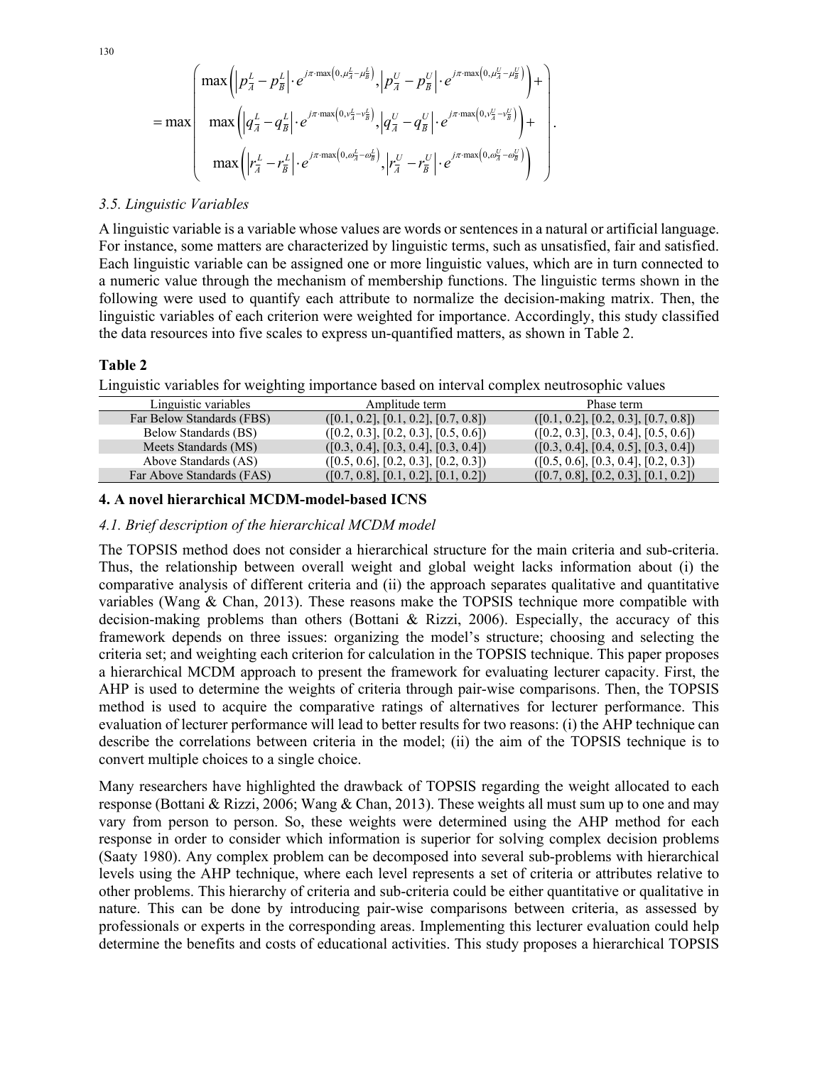$$
= \max\left(\max\left(\left|p_{\overline{A}}^{L}-p_{\overline{B}}^{L}\right| \cdot e^{j\pi \cdot \max\left(0,\mu_{\overline{A}}^{L}-\mu_{\overline{B}}^{L}\right)}, \left|p_{\overline{A}}^{U}-p_{\overline{B}}^{U}\right| \cdot e^{j\pi \cdot \max\left(0,\mu_{\overline{A}}^{U}-\mu_{\overline{B}}^{U}\right)}\right) + \right) \\ \max\left(\left|q_{\overline{A}}^{L}-q_{\overline{B}}^{L}\right| \cdot e^{j\pi \cdot \max\left(0,\nu_{\overline{A}}^{L}-\nu_{\overline{B}}^{L}\right)}, \left|q_{\overline{A}}^{U}-q_{\overline{B}}^{U}\right| \cdot e^{j\pi \cdot \max\left(0,\nu_{\overline{A}}^{U}-\nu_{\overline{B}}^{U}\right)}\right) + \\ \max\left(\left|r_{\overline{A}}^{L}-r_{\overline{B}}^{L}\right| \cdot e^{j\pi \cdot \max\left(0,\omega_{\overline{A}}^{L}-\omega_{\overline{B}}^{L}\right)}, \left|r_{\overline{A}}^{U}-r_{\overline{B}}^{U}\right| \cdot e^{j\pi \cdot \max\left(0,\omega_{\overline{A}}^{U}-\omega_{\overline{B}}^{U}\right)}\right)\right)
$$

#### *3.5. Linguistic Variables*

A linguistic variable is a variable whose values are words or sentences in a natural or artificial language. For instance, some matters are characterized by linguistic terms, such as unsatisfied, fair and satisfied. Each linguistic variable can be assigned one or more linguistic values, which are in turn connected to a numeric value through the mechanism of membership functions. The linguistic terms shown in the following were used to quantify each attribute to normalize the decision-making matrix. Then, the linguistic variables of each criterion were weighted for importance. Accordingly, this study classified the data resources into five scales to express un-quantified matters, as shown in Table 2.

.

#### **Table 2**

Linguistic variables for weighting importance based on interval complex neutrosophic values

| Linguistic variables      | Amplitude term                       | Phase term                           |
|---------------------------|--------------------------------------|--------------------------------------|
| Far Below Standards (FBS) | ([0.1, 0.2], [0.1, 0.2], [0.7, 0.8]) | ([0.1, 0.2], [0.2, 0.3], [0.7, 0.8]) |
| Below Standards (BS)      | ([0.2, 0.3], [0.2, 0.3], [0.5, 0.6]) | ([0.2, 0.3], [0.3, 0.4], [0.5, 0.6]) |
| Meets Standards (MS)      | ([0.3, 0.4], [0.3, 0.4], [0.3, 0.4]) | ([0.3, 0.4], [0.4, 0.5], [0.3, 0.4]) |
| Above Standards (AS)      | ([0.5, 0.6], [0.2, 0.3], [0.2, 0.3]) | ([0.5, 0.6], [0.3, 0.4], [0.2, 0.3]) |
| Far Above Standards (FAS) | ([0.7, 0.8], [0.1, 0.2], [0.1, 0.2]) | ([0.7, 0.8], [0.2, 0.3], [0.1, 0.2]) |

#### **4. A novel hierarchical MCDM-model-based ICNS**

#### *4.1. Brief description of the hierarchical MCDM model*

The TOPSIS method does not consider a hierarchical structure for the main criteria and sub-criteria. Thus, the relationship between overall weight and global weight lacks information about (i) the comparative analysis of different criteria and (ii) the approach separates qualitative and quantitative variables (Wang  $\&$  Chan, 2013). These reasons make the TOPSIS technique more compatible with decision-making problems than others (Bottani & Rizzi, 2006). Especially, the accuracy of this framework depends on three issues: organizing the model's structure; choosing and selecting the criteria set; and weighting each criterion for calculation in the TOPSIS technique. This paper proposes a hierarchical MCDM approach to present the framework for evaluating lecturer capacity. First, the AHP is used to determine the weights of criteria through pair-wise comparisons. Then, the TOPSIS method is used to acquire the comparative ratings of alternatives for lecturer performance. This evaluation of lecturer performance will lead to better results for two reasons: (i) the AHP technique can describe the correlations between criteria in the model; (ii) the aim of the TOPSIS technique is to convert multiple choices to a single choice.

Many researchers have highlighted the drawback of TOPSIS regarding the weight allocated to each response (Bottani & Rizzi, 2006; Wang & Chan, 2013). These weights all must sum up to one and may vary from person to person. So, these weights were determined using the AHP method for each response in order to consider which information is superior for solving complex decision problems (Saaty 1980). Any complex problem can be decomposed into several sub-problems with hierarchical levels using the AHP technique, where each level represents a set of criteria or attributes relative to other problems. This hierarchy of criteria and sub-criteria could be either quantitative or qualitative in nature. This can be done by introducing pair-wise comparisons between criteria, as assessed by professionals or experts in the corresponding areas. Implementing this lecturer evaluation could help determine the benefits and costs of educational activities. This study proposes a hierarchical TOPSIS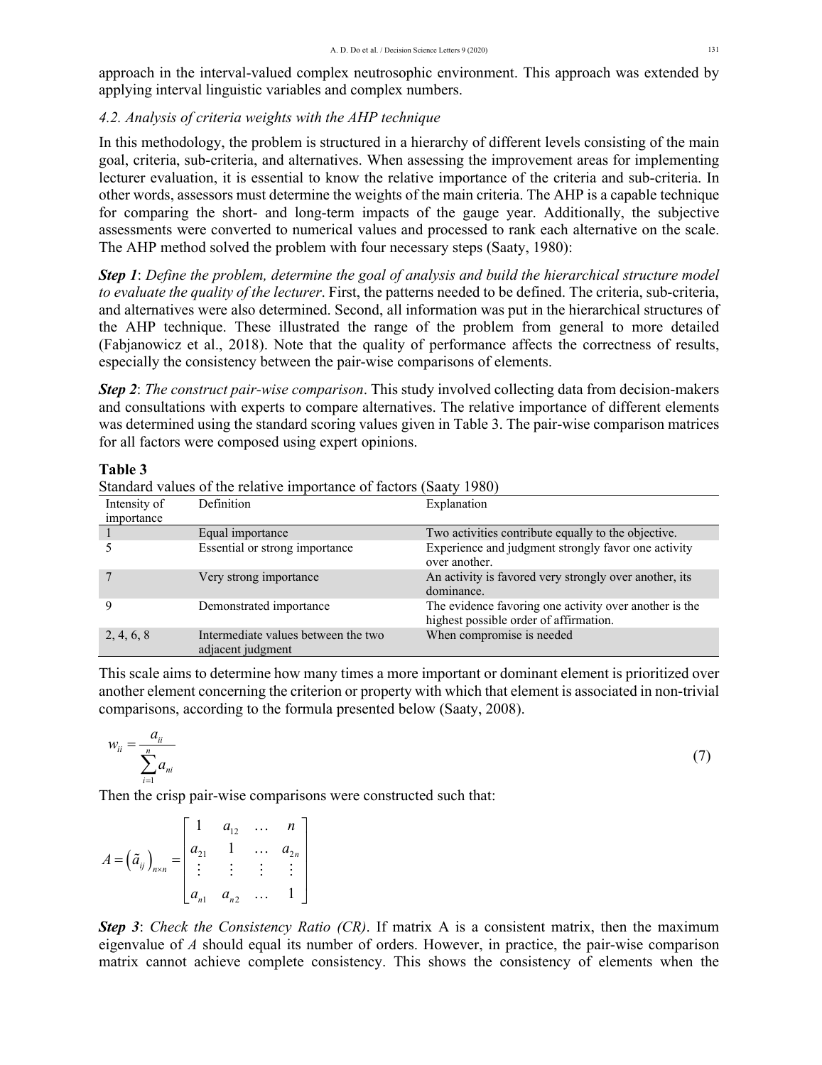approach in the interval-valued complex neutrosophic environment. This approach was extended by applying interval linguistic variables and complex numbers.

# *4.2. Analysis of criteria weights with the AHP technique*

In this methodology, the problem is structured in a hierarchy of different levels consisting of the main goal, criteria, sub-criteria, and alternatives. When assessing the improvement areas for implementing lecturer evaluation, it is essential to know the relative importance of the criteria and sub-criteria. In other words, assessors must determine the weights of the main criteria. The AHP is a capable technique for comparing the short- and long-term impacts of the gauge year. Additionally, the subjective assessments were converted to numerical values and processed to rank each alternative on the scale. The AHP method solved the problem with four necessary steps (Saaty, 1980):

*Step 1*: *Define the problem, determine the goal of analysis and build the hierarchical structure model to evaluate the quality of the lecturer*. First, the patterns needed to be defined. The criteria, sub-criteria, and alternatives were also determined. Second, all information was put in the hierarchical structures of the AHP technique. These illustrated the range of the problem from general to more detailed (Fabjanowicz et al., 2018). Note that the quality of performance affects the correctness of results, especially the consistency between the pair-wise comparisons of elements.

*Step 2*: *The construct pair-wise comparison*. This study involved collecting data from decision-makers and consultations with experts to compare alternatives. The relative importance of different elements was determined using the standard scoring values given in Table 3. The pair-wise comparison matrices for all factors were composed using expert opinions.

#### **Table 3**

Standard values of the relative importance of factors (Saaty 1980)

| Intensity of | <b>Definition</b>                                        | Explanation                                                                                      |
|--------------|----------------------------------------------------------|--------------------------------------------------------------------------------------------------|
| importance   |                                                          |                                                                                                  |
|              | Equal importance                                         | Two activities contribute equally to the objective.                                              |
|              | Essential or strong importance                           | Experience and judgment strongly favor one activity<br>over another.                             |
|              | Very strong importance                                   | An activity is favored very strongly over another, its<br>dominance.                             |
|              | Demonstrated importance                                  | The evidence favoring one activity over another is the<br>highest possible order of affirmation. |
| 2, 4, 6, 8   | Intermediate values between the two<br>adjacent judgment | When compromise is needed                                                                        |

This scale aims to determine how many times a more important or dominant element is prioritized over another element concerning the criterion or property with which that element is associated in non-trivial comparisons, according to the formula presented below (Saaty, 2008).

$$
w_{ii} = \frac{a_{ii}}{\sum_{i=1}^{n} a_{ni}} \tag{7}
$$

Then the crisp pair-wise comparisons were constructed such that:

$$
A = \left(\tilde{a}_{ij}\right)_{n \times n} = \begin{bmatrix} 1 & a_{12} & \dots & n \\ a_{21} & 1 & \dots & a_{2n} \\ \vdots & \vdots & \vdots & \vdots \\ a_{n1} & a_{n2} & \dots & 1 \end{bmatrix}
$$

*Step 3*: *Check the Consistency Ratio (CR)*. If matrix A is a consistent matrix, then the maximum eigenvalue of *A* should equal its number of orders. However, in practice, the pair-wise comparison matrix cannot achieve complete consistency. This shows the consistency of elements when the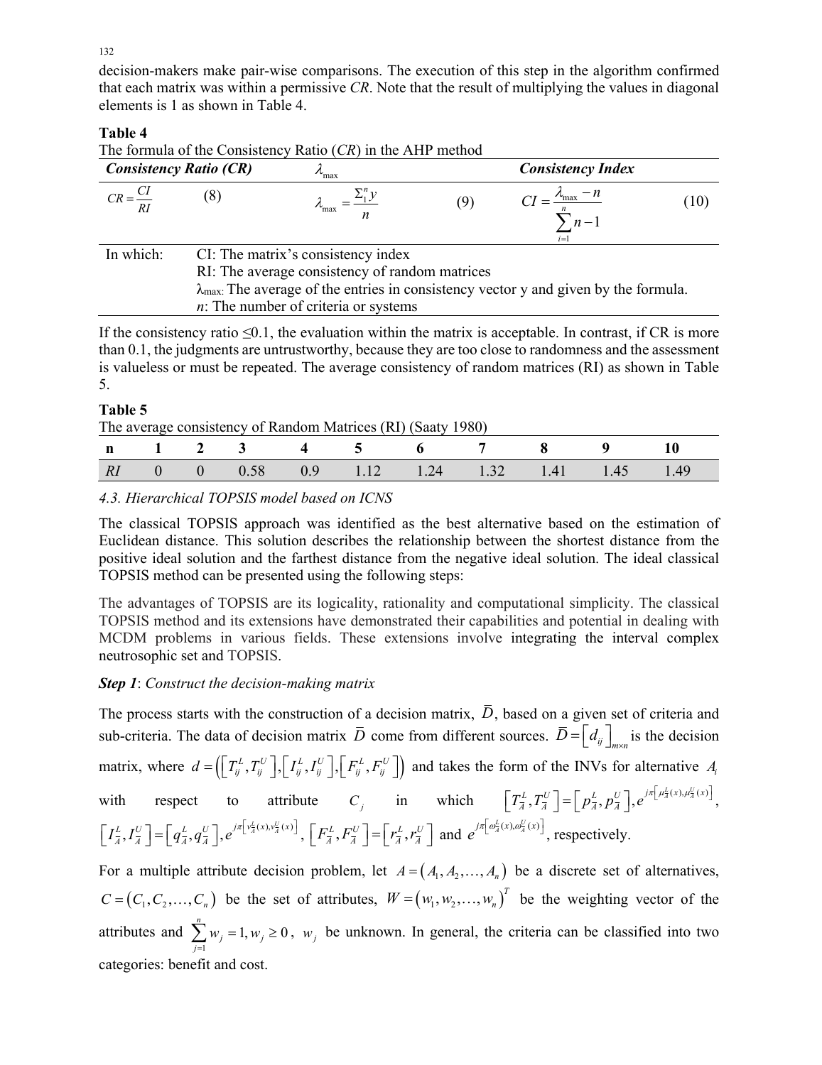decision-makers make pair-wise comparisons. The execution of this step in the algorithm confirmed that each matrix was within a permissive *CR*. Note that the result of multiplying the values in diagonal elements is 1 as shown in Table 4.

# **Table 4**

The formula of the Consistency Ratio (*CR*) in the AHP method

| <b>Consistency Ratio (CR)</b> |  | $v_{\text{max}}$                                                                                      | <b>Consistency Index</b> |                                              |      |  |  |
|-------------------------------|--|-------------------------------------------------------------------------------------------------------|--------------------------|----------------------------------------------|------|--|--|
| $CR = \frac{CI}{I}$<br>RI     |  |                                                                                                       | (9)                      | $\lambda_{\text{max}} - n$<br>$n-1$<br>$i=1$ | (10) |  |  |
| In which:                     |  | CI: The matrix's consistency index                                                                    |                          |                                              |      |  |  |
|                               |  | RI: The average consistency of random matrices                                                        |                          |                                              |      |  |  |
|                               |  | $\lambda_{\text{max}}$ . The average of the entries in consistency vector y and given by the formula. |                          |                                              |      |  |  |
|                               |  | $n$ : The number of criteria or systems                                                               |                          |                                              |      |  |  |

If the consistency ratio  $\leq 0.1$ , the evaluation within the matrix is acceptable. In contrast, if CR is more than 0.1, the judgments are untrustworthy, because they are too close to randomness and the assessment is valueless or must be repeated. The average consistency of random matrices (RI) as shown in Table 5.

# **Table 5**

| The average consistency of Random Matrices (RI) (Saaty 1980) |  |  |  |
|--------------------------------------------------------------|--|--|--|
|--------------------------------------------------------------|--|--|--|

|    |  | n 1 2 3 4 5 |  | 6 7 8                                                                   |  |  |
|----|--|-------------|--|-------------------------------------------------------------------------|--|--|
| RI |  |             |  | $0 \t 0 \t 0.58 \t 0.9 \t 1.12 \t 1.24 \t 1.32 \t 1.41 \t 1.45 \t 1.49$ |  |  |

*4.3. Hierarchical TOPSIS model based on ICNS* 

The classical TOPSIS approach was identified as the best alternative based on the estimation of Euclidean distance. This solution describes the relationship between the shortest distance from the positive ideal solution and the farthest distance from the negative ideal solution. The ideal classical TOPSIS method can be presented using the following steps:

The advantages of TOPSIS are its logicality, rationality and computational simplicity. The classical TOPSIS method and its extensions have demonstrated their capabilities and potential in dealing with MCDM problems in various fields. These extensions involve integrating the interval complex neutrosophic set and TOPSIS.

# *Step 1*: *Construct the decision-making matrix*

The process starts with the construction of a decision matrix,  $\bar{D}$ , based on a given set of criteria and sub-criteria. The data of decision matrix  $\overline{D}$  come from different sources.  $\overline{D} = \begin{bmatrix} d_{ij} \end{bmatrix}_{m \times n}$  is the decision matrix, where  $d = (\left[\begin{matrix}T_{ij}^L, T_{ij}^U\end{matrix}\right], \left[\begin{matrix}I_{ij}^L, I_{ij}^U\end{matrix}\right], \left[\begin{matrix}F_{ij}^L, F_{ij}^U\end{matrix}\right])$  and takes the form of the INVs for alternative  $A_i$ with respect to attribute  $C_j$  in which  $\left[T_{\overline{A}}^L, T_{\overline{A}}^U\right] = \left[p_{\overline{A}}^L, p_{\overline{A}}^U\right], e^{j\pi\left[\mu_{\overline{A}}^L(x), \mu_{\overline{A}}^U(x)\right]},$  $\begin{bmatrix} I_{\overline{A}}^L, I_{\overline{A}}^U \end{bmatrix} = \begin{bmatrix} q_{\overline{A}}^L, q_{\overline{A}}^U \end{bmatrix}, e^{j\pi \begin{bmatrix} v_{\overline{A}}^L(x), v_{\overline{A}}^U(x) \end{bmatrix}}, \begin{bmatrix} F_{\overline{A}}^L, F_{\overline{A}}^U \end{bmatrix} = \begin{bmatrix} r_{\overline{A}}^L, r_{\overline{A}}^U \end{bmatrix}$  and  $e^{j\pi \begin{bmatrix} \omega_{\overline{A}}^L(x), \omega_{\overline{A}}^U(x) \$ 

For a multiple attribute decision problem, let  $A = (A_1, A_2, \ldots, A_n)$  be a discrete set of alternatives,  $C = (C_1, C_2, \ldots, C_n)$  be the set of attributes,  $W = (w_1, w_2, \ldots, w_n)^T$  be the weighting vector of the attributes and  $\sum_{j=1}^{n} w_j = 1, w_j \ge 0$  $\sum_{j=1}^{N}$   $\frac{W_j - 1}{N}$  $w_i = 1, w$  $\sum_{j=1} w_j = 1, w_j \ge 0$ ,  $w_j$  be unknown. In general, the criteria can be classified into two categories: benefit and cost.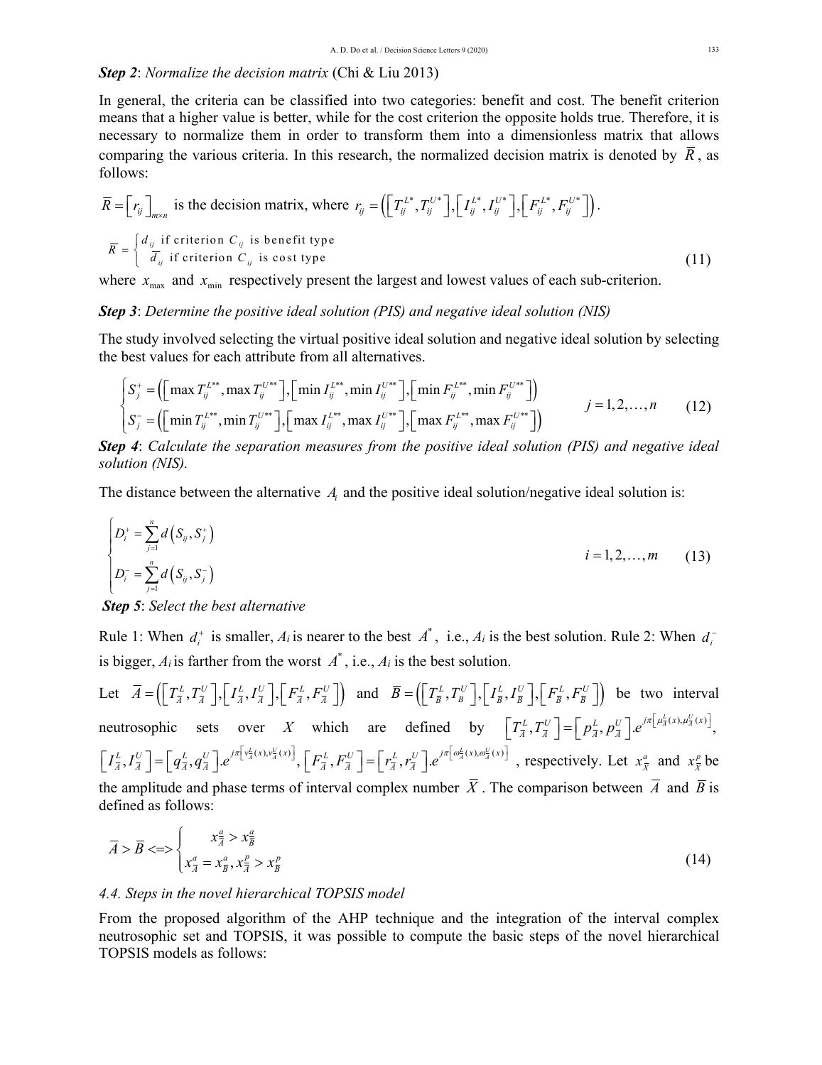# *Step 2*: *Normalize the decision matrix* (Chi & Liu 2013)

In general, the criteria can be classified into two categories: benefit and cost. The benefit criterion means that a higher value is better, while for the cost criterion the opposite holds true. Therefore, it is necessary to normalize them in order to transform them into a dimensionless matrix that allows comparing the various criteria. In this research, the normalized decision matrix is denoted by  $\overline{R}$ , as follows:

$$
\overline{R} = \left[r_{ij}\right]_{m \times n} \text{ is the decision matrix, where } r_{ij} = \left(\left[T_{ij}^{L^*}, T_{ij}^{U^*}\right], \left[I_{ij}^{L^*}, I_{ij}^{U^*}\right], \left[F_{ij}^{L^*}, F_{ij}^{U^*}\right]\right).
$$
\n
$$
\overline{R} = \begin{cases} d_{ij} & \text{if criterion } C_{ij} \text{ is benefit type} \\ \overline{d}_{ij} & \text{if criterion } C_{ij} \text{ is cost type} \end{cases} \tag{11}
$$

where  $x_{\text{max}}$  and  $x_{\text{min}}$  respectively present the largest and lowest values of each sub-criterion.

#### *Step 3*: *Determine the positive ideal solution (PIS) and negative ideal solution (NIS)*

The study involved selecting the virtual positive ideal solution and negative ideal solution by selecting the best values for each attribute from all alternatives.

$$
\begin{cases}\nS_j^+ = \left(\left[\max T_{ij}^{L^{**}}, \max T_{ij}^{U^{**}}\right], \left[\min I_{ij}^{L^{**}}, \min I_{ij}^{U^{**}}\right], \left[\min F_{ij}^{L^{**}}, \min F_{ij}^{U^{**}}\right]\right) \\
S_j^- = \left(\left[\min T_{ij}^{L^{**}}, \min T_{ij}^{U^{**}}\right], \left[\max I_{ij}^{L^{**}}, \max I_{ij}^{U^{**}}\right], \left[\max F_{ij}^{L^{**}}, \max F_{ij}^{U^{**}}\right]\right)\n\end{cases}\n\quad j = 1, 2, ..., n\n\tag{12}
$$

*Step 4*: *Calculate the separation measures from the positive ideal solution (PIS) and negative ideal solution (NIS).*

The distance between the alternative *Ai* and the positive ideal solution/negative ideal solution is:

$$
\begin{cases}\nD_i^+ = \sum_{j=1}^n d(S_{ij}, S_j^+)\n\end{cases}
$$
\n
$$
i = 1, 2, ..., m
$$
\n(13)\n
$$
i = 1, 2, ..., m
$$

 *Step 5*: *Select the best alternative*

Rule 1: When  $d_i^+$  is smaller,  $A_i$  is nearer to the best  $A^*$ , i.e.,  $A_i$  is the best solution. Rule 2: When  $d_i^$ is bigger,  $A_i$  is farther from the worst  $A^*$ , i.e.,  $A_i$  is the best solution.

Let  $\overline{A} = (\left[\overline{T_A^L}, T_{\overline{A}}^U\right], \left[\overline{I_A^L}, I_{\overline{A}}^U\right], \left[\overline{F_{\overline{A}}^L}, F_{\overline{A}}^U\right]$  and  $\overline{B} = (\left[\overline{T_B^L}, T_B^U\right], \left[\overline{I_B^L}, I_{\overline{B}}^U\right], \left[\overline{F_{\overline{B}}^L}, F_{\overline{B}}^U\right]$  be two interval neutrosophic sets over *X* which are defined by  $\left[T_{\overline{A}}^{L}, T_{\overline{A}}^{U}\right] = \left[p_{\overline{A}}^{L}, p_{\overline{A}}^{U}\right] e^{j\pi\left[\mu_{\overline{A}}^{L}(x), \mu_{\overline{A}}^{U}(x)\right]},$  $\left[I_{\overline{A}}^{L}, I_{\overline{A}}^{U}\right] = \left[q_{\overline{A}}^{L}, q_{\overline{A}}^{U}\right] e^{j\pi\left[v_{\overline{A}}^{L}(x), v_{\overline{A}}^{U}(x)\right]}, \left[F_{\overline{A}}^{L}, F_{\overline{A}}^{U}\right] = \left[r_{\overline{A}}^{L}, r_{\overline{A}}^{U}\right] e^{j\pi\left[\omega_{\overline{A}}^{L}(x), \omega_{\overline{A}}^{U}(x)\right]}$ , respectively. Let  $x_{\overline{X}}^{a}$  and  $x_{$ the amplitude and phase terms of interval complex number  $\overline{X}$ . The comparison between  $\overline{A}$  and  $\overline{B}$  is defined as follows:

$$
\overline{A} > \overline{B} \le \ge \begin{cases} x_{\overline{A}}^a > x_{\overline{B}}^a \\ x_{\overline{A}}^a = x_{\overline{B}}^a, x_{\overline{A}}^{\underline{p}} > x_{\overline{B}}^p \end{cases} \tag{14}
$$

### *4.4. Steps in the novel hierarchical TOPSIS model*

From the proposed algorithm of the AHP technique and the integration of the interval complex neutrosophic set and TOPSIS, it was possible to compute the basic steps of the novel hierarchical TOPSIS models as follows: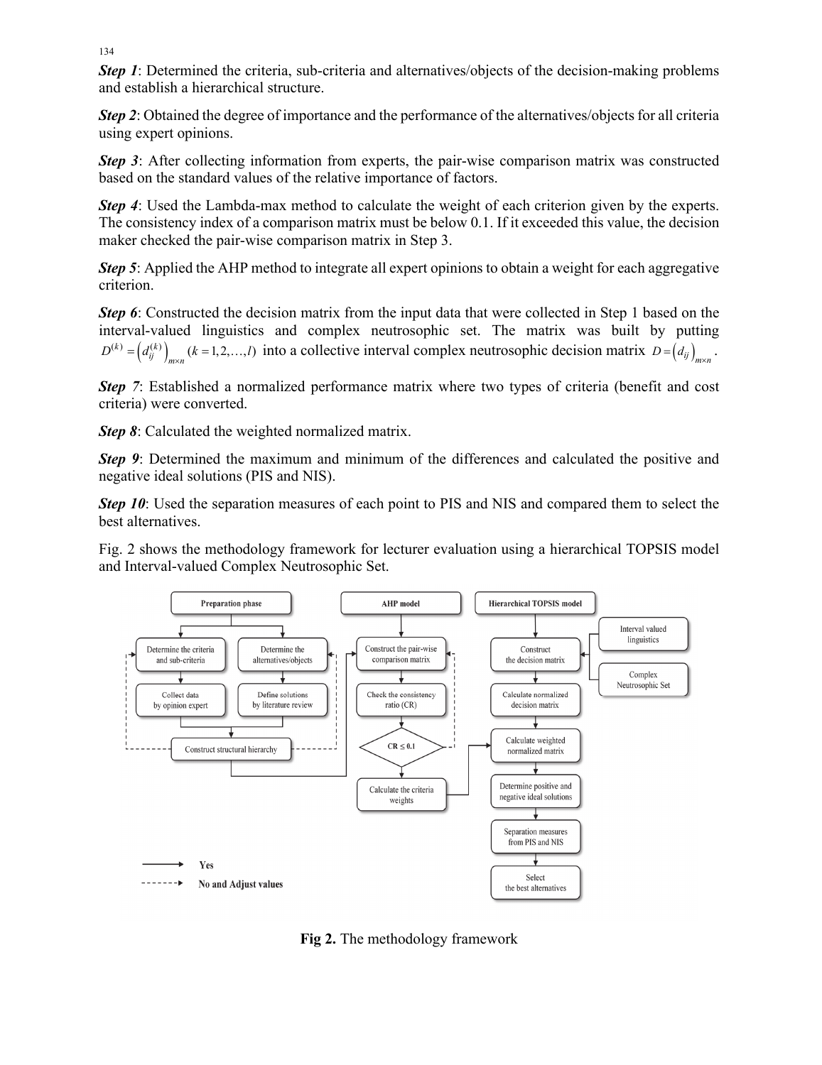*Step 1*: Determined the criteria, sub-criteria and alternatives/objects of the decision-making problems and establish a hierarchical structure.

*Step 2*: Obtained the degree of importance and the performance of the alternatives/objects for all criteria using expert opinions.

*Step 3*: After collecting information from experts, the pair-wise comparison matrix was constructed based on the standard values of the relative importance of factors.

*Step 4*: Used the Lambda-max method to calculate the weight of each criterion given by the experts. The consistency index of a comparison matrix must be below 0.1. If it exceeded this value, the decision maker checked the pair-wise comparison matrix in Step 3.

*Step 5*: Applied the AHP method to integrate all expert opinions to obtain a weight for each aggregative criterion.

*Step 6*: Constructed the decision matrix from the input data that were collected in Step 1 based on the interval-valued linguistics and complex neutrosophic set. The matrix was built by putting  $D^{(k)} = (d_{ij}^{(k)})_{m \times n}$  ( $k = 1, 2, ..., l$ ) into a collective interval complex neutrosophic decision matrix  $D = (d_{ij})_{m \times n}$ .

*Step* 7: Established a normalized performance matrix where two types of criteria (benefit and cost criteria) were converted.

*Step 8*: Calculated the weighted normalized matrix.

*Step 9*: Determined the maximum and minimum of the differences and calculated the positive and negative ideal solutions (PIS and NIS).

*Step 10*: Used the separation measures of each point to PIS and NIS and compared them to select the best alternatives.

Fig. 2 shows the methodology framework for lecturer evaluation using a hierarchical TOPSIS model and Interval-valued Complex Neutrosophic Set.



**Fig 2.** The methodology framework

134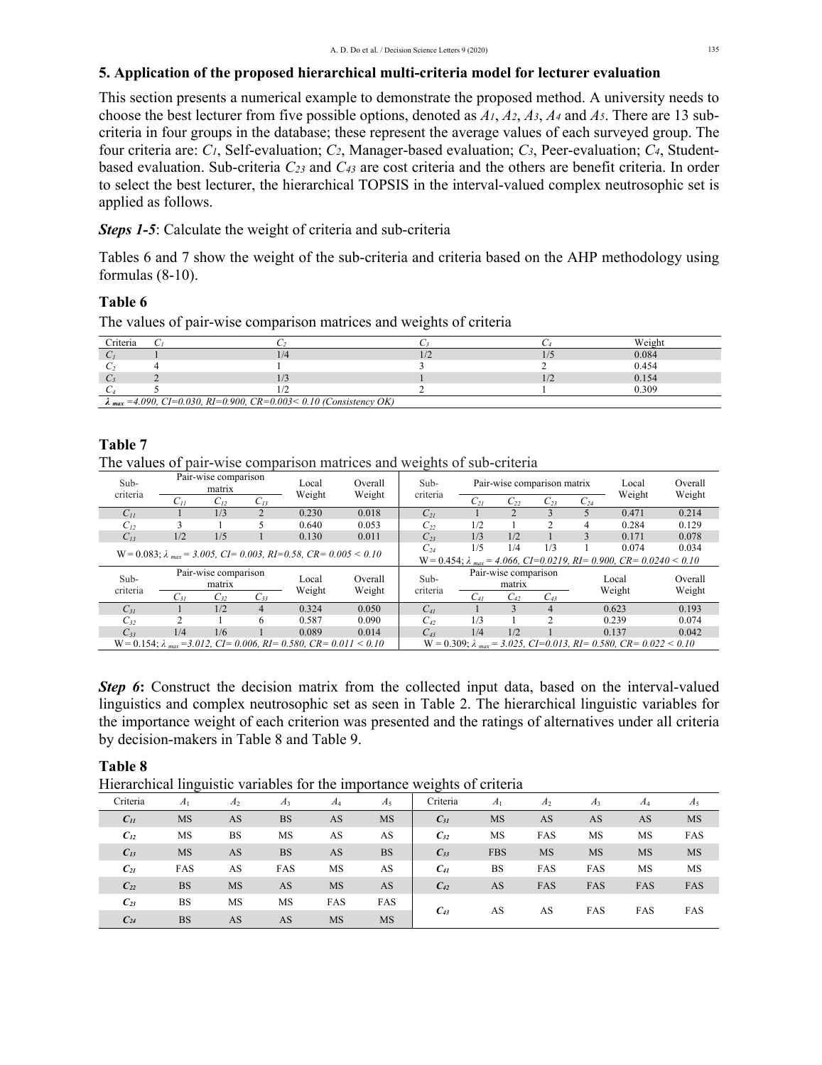## **5. Application of the proposed hierarchical multi-criteria model for lecturer evaluation**

This section presents a numerical example to demonstrate the proposed method. A university needs to choose the best lecturer from five possible options, denoted as *A1*, *A2*, *A3*, *A4* and *A5*. There are 13 subcriteria in four groups in the database; these represent the average values of each surveyed group. The four criteria are: *C1*, Self-evaluation; *C2*, Manager-based evaluation; *C3*, Peer-evaluation; *C4*, Studentbased evaluation. Sub-criteria *C23* and *C43* are cost criteria and the others are benefit criteria. In order to select the best lecturer, the hierarchical TOPSIS in the interval-valued complex neutrosophic set is applied as follows.

# *Steps 1-5*: Calculate the weight of criteria and sub-criteria

Tables 6 and 7 show the weight of the sub-criteria and criteria based on the AHP methodology using formulas (8-10).

# **Table 6**

The values of pair-wise comparison matrices and weights of criteria

| Criteria |                                                                                                                            |  | Weight |
|----------|----------------------------------------------------------------------------------------------------------------------------|--|--------|
|          |                                                                                                                            |  | 0.084  |
|          |                                                                                                                            |  | 0.454  |
|          |                                                                                                                            |  | 0.154  |
|          |                                                                                                                            |  | 0.309  |
|          | $\Omega_{\text{max}} = 4.090 \text{ } CI = 0.030 \text{ } RI = 0.900 \text{ } CR = 0.003 < 0.10 \text{ } (Consistency OK)$ |  |        |

*λ max =4.090, CI=0.030, RI=0.900, CR=0.003< 0.10 (Consistency OK)* 

# **Table 7**

The values of pair-wise comparison matrices and weights of sub-criteria

| Sub-                                                                                       |                                                | Pair-wise comparison<br>matrix |          |                                                                                           | Overall  | Sub-             |          |                                | Pair-wise comparison matrix |   | Local                                                                                     | Overall           |
|--------------------------------------------------------------------------------------------|------------------------------------------------|--------------------------------|----------|-------------------------------------------------------------------------------------------|----------|------------------|----------|--------------------------------|-----------------------------|---|-------------------------------------------------------------------------------------------|-------------------|
| criteria                                                                                   | Weight<br>Weight<br>$C_{12}$<br>$C_{13}$<br>Uп |                                | criteria | $C_{21}$                                                                                  | $C_{22}$ | $C_{23}$         | $C_{24}$ | Weight                         | Weight                      |   |                                                                                           |                   |
| $C_{II}$                                                                                   |                                                | 1/3                            |          | 0.230                                                                                     | 0.018    | $C_{2I}$         |          |                                |                             |   | 0.471                                                                                     | 0.214             |
| $C_{12}$                                                                                   |                                                |                                |          | 0.640                                                                                     | 0.053    | $C_{22}$         | 1/2      |                                | $\mathfrak{D}$              | 4 | 0.284                                                                                     | 0.129             |
| $C_{13}$                                                                                   | 1/2                                            | 1/5                            |          | 0.130                                                                                     | 0.011    | $C_{23}$         | 1/3      | 1/2                            |                             | 3 | 0.171                                                                                     | 0.078             |
| $W = 0.083$ ; $\lambda_{max} = 3.005$ , $CI = 0.003$ , $RI = 0.58$ , $CR = 0.005 \le 0.10$ |                                                |                                |          |                                                                                           |          | $C_{24}$         | 1/5      | 1/4                            | 1/3                         |   | 0.074                                                                                     | 0.034             |
|                                                                                            |                                                |                                |          |                                                                                           |          |                  |          |                                |                             |   | $W = 0.454$ ; $\lambda_{max} = 4.066$ , CI=0.0219, RI= 0.900, CR= 0.0240 < 0.10           |                   |
| Sub-<br>criteria                                                                           |                                                | Pair-wise comparison<br>matrix |          |                                                                                           | Overall  | Sub-<br>criteria |          | Pair-wise comparison<br>matrix |                             |   | Local<br>Weight                                                                           | Overall<br>Weight |
|                                                                                            | $C_{3I}$                                       | $C_{32}$                       | $C_{33}$ | Weight                                                                                    | Weight   |                  | $C_{41}$ | $C_{42}$                       | $C_{43}$                    |   |                                                                                           |                   |
| $C_{3I}$                                                                                   |                                                | 1/2                            | 4        | 0.324                                                                                     | 0.050    | $C_{41}$         |          | $\mathbf{3}$                   | $\overline{4}$              |   | 0.623                                                                                     | 0.193             |
| $C_{32}$                                                                                   |                                                |                                | 6        | 0.587                                                                                     | 0.090    | $C_{42}$         | 1/3      |                                | C                           |   | 0.239                                                                                     | 0.074             |
| $C_{33}$                                                                                   | 1/4                                            | 1/6                            |          | 0.089                                                                                     | 0.014    | $C_{43}$         | 1/4      | 1/2                            |                             |   | 0.137                                                                                     | 0.042             |
|                                                                                            |                                                |                                |          | $W = 0.154$ ; $\lambda_{max} = 3.012$ , $CI = 0.006$ , $RI = 0.580$ , $CR = 0.011 < 0.10$ |          |                  |          |                                |                             |   | $W = 0.309$ ; $\lambda_{max} = 3.025$ , $CI = 0.013$ , $RI = 0.580$ , $CR = 0.022 < 0.10$ |                   |

**Step 6:** Construct the decision matrix from the collected input data, based on the interval-valued linguistics and complex neutrosophic set as seen in Table 2. The hierarchical linguistic variables for the importance weight of each criterion was presented and the ratings of alternatives under all criteria by decision-makers in Table 8 and Table 9.

### **Table 8**

Hierarchical linguistic variables for the importance weights of criteria

| Criteria | A <sub>1</sub> | A <sub>2</sub> | $A_3$     | $A_4$     | $A_5$     | Criteria | $A_1$      | A <sub>2</sub> | $A_3$     | $A_4$     | $A_5$     |
|----------|----------------|----------------|-----------|-----------|-----------|----------|------------|----------------|-----------|-----------|-----------|
| $C_{11}$ | <b>MS</b>      | AS             | <b>BS</b> | AS        | <b>MS</b> | $C_{31}$ | MS         | AS             | AS        | AS        | MS        |
| $C_{12}$ | MS             | <b>BS</b>      | MS        | AS        | AS        | $C_{32}$ | MS         | FAS            | MS        | MS        | FAS       |
| $C_{13}$ | <b>MS</b>      | AS             | <b>BS</b> | AS        | <b>BS</b> | $C_{33}$ | <b>FBS</b> | <b>MS</b>      | <b>MS</b> | <b>MS</b> | <b>MS</b> |
| $C_{21}$ | FAS            | AS             | FAS       | <b>MS</b> | AS        | $C_{41}$ | BS         | FAS            | FAS       | MS        | <b>MS</b> |
| $C_{22}$ | <b>BS</b>      | <b>MS</b>      | AS        | <b>MS</b> | AS        | $C_{42}$ | AS         | FAS            | FAS       | FAS       | FAS       |
| $C_{23}$ | <b>BS</b>      | MS             | MS        | FAS       | FAS       |          |            |                |           |           |           |
| $C_{24}$ | <b>BS</b>      | AS             | AS        | <b>MS</b> | <b>MS</b> | $C_{43}$ | AS         | AS             | FAS       | FAS       | FAS       |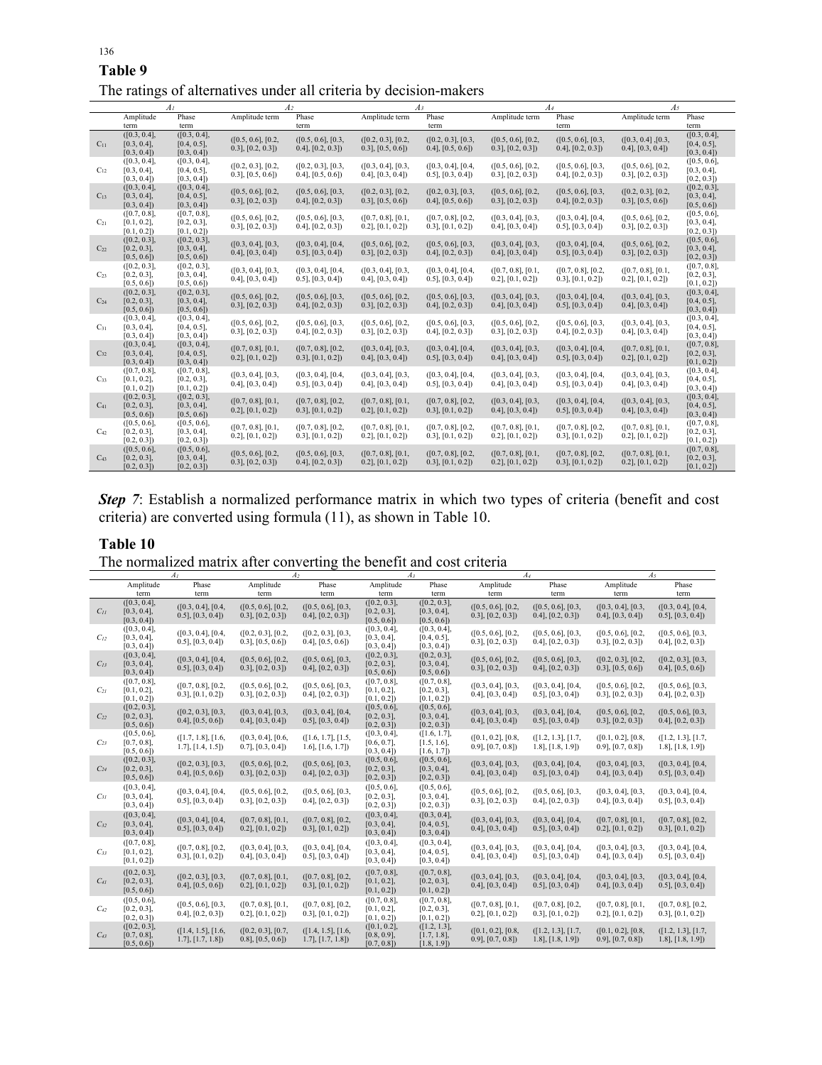| Table 9            |                | The ratings of alternatives under all criteria by decision-makers |       |                |                         |  |
|--------------------|----------------|-------------------------------------------------------------------|-------|----------------|-------------------------|--|
|                    |                |                                                                   |       |                |                         |  |
| Phase<br>Amplitude | Amplitude term | Phase<br>Amplitude term                                           | Phase | Amplitude term | Phase<br>Amplitude term |  |

|          | A <sub>I</sub>                               |                                              | A2                                           |                                              | Aз                                           |                                                | A4                                           |                                                | A5                                            |                                              |
|----------|----------------------------------------------|----------------------------------------------|----------------------------------------------|----------------------------------------------|----------------------------------------------|------------------------------------------------|----------------------------------------------|------------------------------------------------|-----------------------------------------------|----------------------------------------------|
|          | Amplitude                                    | Phase                                        | Amplitude term                               | Phase                                        | Amplitude term                               | Phase                                          | Amplitude term                               | Phase                                          | Amplitude term                                | Phase                                        |
|          | term                                         | term                                         |                                              | term                                         |                                              | term                                           |                                              | term                                           |                                               | term                                         |
| $C_{11}$ | ([0.3, 0.4],<br>$[0.3, 0.4]$ ,<br>[0.3, 0.4] | ([0.3, 0.4],<br>$[0.4, 0.5]$ ,<br>[0.3, 0.4] | ([0.5, 0.6], [0.2,<br>$[0.3]$ , $[0.2, 0.3]$ | ([0.5, 0.6], [0.3,<br>[0.4], [0.2, 0.3])     | ([0.2, 0.3], [0.2,<br>$[0.3]$ , $[0.5, 0.6]$ | ([0.2, 0.3], [0.3,<br>[0.4], [0.5, 0.6]        | ([0.5, 0.6], [0.2,<br>$[0.3]$ , $[0.2, 0.3]$ | ([0.5, 0.6], [0.3,<br>[0.4], [0.2, 0.3])       | ([0.3, 0.4], [0.3,<br>[0.4], [0.3, 0.4]       | ([0.3, 0.4],<br>$[0.4, 0.5]$ ,<br>[0.3, 0.4] |
| $C_{12}$ | ([0.3, 0.4],<br>$[0.3, 0.4]$ ,<br>[0.3, 0.4] | ([0.3, 0.4],<br>$[0.4, 0.5]$ ,<br>[0.3, 0.4] | ([0.2, 0.3], [0.2,<br>$[0.3]$ , $[0.5, 0.6]$ | ([0.2, 0.3], [0.3,<br>$[0.4]$ , $[0.5, 0.6]$ | ([0.3, 0.4], [0.3,<br>$(0.4$ ], $[0.3, 0.4]$ | ([0.3, 0.4], [0.4,<br>$[0.5]$ , $[0.3, 0.4]$   | ([0.5, 0.6], [0.2,<br>$[0.3]$ , $[0.2, 0.3]$ | ([0.5, 0.6], [0.3,<br>$[0.4]$ , $[0.2, 0.3]$   | ([0.5, 0.6], [0.2,<br>$0.3$ ], $[0.2, 0.3]$ ) | ([0.5, 0.6],<br>$[0.3, 0.4]$ ,<br>[0.2, 0.3] |
| $C_{13}$ | ([0.3, 0.4],<br>$[0.3, 0.4]$ ,<br>[0.3, 0.4] | ([0.3, 0.4],<br>$[0.4, 0.5]$ ,<br>[0.3, 0.4] | ([0.5, 0.6], [0.2,<br>$[0.3]$ , $[0.2, 0.3]$ | ([0.5, 0.6], [0.3,<br>[0.4], [0.2, 0.3])     | ([0.2, 0.3], [0.2,<br>$[0.3]$ , $[0.5, 0.6]$ | ([0.2, 0.3], [0.3,<br>[0.4], [0.5, 0.6]        | ([0.5, 0.6], [0.2,<br>$[0.3]$ , $[0.2, 0.3]$ | ([0.5, 0.6], [0.3,<br>[0.4], [0.2, 0.3])       | ([0.2, 0.3], [0.2,<br>$[0.3]$ , $[0.5, 0.6]$  | ([0.2, 0.3],<br>$[0.3, 0.4]$ ,<br>[0.5, 0.6] |
| $C_{21}$ | ([0.7, 0.8],<br>$[0.1, 0.2]$ ,<br>[0.1, 0.2] | ([0.7, 0.8],<br>$[0.2, 0.3]$ ,<br>[0.1, 0.2] | ([0.5, 0.6], [0.2,<br>$[0.3]$ , $[0.2, 0.3]$ | ([0.5, 0.6], [0.3,<br>[0.4], [0.2, 0.3])     | ([0.7, 0.8], [0.1,<br>$[0.2]$ , $[0.1, 0.2]$ | ([0.7, 0.8], [0.2,<br>$[0.3]$ , $[0.1, 0.2]$   | ([0.3, 0.4], [0.3,<br>$[0.4]$ , $[0.3, 0.4]$ | ([0.3, 0.4], [0.4,<br>$[0.5]$ , $[0.3, 0.4]$   | ([0.5, 0.6], [0.2,<br>$[0.3]$ , $[0.2, 0.3]$  | ([0.5, 0.6],<br>$[0.3, 0.4]$ ,<br>[0.2, 0.3] |
| $C_{22}$ | ([0.2, 0.3],<br>$[0.2, 0.3]$ ,<br>[0.5, 0.6] | ([0.2, 0.3],<br>$[0.3, 0.4]$ ,<br>[0.5, 0.6] | ([0.3, 0.4], [0.3,<br>[0.4], [0.3, 0.4]      | ([0.3, 0.4], [0.4,<br>$[0.5]$ , $[0.3, 0.4]$ | ([0.5, 0.6], [0.2,<br>$(0.3]$ , $[0.2, 0.3]$ | ([0.5, 0.6], [0.3,<br>$(0.4]$ , $[0.2, 0.3]$   | ([0.3, 0.4], [0.3,<br>$(0.4$ ], $[0.3, 0.4]$ | ([0.3, 0.4], [0.4,<br>$[0.5]$ , $[0.3, 0.4]$   | ([0.5, 0.6], [0.2,<br>$[0.3]$ , $[0.2, 0.3]$  | ([0.5, 0.6],<br>$[0.3, 0.4]$ ,<br>[0.2, 0.3] |
| $C_{23}$ | ([0.2, 0.3],<br>$[0.2, 0.3]$ ,<br>[0.5, 0.6] | ([0.2, 0.3],<br>$[0.3, 0.4]$ ,<br>[0.5, 0.6] | ([0.3, 0.4], [0.3,<br>[0.4], [0.3, 0.4]      | ([0.3, 0.4], [0.4,<br>$(0.5]$ , $[0.3, 0.4]$ | ([0.3, 0.4], [0.3,<br>[0.4], [0.3, 0.4]      | ([0.3, 0.4], [0.4,<br>$[0.5]$ , $[0.3, 0.4]$   | ([0.7, 0.8], [0.1,<br>$0.2$ ], [0.1, 0.2])   | ([0.7, 0.8], [0.2,<br>$[0.3]$ , $[0.1, 0.2]$   | ([0.7, 0.8], [0.1,<br>$0.2$ ], [0.1, 0.2])    | ([0.7, 0.8],<br>$[0.2, 0.3]$ ,<br>[0.1, 0.2] |
| $C_{24}$ | ([0.2, 0.3],<br>$[0.2, 0.3]$ ,<br>[0.5, 0.6] | ([0.2, 0.3],<br>$[0.3, 0.4]$ ,<br>[0.5, 0.6] | ([0.5, 0.6], [0.2,<br>$[0.3]$ , $[0.2, 0.3]$ | ([0.5, 0.6], [0.3,<br>$0.4$ ], [0.2, 0.3])   | ([0.5, 0.6], [0.2,<br>$[0.3]$ , $[0.2, 0.3]$ | ([0.5, 0.6], [0.3,<br>[0.4], [0.2, 0.3])       | ([0.3, 0.4], [0.3,<br>[0.4], [0.3, 0.4])     | ([0.3, 0.4], [0.4,<br>$[0.5]$ , $[0.3, 0.4]$   | ([0.3, 0.4], [0.3,<br>$(0.4$ ], [0.3, 0.4])   | ([0.3, 0.4],<br>$[0.4, 0.5]$ ,<br>[0.3, 0.4] |
| $C_{31}$ | ([0.3, 0.4],<br>$[0.3, 0.4]$ ,<br>[0.3, 0.4] | ([0.3, 0.4],<br>$[0.4, 0.5]$ ,<br>[0.3, 0.4] | ([0.5, 0.6], [0.2,<br>$[0.3]$ , $[0.2, 0.3]$ | ([0.5, 0.6], [0.3,<br>[0.4], [0.2, 0.3])     | ([0.5, 0.6], [0.2,<br>$[0.3]$ , $[0.2, 0.3]$ | ([0.5, 0.6], [0.3,<br>[0.4], [0.2, 0.3])       | ([0.5, 0.6], [0.2,<br>$[0.3]$ , $[0.2, 0.3]$ | ([0.5, 0.6], [0.3,<br>[0.4], [0.2, 0.3])       | ([0.3, 0.4], [0.3,<br>$[0.4]$ , $[0.3, 0.4]$  | ([0.3, 0.4],<br>$[0.4, 0.5]$ ,<br>[0.3, 0.4] |
| $C_{32}$ | ([0.3, 0.4],<br>$[0.3, 0.4]$ ,<br>[0.3, 0.4] | ([0.3, 0.4],<br>$[0.4, 0.5]$ ,<br>[0.3, 0.4] | ([0.7, 0.8], [0.1,<br>$[0.2]$ , $[0.1, 0.2]$ | ([0.7, 0.8], [0.2,<br>$[0.3]$ , $[0.1, 0.2]$ | ([0.3, 0.4], [0.3,<br>[0.4], [0.3, 0.4]      | ([0.3, 0.4], [0.4,<br>$[0.5]$ , $[0.3, 0.4]$   | ([0.3, 0.4], [0.3,<br>[0.4], [0.3, 0.4]      | ([0.3, 0.4], [0.4,<br>$[0.5]$ , $[0.3, 0.4]$   | ([0.7, 0.8], [0.1,<br>$[0.2]$ , $[0.1, 0.2]$  | ([0.7, 0.8],<br>$[0.2, 0.3]$ ,<br>[0.1, 0.2] |
| $C_{33}$ | ([0.7, 0.8],<br>$[0.1, 0.2]$ ,<br>[0.1, 0.2] | ([0.7, 0.8],<br>$[0.2, 0.3]$ ,<br>[0.1, 0.2] | ([0.3, 0.4], [0.3,<br>$[0.4]$ , $[0.3, 0.4]$ | ([0.3, 0.4], [0.4,<br>$0.5$ ], [0.3, 0.4])   | ([0.3, 0.4], [0.3,<br>$[0.4]$ , $[0.3, 0.4]$ | ([0.3, 0.4], [0.4,<br>$[0.5]$ , $[0.3, 0.4]$   | ([0.3, 0.4], [0.3,<br>$0.4$ ], [0.3, 0.4])   | ([0.3, 0.4], [0.4,<br>$0.5$ ], [0.3, 0.4])     | ([0.3, 0.4], [0.3,<br>$[0.4]$ , $[0.3, 0.4]$  | ([0.3, 0.4],<br>$[0.4, 0.5]$ ,<br>[0.3, 0.4] |
| $C_{41}$ | ([0.2, 0.3],<br>$[0.2, 0.3]$ ,<br>[0.5, 0.6] | ([0.2, 0.3],<br>$[0.3, 0.4]$ ,<br>[0.5, 0.6] | ([0.7, 0.8], [0.1,<br>$[0.2]$ , $[0.1, 0.2]$ | ([0.7, 0.8], [0.2,<br>$[0.3]$ , $[0.1, 0.2]$ | ([0.7, 0.8], [0.1,<br>$(0.2]$ , $[0.1, 0.2]$ | ([0.7, 0.8], [0.2,<br>$[0.3]$ , $[0.1, 0.2]$   | ([0.3, 0.4], [0.3,<br>$(0.4]$ , $(0.3, 0.4]$ | ([0.3, 0.4], [0.4,<br>$[0.5]$ , $[0.3, 0.4]$   | ([0.3, 0.4], [0.3,<br>[0.4], [0.3, 0.4]       | ([0.3, 0.4],<br>$[0.4, 0.5]$ ,<br>[0.3, 0.4] |
| $C_{42}$ | ([0.5, 0.6],<br>$[0.2, 0.3]$ ,<br>[0.2, 0.3] | ([0.5, 0.6],<br>$[0.3, 0.4]$ ,<br>[0.2, 0.3] | ([0.7, 0.8], [0.1,<br>$0.2$ ], [0.1, 0.2])   | ([0.7, 0.8], [0.2,<br>$[0.3]$ , $[0.1, 0.2]$ | ([0.7, 0.8], [0.1,<br>$0.2$ ], [0.1, 0.2])   | ([0.7, 0.8], [0.2,<br>$0.3$ ], [ $0.1, 0.2$ ]) | ([0.7, 0.8], [0.1,<br>$0.2$ ], [0.1, 0.2])   | ([0.7, 0.8], [0.2,<br>$0.3$ ], [ $0.1, 0.2$ ]) | ([0.7, 0.8], [0.1,<br>$0.2$ ], [0.1, 0.2])    | ([0.7, 0.8],<br>$[0.2, 0.3]$ ,<br>[0.1, 0.2] |
| $C_{43}$ | ([0.5, 0.6],<br>$[0.2, 0.3]$ ,<br>[0.2, 0.3] | ([0.5, 0.6],<br>$[0.3, 0.4]$ ,<br>[0.2, 0.3] | ([0.5, 0.6], [0.2,<br>$[0.3]$ , $[0.2, 0.3]$ | ([0.5, 0.6], [0.3,<br>[0.4], [0.2, 0.3])     | ([0.7, 0.8], [0.1,<br>$[0.2]$ , $[0.1, 0.2]$ | ([0.7, 0.8], [0.2,<br>$[0.3]$ , $[0.1, 0.2]$   | ([0.7, 0.8], [0.1,<br>$[0.2]$ , $[0.1, 0.2]$ | ([0.7, 0.8], [0.2,<br>$[0.3]$ , $[0.1, 0.2]$   | ([0.7, 0.8], [0.1,<br>$[0.2]$ , $[0.1, 0.2]$  | ([0.7, 0.8],<br>$[0.2, 0.3]$ ,<br>[0.1, 0.2] |

*Step 7*: Establish a normalized performance matrix in which two types of criteria (benefit and cost criteria) are converted using formula (11), as shown in Table 10.

# **Table 10** The normalized matrix after converting the benefit and cost criteria

| $\alpha$ $\beta$<br>A <sub>I</sub> |                                              |                                                |                                              | $\cdots$<br>A <sub>2</sub>                   | benent and cost enterna<br>$A_3$             |                                              |                                                | $A_4$                                             | As                                             |                                              |  |
|------------------------------------|----------------------------------------------|------------------------------------------------|----------------------------------------------|----------------------------------------------|----------------------------------------------|----------------------------------------------|------------------------------------------------|---------------------------------------------------|------------------------------------------------|----------------------------------------------|--|
|                                    | Amplitude<br>term                            | Phase<br>term                                  | Amplitude<br>term                            | Phase<br>term                                | Amplitude<br>term                            | Phase<br>term                                | Amplitude<br>term                              | Phase<br>term                                     | Amplitude<br>term                              | Phase<br>term                                |  |
| $C_{II}$                           | ([0.3, 0.4],<br>$[0.3, 0.4]$ ,<br>[0.3, 0.4] | ([0.3, 0.4], [0.4,<br>$(0.5]$ , $[0.3, 0.4]$   | ([0.5, 0.6], [0.2,<br>$[0.3]$ , $[0.2, 0.3]$ | ([0.5, 0.6], [0.3,<br>[0.4], [0.2, 0.3])     | ([0.2, 0.3],<br>$[0.2, 0.3]$ ,<br>[0.5, 0.6] | ([0.2, 0.3],<br>$[0.3, 0.4]$ ,<br>[0.5, 0.6] | ([0.5, 0.6], [0.2,<br>$(0.3]$ , $[0.2, 0.3]$   | ([0.5, 0.6], [0.3,<br>[0.4], [0.2, 0.3])          | ([0.3, 0.4], [0.3,<br>$[0.4]$ , $[0.3, 0.4]$   | ([0.3, 0.4], [0.4,<br>$[0.5]$ , $[0.3, 0.4]$ |  |
| $C_{12}$                           | ([0.3, 0.4],<br>$[0.3, 0.4]$ ,<br>[0.3, 0.4] | ([0.3, 0.4], [0.4,<br>$0.5$ ], [0.3, 0.4])     | ([0.2, 0.3], [0.2,<br>$[0.3]$ , $[0.5, 0.6]$ | ([0.2, 0.3], [0.3,<br>[0.4], [0.5, 0.6]      | ([0.3, 0.4],<br>$[0.3, 0.4]$ ,<br>[0.3, 0.4] | ([0.3, 0.4],<br>$[0.4, 0.5]$ ,<br>[0.3, 0.4] | ([0.5, 0.6], [0.2,<br>$(0.3]$ , $[0.2, 0.3]$   | ([0.5, 0.6], [0.3,<br>$(0.4$ ], $[0.2, 0.3]$      | ([0.5, 0.6], [0.2,<br>$(0.3$ ], $[0.2, 0.3]$   | ([0.5, 0.6], [0.3,<br>[0.4], [0.2, 0.3])     |  |
| $C_{13}$                           | ([0.3, 0.4],<br>$[0.3, 0.4]$ ,<br>[0.3, 0.4] | ([0.3, 0.4], [0.4,<br>$(0.5]$ , $[0.3, 0.4]$   | ([0.5, 0.6], [0.2,<br>$[0.3]$ , $[0.2, 0.3]$ | ([0.5, 0.6], [0.3,<br>[0.4], [0.2, 0.3])     | ([0.2, 0.3],<br>$[0.2, 0.3]$ ,<br>[0.5, 0.6] | ([0.2, 0.3],<br>$[0.3, 0.4]$ ,<br>[0.5, 0.6] | ([0.5, 0.6], [0.2,<br>$[0.3]$ , $[0.2, 0.3]$   | ([0.5, 0.6], [0.3,<br>$(0.4]$ , $[0.2, 0.3]$      | ([0.2, 0.3], [0.2,<br>$[0.3]$ , $[0.5, 0.6]$   | ([0.2, 0.3], [0.3,<br>[0.4], [0.5, 0.6]      |  |
| $C_{2I}$                           | ([0.7, 0.8],<br>$[0.1, 0.2]$ ,<br>[0.1, 0.2] | ([0.7, 0.8], [0.2,<br>$[0.3]$ , $[0.1, 0.2]$   | ([0.5, 0.6], [0.2,<br>$[0.3]$ , $[0.2, 0.3]$ | ([0.5, 0.6], [0.3,<br>[0.4], [0.2, 0.3])     | ([0.7, 0.8],<br>$[0.1, 0.2]$ ,<br>[0.1, 0.2] | ([0.7, 0.8],<br>$[0.2, 0.3]$ ,<br>[0.1, 0.2] | ([0.3, 0.4], [0.3,<br>$0.4$ ], [0.3, 0.4])     | ([0.3, 0.4], [0.4,<br>$[0.5]$ , $[0.3, 0.4]$      | ([0.5, 0.6], [0.2,<br>$[0.3]$ , $[0.2, 0.3]$   | ([0.5, 0.6], [0.3,<br>[0.4], [0.2, 0.3])     |  |
| $C_{22}$                           | ([0.2, 0.3],<br>$[0.2, 0.3]$ ,<br>[0.5, 0.6] | ([0.2, 0.3], [0.3,<br>$[0.4]$ , $[0.5, 0.6]$   | ([0.3, 0.4], [0.3,<br>$[0.4]$ , $[0.3, 0.4]$ | ([0.3, 0.4], [0.4,<br>$[0.5]$ , $[0.3, 0.4]$ | ([0.5, 0.6],<br>$[0.2, 0.3]$ ,<br>[0.2, 0.3] | ([0.5, 0.6],<br>$[0.3, 0.4]$ ,<br>[0.2, 0.3] | ([0.3, 0.4], [0.3,<br>$0.4$ ], [ $0.3, 0.4$ ]) | ([0.3, 0.4], [0.4,<br>$(0.5]$ , $[0.3, 0.4]$      | ([0.5, 0.6], [0.2,<br>$[0.3]$ , $[0.2, 0.3]$   | ([0.5, 0.6], [0.3,<br>[0.4], [0.2, 0.3])     |  |
| $C_{23}$                           | ([0.5, 0.6],<br>[0.7, 0.8]<br>[0.5, 0.6]     | ([1.7, 1.8], [1.6,<br>$1.7$ ], [1.4, 1.5])     | ([0.3, 0.4], [0.6,<br>(0.7], [0.3, 0.4])     | ([1.6, 1.7], [1.5,<br>$1.6$ , $[1.6, 1.7]$   | ([0.3, 0.4],<br>$[0.6, 0.7]$ ,<br>[0.3, 0.4] | ([1.6, 1.7],<br>$[1.5, 1.6]$ ,<br>[1.6, 1.7] | ([0.1, 0.2], [0.8,<br>$0.9$ ], [0.7, 0.8])     | ([1.2, 1.3], [1.7,<br>$1.8$ ], [ $1.8$ , $1.9$ ]) | ([0.1, 0.2], [0.8,<br>$0.9$ ], $[0.7, 0.8]$    | ([1.2, 1.3], [1.7,<br>[1.8], [1.8, 1.9])     |  |
| $C_{24}$                           | ([0.2, 0.3],<br>$[0.2, 0.3]$ ,<br>[0.5, 0.6] | ([0.2, 0.3], [0.3,<br>$(0.4]$ , $[0.5, 0.6]$   | ([0.5, 0.6], [0.2,<br>$[0.3]$ , $[0.2, 0.3]$ | ([0.5, 0.6], [0.3,<br>[0.4], [0.2, 0.3])     | ([0.5, 0.6],<br>$[0.2, 0.3]$ ,<br>[0.2, 0.3] | ([0.5, 0.6],<br>$[0.3, 0.4]$ ,<br>[0.2, 0.3] | ([0.3, 0.4], [0.3,<br>$0.4$ ], [ $0.3, 0.4$ ]) | ([0.3, 0.4], [0.4,<br>$(0.5]$ , $[0.3, 0.4]$      | ([0.3, 0.4], [0.3,<br>$(0.4]$ , $[0.3, 0.4]$   | ([0.3, 0.4], [0.4,<br>$[0.5]$ , $[0.3, 0.4]$ |  |
| $C_{3I}$                           | ([0.3, 0.4],<br>$[0.3, 0.4]$ ,<br>[0.3, 0.4] | ([0.3, 0.4], [0.4,<br>$[0.5]$ , $[0.3, 0.4]$   | ([0.5, 0.6], [0.2,<br>$[0.3]$ , $[0.2, 0.3]$ | ([0.5, 0.6], [0.3,<br>[0.4], [0.2, 0.3])     | ([0.5, 0.6],<br>$[0.2, 0.3]$ ,<br>[0.2, 0.3] | ([0.5, 0.6],<br>$[0.3, 0.4]$ ,<br>[0.2, 0.3] | ([0.5, 0.6], [0.2,<br>$[0.3]$ , $[0.2, 0.3]$   | ([0.5, 0.6], [0.3,<br>$(0.4$ ], $[0.2, 0.3]$      | ([0.3, 0.4], [0.3,<br>$(0.4]$ , $[0.3, 0.4]$   | ([0.3, 0.4], [0.4,<br>$[0.5]$ , $[0.3, 0.4]$ |  |
| $C_{32}$                           | ([0.3, 0.4],<br>$[0.3, 0.4]$ ,<br>[0.3, 0.4] | ([0.3, 0.4], [0.4,<br>$(0.5]$ , $[0.3, 0.4]$   | ([0.7, 0.8], [0.1,<br>$[0.2]$ , $[0.1, 0.2]$ | ([0.7, 0.8], [0.2,<br>$[0.3]$ , $[0.1, 0.2]$ | ([0.3, 0.4],<br>$[0.3, 0.4]$ ,<br>[0.3, 0.4] | ([0.3, 0.4],<br>$[0.4, 0.5]$ ,<br>[0.3, 0.4] | ([0.3, 0.4], [0.3,<br>$(0.4]$ , $[0.3, 0.4]$   | ([0.3, 0.4], [0.4,<br>$(0.5]$ , $[0.3, 0.4]$      | ([0.7, 0.8], [0.1,<br>$[0.2]$ , $[0.1, 0.2]$   | ([0.7, 0.8], [0.2,<br>$[0.3]$ , $[0.1, 0.2]$ |  |
| $C_{33}$                           | ([0.7, 0.8],<br>$[0.1, 0.2]$ ,<br>[0.1, 0.2] | ([0.7, 0.8], [0.2,<br>$0.3$ ], [ $0.1, 0.2$ ]) | ([0.3, 0.4], [0.3,<br>$0.4$ ], [0.3, 0.4])   | ([0.3, 0.4], [0.4,<br>$(0.5]$ , $[0.3, 0.4]$ | ([0.3, 0.4],<br>$[0.3, 0.4]$ ,<br>[0.3, 0.4] | ([0.3, 0.4],<br>$[0.4, 0.5]$ ,<br>[0.3, 0.4] | ([0.3, 0.4], [0.3,<br>$0.4$ ], [0.3, 0.4])     | ([0.3, 0.4], [0.4,<br>$[0.5]$ , $[0.3, 0.4]$      | ([0.3, 0.4], [0.3,<br>$0.4$ ], [ $0.3, 0.4$ ]) | ([0.3, 0.4], [0.4,<br>$(0.5]$ , $[0.3, 0.4]$ |  |
| $C_{41}$                           | ([0.2, 0.3],<br>$[0.2, 0.3]$ ,<br>[0.5, 0.6] | ([0.2, 0.3], [0.3,<br>$(0.4]$ , $[0.5, 0.6]$   | ([0.7, 0.8], [0.1,<br>$[0.2]$ , $[0.1, 0.2]$ | ([0.7, 0.8], [0.2,<br>$[0.3]$ , $[0.1, 0.2]$ | ([0.7, 0.8],<br>$[0.1, 0.2]$ ,<br>[0.1, 0.2] | ([0.7, 0.8],<br>$[0.2, 0.3]$ ,<br>[0.1, 0.2] | ([0.3, 0.4], [0.3,<br>$0.4$ ], [ $0.3, 0.4$ ]) | ([0.3, 0.4], [0.4,<br>$(0.5]$ , $[0.3, 0.4]$      | ([0.3, 0.4], [0.3,<br>$(0.4]$ , $[0.3, 0.4]$   | ([0.3, 0.4], [0.4,<br>$[0.5]$ , $[0.3, 0.4]$ |  |
| $C_{42}$                           | ([0.5, 0.6],<br>$[0.2, 0.3]$ ,<br>[0.2, 0.3] | ([0.5, 0.6], [0.3,<br>[0.4], [0.2, 0.3])       | ([0.7, 0.8], [0.1,<br>$[0.2]$ , $[0.1, 0.2]$ | ([0.7, 0.8], [0.2,<br>$[0.3]$ , $[0.1, 0.2]$ | (0.7, 0.8]<br>$[0.1, 0.2]$ ,<br>[0.1, 0.2]   | ([0.7, 0.8],<br>$[0.2, 0.3]$ ,<br>[0.1, 0.2] | ([0.7, 0.8], [0.1,<br>$0.2$ ], [0.1, 0.2])     | ([0.7, 0.8], [0.2,<br>$[0.3]$ , $[0.1, 0.2]$      | ([0.7, 0.8], [0.1,<br>$0.2$ ], [0.1, 0.2])     | ([0.7, 0.8], [0.2,<br>$[0.3]$ , $[0.1, 0.2]$ |  |
| $C_{43}$                           | ([0.2, 0.3],<br>$[0.7, 0.8]$ ,<br>[0.5, 0.6] | ([1.4, 1.5], [1.6,<br>$1.7$ ], [1.7, 1.8])     | ([0.2, 0.3], [0.7,<br>$[0.8]$ , $[0.5, 0.6]$ | ([1.4, 1.5], [1.6,<br>$1.7$ ], [1.7, 1.8])   | ([0.1, 0.2],<br>$[0.8, 0.9]$ ,<br>[0.7, 0.8] | ([1.2, 1.3],<br>$[1.7, 1.8]$ ,<br>[1.8, 1.9] | ([0.1, 0.2], [0.8,<br>[0.9], [0.7, 0.8])       | ([1.2, 1.3], [1.7,<br>$1.8$ ], [ $1.8$ , $1.9$ ]) | ([0.1, 0.2], [0.8,<br>[0.9], [0.7, 0.8])       | ([1.2, 1.3], [1.7,<br>$1.8$ ], $[1.8, 1.9]$  |  |

136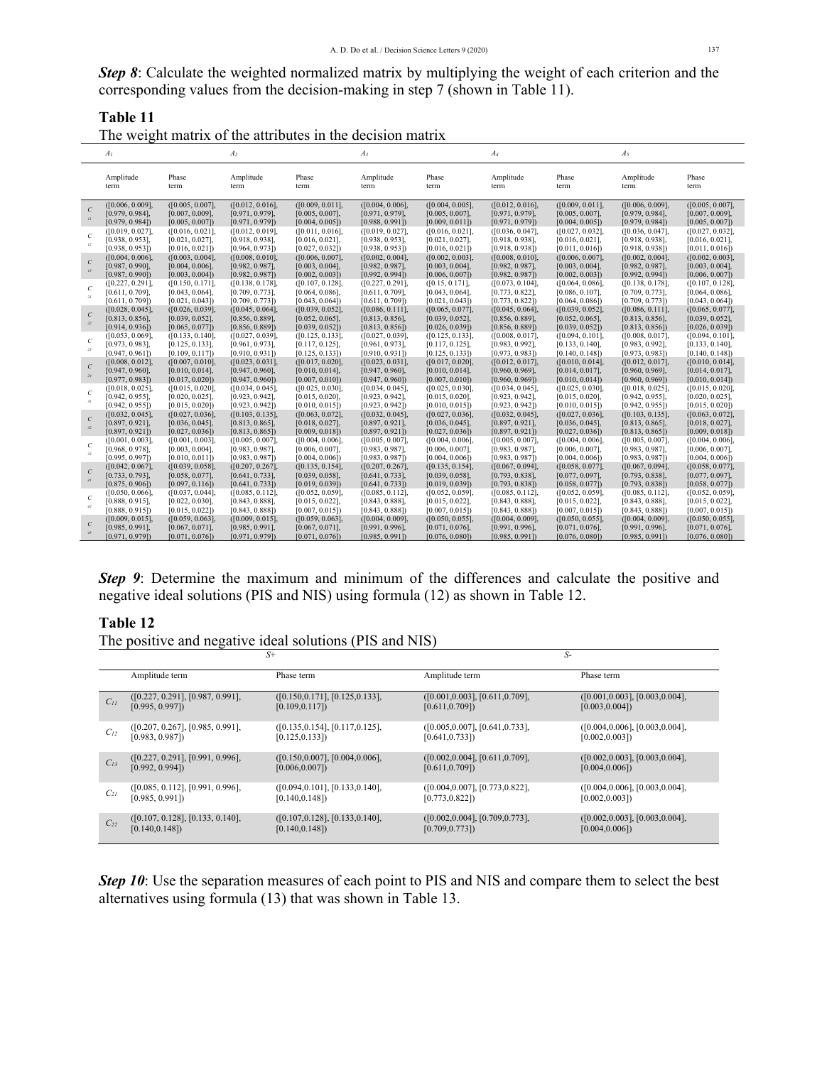*Step 8*: Calculate the weighted normalized matrix by multiplying the weight of each criterion and the corresponding values from the decision-making in step 7 (shown in Table 11).

**Table 11**

| The weight matrix of the attributes in the decision matrix |  |  |  |  |  |
|------------------------------------------------------------|--|--|--|--|--|
|                                                            |  |  |  |  |  |
|                                                            |  |  |  |  |  |

|                                             | A <sub>I</sub>                                           |                                                          | A <sub>2</sub>                                           |                                                          | $A_3$                                                    |                                                          | $A_{4}$                                                  |                                                          | $A_5$                                                    |                                                          |
|---------------------------------------------|----------------------------------------------------------|----------------------------------------------------------|----------------------------------------------------------|----------------------------------------------------------|----------------------------------------------------------|----------------------------------------------------------|----------------------------------------------------------|----------------------------------------------------------|----------------------------------------------------------|----------------------------------------------------------|
|                                             | Amplitude<br>term                                        | Phase<br>term                                            | Amplitude<br>term                                        | Phase<br>term                                            | Amplitude<br>term                                        | Phase<br>term                                            | Amplitude<br>term                                        | Phase<br>term                                            | Amplitude<br>term                                        | Phase<br>term                                            |
| $\mathcal{C}$<br>$\boldsymbol{H}$           | ([0.006, 0.009],<br>[0.979, 0.984],<br>[0.979, 0.984]    | ([0.005, 0.007],<br>$[0.007, 0.009]$ ,<br>[0.005, 0.007] | ([0.012, 0.016],<br>[0.971, 0.979],<br>[0.971, 0.979]    | ([0.009, 0.011],<br>$[0.005, 0.007]$ ,<br>[0.004, 0.005] | ([0.004, 0.006],<br>$[0.971, 0.979]$ ,<br>[0.988, 0.991] | ([0.004, 0.005],<br>$[0.005, 0.007]$ ,<br>[0.009, 0.011] | ([0.012, 0.016],<br>[0.971, 0.979],<br>[0.971, 0.979]    | ([0.009, 0.011],<br>$[0.005, 0.007]$ ,<br>[0.004, 0.005] | ([0.006, 0.009],<br>[0.979, 0.984],<br>[0.979, 0.984]    | ([0.005, 0.007],<br>[0.007, 0.009],<br>[0.005, 0.007]    |
| $\mathcal{C}$<br>12                         | ([0.019, 0.027]<br>$[0.938, 0.953]$ ,<br>[0.938, 0.953]  | ([0.016, 0.021],<br>[0.021, 0.027]<br>[0.016, 0.021]     | ([0.012, 0.019],<br>$[0.918, 0.938]$ ,<br>[0.964, 0.973] | ([0.011, 0.016],<br>$[0.016, 0.021]$ ,<br>[0.027, 0.032] | ([0.019, 0.027],<br>$[0.938, 0.953]$ ,<br>[0.938, 0.953] | ([0.016, 0.021],<br>[0.021, 0.027],<br>[0.016, 0.021]    | ([0.036, 0.047],<br>[0.918, 0.938],<br>[0.918, 0.938]    | ([0.027, 0.032],<br>$[0.016, 0.021]$ ,<br>[0.011, 0.016] | ([0.036, 0.047],<br>$[0.918, 0.938]$ ,<br>[0.918, 0.938] | ([0.027, 0.032],<br>$[0.016, 0.021]$ ,<br>[0.011, 0.016] |
| $\mathcal{C}$<br>13                         | ([0.004, 0.006],<br>[0.987, 0.990],<br>[0.987, 0.990]    | ([0.003, 0.004],<br>[0.004, 0.006],<br>[0.003, 0.004]    | ([0.008, 0.010],<br>[0.982, 0.987],<br>[0.982, 0.987]    | ([0.006, 0.007],<br>$[0.003, 0.004]$ ,<br>[0.002, 0.003] | ([0.002, 0.004],<br>[0.982, 0.987],<br>[0.992, 0.994]    | ([0.002, 0.003],<br>[0.003, 0.004],<br>[0.006, 0.007]    | ([0.008, 0.010],<br>[0.982, 0.987],<br>[0.982, 0.987]    | ([0.006, 0.007],<br>$[0.003, 0.004]$ ,<br>[0.002, 0.003] | ([0.002, 0.004],<br>[0.982, 0.987],<br>[0.992, 0.994]    | ([0.002, 0.003],<br>$[0.003, 0.004]$ ,<br>[0.006, 0.007] |
| $\mathcal{C}$<br>$\overline{\mathcal{U}}$   | ([0.227, 0.291],<br>$[0.611, 0.709]$ ,<br>[0.611, 0.709] | ([0.150, 0.171],<br>$[0.043, 0.064]$ ,<br>[0.021, 0.043] | ([0.138, 0.178],<br>$[0.709, 0.773]$ ,<br>[0.709, 0.773] | ([0.107, 0.128],<br>$[0.064, 0.086]$ ,<br>[0.043, 0.064] | ([0.227, 0.291],<br>$[0.611, 0.709]$ ,<br>[0.611, 0.709] | ([0.15, 0.171],<br>$[0.043, 0.064]$ ,<br>[0.021, 0.043]  | ([0.073, 0.104],<br>$[0.773, 0.822]$ ,<br>[0.773, 0.822] | ([0.064, 0.086],<br>$[0.086, 0.107]$ ,<br>[0.064, 0.086] | ([0.138, 0.178],<br>$[0.709, 0.773]$ ,<br>[0.709, 0.773] | ([0.107, 0.128],<br>$[0.064, 0.086]$ ,<br>[0.043, 0.064] |
| $\cal C$<br>$22\,$                          | ([0.028, 0.045],<br>$[0.813, 0.856]$ ,<br>[0.914, 0.936] | ([0.026, 0.039],<br>[0.039, 0.052]<br>[0.065, 0.077]     | ([0.045, 0.064],<br>$[0.856, 0.889]$ ,<br>[0.856, 0.889] | ([0.039, 0.052],<br>$[0.052, 0.065]$ ,<br>[0.039, 0.052] | ([0.086, 0.111],<br>$[0.813, 0.856]$ ,<br>[0.813, 0.856] | ([0.065, 0.077],<br>$[0.039, 0.052]$ ,<br>[0.026, 0.039] | ([0.045, 0.064],<br>$[0.856, 0.889]$ ,<br>[0.856, 0.889] | ([0.039, 0.052],<br>$[0.052, 0.065]$ ,<br>[0.039, 0.052] | ([0.086, 0.111],<br>$[0.813, 0.856]$ ,<br>[0.813, 0.856] | ([0.065, 0.077],<br>$[0.039, 0.052]$ ,<br>[0.026, 0.039] |
| $\mathcal{C}$<br>23                         | ([0.053, 0.069],<br>[0.973, 0.983]<br>[0.947, 0.961]     | ([0.133, 0.140],<br>[0.125, 0.133]<br>[0.109, 0.117]     | ([0.027, 0.039],<br>$[0.961, 0.973]$ ,<br>[0.910, 0.931] | ([0.125, 0.133],<br>$[0.117, 0.125]$ ,<br>[0.125, 0.133] | ([0.027, 0.039],<br>$[0.961, 0.973]$ ,<br>[0.910, 0.931] | ([0.125, 0.133],<br>$[0.117, 0.125]$ ,<br>[0.125, 0.133] | ([0.008, 0.017],<br>$[0.983, 0.992]$ ,<br>[0.973, 0.983] | ([0.094, 0.101],<br>$[0.133, 0.140]$ ,<br>[0.140, 0.148] | ([0.008, 0.017],<br>$[0.983, 0.992]$ ,<br>[0.973, 0.983] | ([0.094, 0.101],<br>$[0.133, 0.140]$ ,<br>[0.140, 0.148] |
| $\mathcal{C}$<br>24                         | ([0.008, 0.012],<br>[0.947, 0.960],<br>[0.977, 0.983]    | ([0.007, 0.010],<br>[0.010, 0.014],<br>[0.017, 0.020]    | ([0.023, 0.031],<br>[0.947, 0.960],<br>[0.947, 0.960]    | ([0.017, 0.020],<br>[0.010, 0.014],<br>[0.007, 0.010]    | ([0.023, 0.031],<br>[0.947, 0.960],<br>[0.947, 0.960]    | ([0.017, 0.020],<br>[0.010, 0.014],<br>[0.007, 0.010]    | ([0.012, 0.017],<br>[0.960, 0.969],<br>[0.960, 0.969]    | ([0.010, 0.014],<br>$[0.014, 0.017]$ ,<br>[0.010, 0.014] | ([0.012, 0.017],<br>[0.960, 0.969],<br>[0.960, 0.969]    | ([0.010, 0.014],<br>[0.014, 0.017],<br>[0.010, 0.014]    |
| $\epsilon$<br>31                            | ([0.018, 0.025],<br>[0.942, 0.955],<br>[0.942, 0.955]    | ([0.015, 0.020],<br>[0.020, 0.025]<br>[0.015, 0.020]     | ([0.034, 0.045],<br>[0.923, 0.942]<br>[0.923, 0.942]     | ([0.025, 0.030],<br>[0.015, 0.020],<br>[0.010, 0.015]    | ([0.034, 0.045],<br>[0.923, 0.942]<br>[0.923, 0.942]     | ([0.025, 0.030],<br>[0.015, 0.020],<br>[0.010, 0.015]    | ([0.034, 0.045],<br>$[0.923, 0.942]$ ,<br>[0.923, 0.942] | ([0.025, 0.030],<br>[0.015, 0.020],<br>[0.010, 0.015]    | ([0.018, 0.025],<br>[0.942, 0.955],<br>[0.942, 0.955]    | ([0.015, 0.020],<br>[0.020, 0.025],<br>[0.015, 0.020]    |
| $\mathcal{C}$<br>32                         | ([0.032, 0.045],<br>$[0.897, 0.921]$ ,<br>[0.897, 0.921] | ([0.027, 0.036],<br>[0.036, 0.045]<br>[0.027, 0.036]     | ([0.103, 0.135],<br>$[0.813, 0.865]$ ,<br>[0.813, 0.865] | ([0.063, 0.072],<br>$[0.018, 0.027]$ ,<br>[0.009, 0.018] | ([0.032, 0.045],<br>$[0.897, 0.921]$ ,<br>[0.897, 0.921] | ([0.027, 0.036],<br>$[0.036, 0.045]$ ,<br>[0.027, 0.036] | ([0.032, 0.045],<br>$[0.897, 0.921]$ ,<br>[0.897, 0.921] | ([0.027, 0.036],<br>$[0.036, 0.045]$ ,<br>[0.027, 0.036] | ([0.103, 0.135],<br>$[0.813, 0.865]$ ,<br>[0.813, 0.865] | ([0.063, 0.072],<br>$[0.018, 0.027]$ ,<br>[0.009, 0.018] |
| $\mathcal{C}$<br>$\mathfrak{z}\mathfrak{z}$ | ([0.001, 0.003],<br>$[0.968, 0.978]$ ,<br>[0.995, 0.997] | ([0.001, 0.003],<br>$[0.003, 0.004]$ ,<br>[0.010, 0.011] | ([0.005, 0.007],<br>$[0.983, 0.987]$ ,<br>[0.983, 0.987] | ([0.004, 0.006],<br>$[0.006, 0.007]$ ,<br>[0.004, 0.006] | ([0.005, 0.007],<br>$[0.983, 0.987]$ ,<br>[0.983, 0.987] | ([0.004, 0.006],<br>$[0.006, 0.007]$ ,<br>[0.004, 0.006] | ([0.005, 0.007],<br>$[0.983, 0.987]$ ,<br>[0.983, 0.987] | ([0.004, 0.006],<br>$[0.006, 0.007]$ ,<br>[0.004, 0.006] | ([0.005, 0.007],<br>$[0.983, 0.987]$ ,<br>[0.983, 0.987] | ([0.004, 0.006],<br>$[0.006, 0.007]$ ,<br>[0.004, 0.006] |
| $\cal C$<br>41                              | ([0.042, 0.067],<br>$[0.733, 0.793]$ ,<br>[0.875, 0.906] | ([0.039, 0.058],<br>$[0.058, 0.077]$ ,<br>[0.097, 0.116] | ([0.207, 0.267],<br>$[0.641, 0.733]$ ,<br>[0.641, 0.733] | ([0.135, 0.154],<br>$[0.039, 0.058]$ ,<br>[0.019, 0.039] | ([0.207, 0.267],<br>$[0.641, 0.733]$ ,<br>[0.641, 0.733] | ([0.135, 0.154],<br>$[0.039, 0.058]$ ,<br>[0.019, 0.039] | ([0.067, 0.094],<br>$[0.793, 0.838]$ ,<br>[0.793, 0.838] | ([0.058, 0.077],<br>$[0.077, 0.097]$ ,<br>[0.058, 0.077] | ([0.067, 0.094],<br>$[0.793, 0.838]$ ,<br>[0.793, 0.838] | ([0.058, 0.077],<br>$[0.077, 0.097]$ ,<br>[0.058, 0.077] |
| $\mathcal{C}$<br>42                         | ([0.050, 0.066],<br>$[0.888, 0.915]$ ,<br>[0.888, 0.915] | ([0.037, 0.044]<br>[0.022, 0.030],<br>[0.015, 0.022]     | ([0.085, 0.112],<br>$[0.843, 0.888]$ ,<br>[0.843, 0.888] | ([0.052, 0.059],<br>$[0.015, 0.022]$ ,<br>[0.007, 0.015] | ([0.085, 0.112],<br>$[0.843, 0.888]$ ,<br>[0.843, 0.888] | ([0.052, 0.059],<br>$[0.015, 0.022]$ ,<br>[0.007, 0.015] | ([0.085, 0.112],<br>$[0.843, 0.888]$ ,<br>[0.843, 0.888] | ([0.052, 0.059],<br>$[0.015, 0.022]$ ,<br>[0.007, 0.015] | ([0.085, 0.112],<br>$[0.843, 0.888]$ ,<br>[0.843, 0.888] | ([0.052, 0.059],<br>$[0.015, 0.022]$ ,<br>[0.007, 0.015] |
| $\cal C$<br>43                              | ([0.009, 0.015],<br>$[0.985, 0.991]$ ,<br>[0.971, 0.979] | ([0.059, 0.063],<br>$[0.067, 0.071]$ ,<br>[0.071, 0.076] | ([0.009, 0.015],<br>$[0.985, 0.991]$ ,<br>[0.971, 0.979] | ([0.059, 0.063],<br>$[0.067, 0.071]$ ,<br>[0.071, 0.076] | ([0.004, 0.009],<br>[0.991, 0.996],<br>[0.985, 0.991]    | ([0.050, 0.055],<br>[0.071, 0.076],<br>[0.076, 0.080]    | ([0.004, 0.009],<br>[0.991, 0.996],<br>[0.985, 0.991]    | ([0.050, 0.055],<br>[0.071, 0.076],<br>[0.076, 0.080]    | ([0.004, 0.009],<br>[0.991, 0.996],<br>[0.985, 0.991]    | ([0.050, 0.055],<br>[0.071, 0.076],<br>[0.076, 0.080]    |

**Step 9:** Determine the maximum and minimum of the differences and calculate the positive and negative ideal solutions (PIS and NIS) using formula (12) as shown in Table 12.

## **Table 12**

The positive and negative ideal solutions (PIS and NIS)

|          |                                  | $S+$                             | $S-$                             |                                  |
|----------|----------------------------------|----------------------------------|----------------------------------|----------------------------------|
|          | Amplitude term                   | Phase term                       | Amplitude term                   | Phase term                       |
| $C_{II}$ | ([0.227, 0.291], [0.987, 0.991], | ([0.150, 0.171], [0.125, 0.133], | ([0.001, 0.003], [0.611, 0.709], | ([0.001, 0.003], [0.003, 0.004], |
|          | [0.995, 0.997]                   | [0.109, 0.117]                   | [0.611, 0.709]                   | [0.003, 0.004]                   |
| $C_{12}$ | ([0.207, 0.267], [0.985, 0.991], | ([0.135, 0.154], [0.117, 0.125], | ([0.005, 0.007], [0.641, 0.733], | ([0.004, 0.006], [0.003, 0.004], |
|          | [0.983, 0.987]                   | [0.125, 0.133]                   | [0.641, 0.733]                   | [0.002, 0.003]                   |
| $C_{13}$ | ([0.227, 0.291], [0.991, 0.996], | ([0.150, 0.007], [0.004, 0.006], | ([0.002, 0.004], [0.611, 0.709], | ([0.002, 0.003], [0.003, 0.004], |
|          | [0.992, 0.994]                   | [0.006, 0.007]                   | [0.611, 0.709]                   | [0.004, 0.006]                   |
| $C_{2I}$ | ([0.085, 0.112], [0.991, 0.996], | ([0.094, 0.101], [0.133, 0.140], | ([0.004, 0.007], [0.773, 0.822], | ([0.004, 0.006], [0.003, 0.004], |
|          | [0.985, 0.991]                   | [0.140, 0.148]                   | [0.773, 0.822]                   | [0.002, 0.003]                   |
| $C_{22}$ | ([0.107, 0.128], [0.133, 0.140], | ([0.107, 0.128], [0.133, 0.140], | ([0.002, 0.004], [0.709, 0.773], | ([0.002, 0.003], [0.003, 0.004], |
|          | [0.140, 0.148]                   | [0.140, 0.148]                   | [0.709, 0.773]                   | [0.004, 0.006]                   |

**Step 10**: Use the separation measures of each point to PIS and NIS and compare them to select the best alternatives using formula (13) that was shown in Table 13.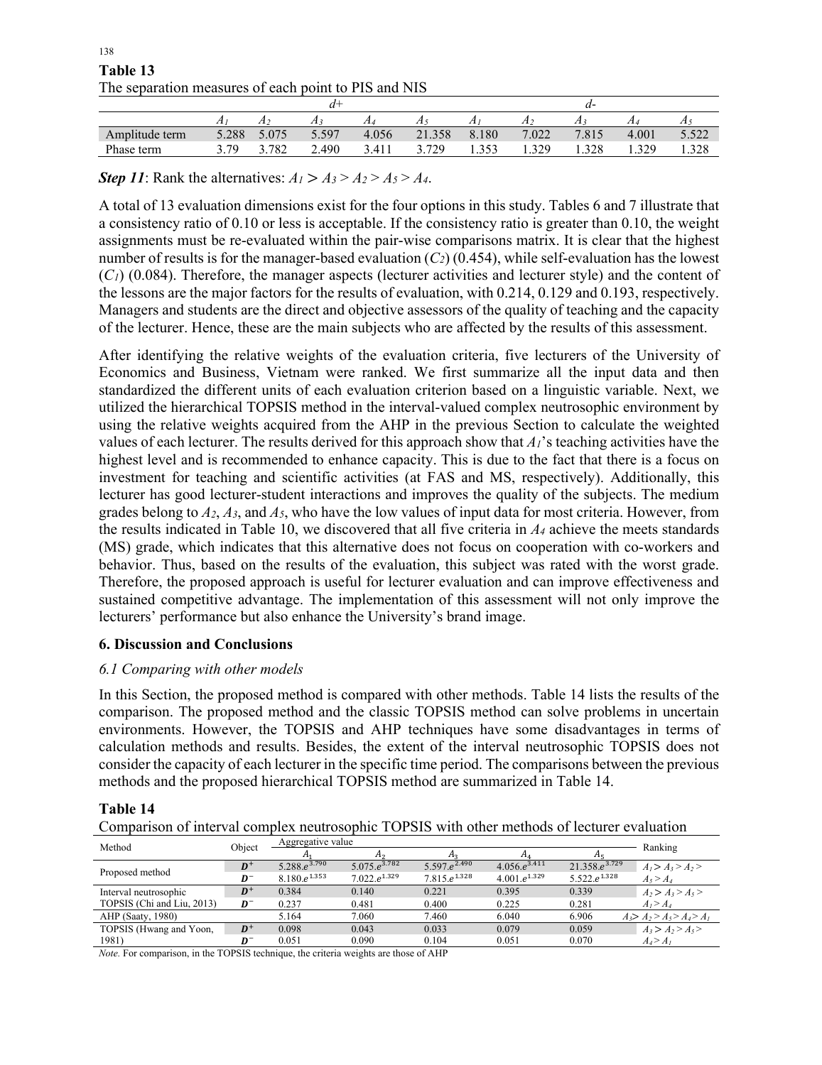| The separation measures or each point to TTD and TVD |       |       |       |       |        |       |       |       |       |       |
|------------------------------------------------------|-------|-------|-------|-------|--------|-------|-------|-------|-------|-------|
|                                                      |       |       |       |       |        |       |       |       |       |       |
|                                                      | 4     |       |       |       |        |       |       |       |       |       |
| Amplitude term                                       | 5.288 | 5.075 | 5.597 | 4.056 | 21.358 | 8.180 | 7.022 | 7.815 | 4.001 | 5.522 |
| Phase term                                           | 379   | 3.782 | 2.490 | 3.411 | 729    |       | .329  | .328  | .329  | .328  |

 138 **Table 13** The separation measures of each point to PIS and NIS

*Step 11*: Rank the alternatives:  $A_1 > A_3 > A_2 > A_5 > A_4$ .

A total of 13 evaluation dimensions exist for the four options in this study. Tables 6 and 7 illustrate that a consistency ratio of 0.10 or less is acceptable. If the consistency ratio is greater than 0.10, the weight assignments must be re-evaluated within the pair-wise comparisons matrix. It is clear that the highest number of results is for the manager-based evaluation  $(C_2)$  (0.454), while self-evaluation has the lowest (*C1*) (0.084). Therefore, the manager aspects (lecturer activities and lecturer style) and the content of the lessons are the major factors for the results of evaluation, with 0.214, 0.129 and 0.193, respectively. Managers and students are the direct and objective assessors of the quality of teaching and the capacity of the lecturer. Hence, these are the main subjects who are affected by the results of this assessment.

After identifying the relative weights of the evaluation criteria, five lecturers of the University of Economics and Business, Vietnam were ranked. We first summarize all the input data and then standardized the different units of each evaluation criterion based on a linguistic variable. Next, we utilized the hierarchical TOPSIS method in the interval-valued complex neutrosophic environment by using the relative weights acquired from the AHP in the previous Section to calculate the weighted values of each lecturer. The results derived for this approach show that *A1*'s teaching activities have the highest level and is recommended to enhance capacity. This is due to the fact that there is a focus on investment for teaching and scientific activities (at FAS and MS, respectively). Additionally, this lecturer has good lecturer-student interactions and improves the quality of the subjects. The medium grades belong to *A2*, *A3*, and *A5*, who have the low values of input data for most criteria. However, from the results indicated in Table 10, we discovered that all five criteria in  $A_4$  achieve the meets standards (MS) grade, which indicates that this alternative does not focus on cooperation with co-workers and behavior. Thus, based on the results of the evaluation, this subject was rated with the worst grade. Therefore, the proposed approach is useful for lecturer evaluation and can improve effectiveness and sustained competitive advantage. The implementation of this assessment will not only improve the lecturers' performance but also enhance the University's brand image.

### **6. Discussion and Conclusions**

### *6.1 Comparing with other models*

In this Section, the proposed method is compared with other methods. Table 14 lists the results of the comparison. The proposed method and the classic TOPSIS method can solve problems in uncertain environments. However, the TOPSIS and AHP techniques have some disadvantages in terms of calculation methods and results. Besides, the extent of the interval neutrosophic TOPSIS does not consider the capacity of each lecturer in the specific time period. The comparisons between the previous methods and the proposed hierarchical TOPSIS method are summarized in Table 14.

### **Table 14**

Comparison of interval complex neutrosophic TOPSIS with other methods of lecturer evaluation

| Method                     | Object | Aggregative value |                   |                          |                    |                         | Ranking                         |
|----------------------------|--------|-------------------|-------------------|--------------------------|--------------------|-------------------------|---------------------------------|
|                            |        |                   | А٥                |                          |                    | Aτ                      |                                 |
| Proposed method            | $D^+$  | $5.288.e^{3.790}$ | $5.075.e^{3.782}$ | $5.597.e^{2.490}$        | $4.056.e^{3.411}$  | $21.358.e^{3.729}$      | $A1 > A3 > A2 >$                |
|                            | $D^-$  | $8.180.e^{1.353}$ | $7.022.e^{1.329}$ | 7.815.e <sup>1.328</sup> | 4.001. $e^{1.329}$ | $5.522 \cdot e^{1.328}$ | $A_5 > A_4$                     |
| Interval neutrosophic      | $D^+$  | 0.384             | 0.140             | 0.221                    | 0.395              | 0.339                   | $A_2 > A_3 > A_5$               |
| TOPSIS (Chi and Liu, 2013) | $D^-$  | 0.237             | 0.481             | 0.400                    | 0.225              | 0.281                   | A <sub>1</sub> > A <sub>4</sub> |
| AHP (Saaty, 1980)          |        | 5.164             | 7.060             | 7.460                    | 6.040              | 6.906                   | $A_3 > A_2 > A_5 > A_4 > A_1$   |
| TOPSIS (Hwang and Yoon,    | $D^+$  | 0.098             | 0.043             | 0.033                    | 0.079              | 0.059                   | $A_3 > A_2 > A_5$               |
| 1981)                      | D-     | 0.051             | 0.090             | 0.104                    | 0.051              | 0.070                   | $A_4 > A_1$                     |

*Note.* For comparison, in the TOPSIS technique, the criteria weights are those of AHP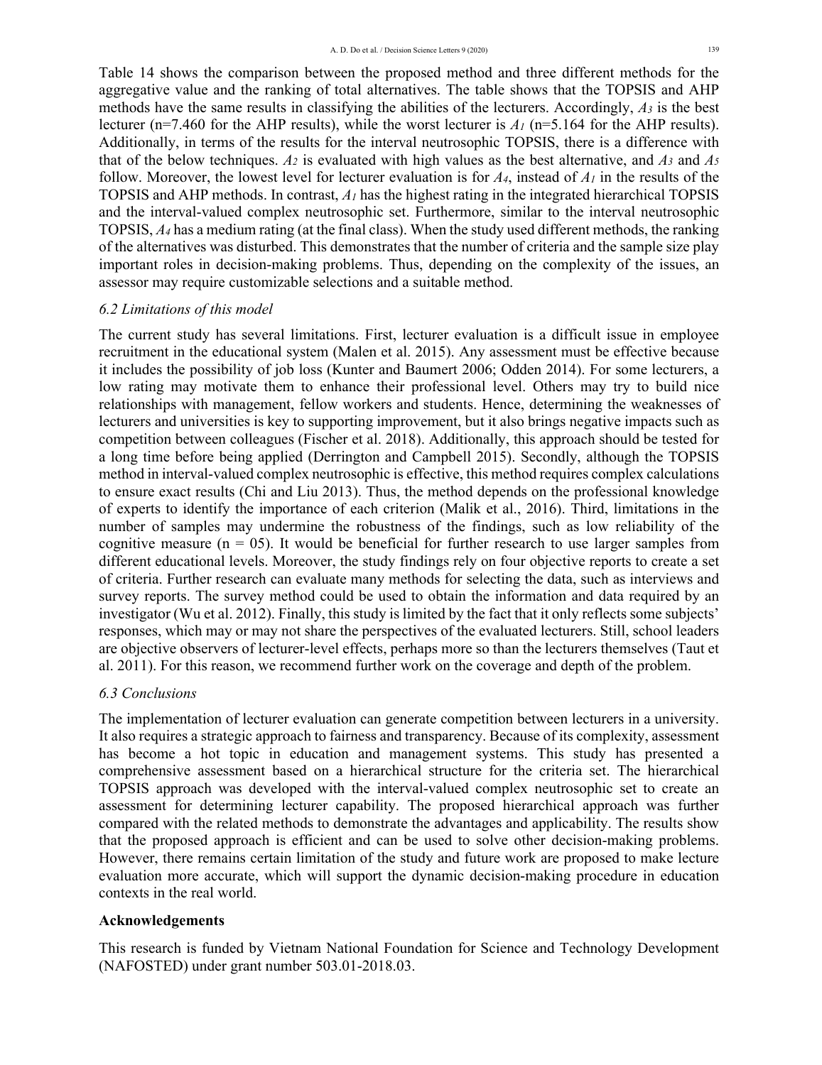Table 14 shows the comparison between the proposed method and three different methods for the aggregative value and the ranking of total alternatives. The table shows that the TOPSIS and AHP methods have the same results in classifying the abilities of the lecturers. Accordingly, *A3* is the best lecturer ( $n=7.460$  for the AHP results), while the worst lecturer is  $A_1$  ( $n=5.164$  for the AHP results). Additionally, in terms of the results for the interval neutrosophic TOPSIS, there is a difference with that of the below techniques.  $A_2$  is evaluated with high values as the best alternative, and  $A_3$  and  $A_5$ follow. Moreover, the lowest level for lecturer evaluation is for  $A_4$ , instead of  $A_1$  in the results of the TOPSIS and AHP methods. In contrast, *A1* has the highest rating in the integrated hierarchical TOPSIS and the interval-valued complex neutrosophic set. Furthermore, similar to the interval neutrosophic TOPSIS, *A4* has a medium rating (at the final class). When the study used different methods, the ranking of the alternatives was disturbed. This demonstrates that the number of criteria and the sample size play important roles in decision-making problems. Thus, depending on the complexity of the issues, an assessor may require customizable selections and a suitable method.

## *6.2 Limitations of this model*

The current study has several limitations. First, lecturer evaluation is a difficult issue in employee recruitment in the educational system (Malen et al. 2015). Any assessment must be effective because it includes the possibility of job loss (Kunter and Baumert 2006; Odden 2014). For some lecturers, a low rating may motivate them to enhance their professional level. Others may try to build nice relationships with management, fellow workers and students. Hence, determining the weaknesses of lecturers and universities is key to supporting improvement, but it also brings negative impacts such as competition between colleagues (Fischer et al. 2018). Additionally, this approach should be tested for a long time before being applied (Derrington and Campbell 2015). Secondly, although the TOPSIS method in interval-valued complex neutrosophic is effective, this method requires complex calculations to ensure exact results (Chi and Liu 2013). Thus, the method depends on the professional knowledge of experts to identify the importance of each criterion (Malik et al., 2016). Third, limitations in the number of samples may undermine the robustness of the findings, such as low reliability of the cognitive measure  $(n = 0.5)$ . It would be beneficial for further research to use larger samples from different educational levels. Moreover, the study findings rely on four objective reports to create a set of criteria. Further research can evaluate many methods for selecting the data, such as interviews and survey reports. The survey method could be used to obtain the information and data required by an investigator (Wu et al. 2012). Finally, this study is limited by the fact that it only reflects some subjects' responses, which may or may not share the perspectives of the evaluated lecturers. Still, school leaders are objective observers of lecturer-level effects, perhaps more so than the lecturers themselves (Taut et al. 2011). For this reason, we recommend further work on the coverage and depth of the problem.

## *6.3 Conclusions*

The implementation of lecturer evaluation can generate competition between lecturers in a university. It also requires a strategic approach to fairness and transparency. Because of its complexity, assessment has become a hot topic in education and management systems. This study has presented a comprehensive assessment based on a hierarchical structure for the criteria set. The hierarchical TOPSIS approach was developed with the interval-valued complex neutrosophic set to create an assessment for determining lecturer capability. The proposed hierarchical approach was further compared with the related methods to demonstrate the advantages and applicability. The results show that the proposed approach is efficient and can be used to solve other decision-making problems. However, there remains certain limitation of the study and future work are proposed to make lecture evaluation more accurate, which will support the dynamic decision-making procedure in education contexts in the real world.

## **Acknowledgements**

This research is funded by Vietnam National Foundation for Science and Technology Development (NAFOSTED) under grant number 503.01-2018.03.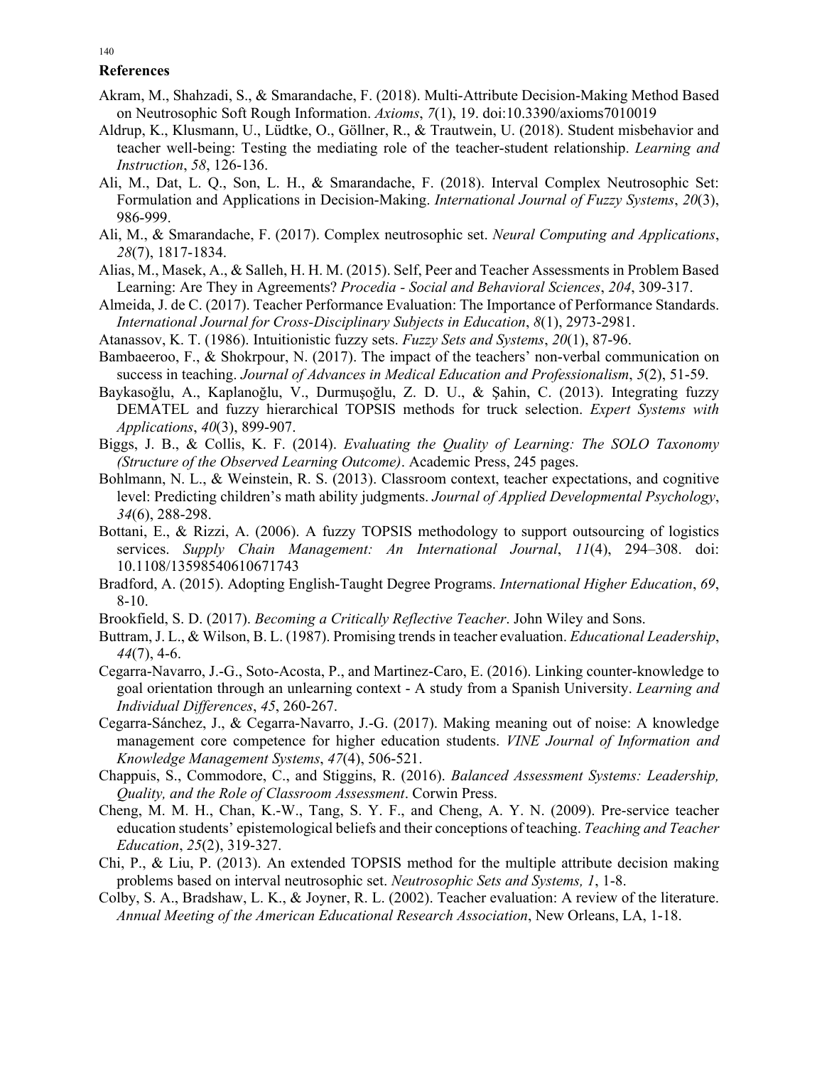### **References**

- Akram, M., Shahzadi, S., & Smarandache, F. (2018). Multi-Attribute Decision-Making Method Based on Neutrosophic Soft Rough Information. *Axioms*, *7*(1), 19. doi:10.3390/axioms7010019
- Aldrup, K., Klusmann, U., Lüdtke, O., Göllner, R., & Trautwein, U. (2018). Student misbehavior and teacher well-being: Testing the mediating role of the teacher-student relationship. *Learning and Instruction*, *58*, 126-136.
- Ali, M., Dat, L. Q., Son, L. H., & Smarandache, F. (2018). Interval Complex Neutrosophic Set: Formulation and Applications in Decision-Making. *International Journal of Fuzzy Systems*, *20*(3), 986-999.
- Ali, M., & Smarandache, F. (2017). Complex neutrosophic set. *Neural Computing and Applications*, *28*(7), 1817-1834.
- Alias, M., Masek, A., & Salleh, H. H. M. (2015). Self, Peer and Teacher Assessments in Problem Based Learning: Are They in Agreements? *Procedia - Social and Behavioral Sciences*, *204*, 309-317.
- Almeida, J. de C. (2017). Teacher Performance Evaluation: The Importance of Performance Standards. *International Journal for Cross-Disciplinary Subjects in Education*, *8*(1), 2973-2981.
- Atanassov, K. T. (1986). Intuitionistic fuzzy sets. *Fuzzy Sets and Systems*, *20*(1), 87-96.
- Bambaeeroo, F., & Shokrpour, N. (2017). The impact of the teachers' non-verbal communication on success in teaching. *Journal of Advances in Medical Education and Professionalism*, *5*(2), 51-59.
- Baykasoğlu, A., Kaplanoğlu, V., Durmuşoğlu, Z. D. U., & Şahin, C. (2013). Integrating fuzzy DEMATEL and fuzzy hierarchical TOPSIS methods for truck selection. *Expert Systems with Applications*, *40*(3), 899-907.
- Biggs, J. B., & Collis, K. F. (2014). *Evaluating the Quality of Learning: The SOLO Taxonomy (Structure of the Observed Learning Outcome)*. Academic Press, 245 pages.
- Bohlmann, N. L., & Weinstein, R. S. (2013). Classroom context, teacher expectations, and cognitive level: Predicting children's math ability judgments. *Journal of Applied Developmental Psychology*, *34*(6), 288-298.
- Bottani, E., & Rizzi, A. (2006). A fuzzy TOPSIS methodology to support outsourcing of logistics services. *Supply Chain Management: An International Journal*, *11*(4), 294–308. doi: 10.1108/13598540610671743
- Bradford, A. (2015). Adopting English-Taught Degree Programs. *International Higher Education*, *69*, 8-10.
- Brookfield, S. D. (2017). *Becoming a Critically Reflective Teacher*. John Wiley and Sons.
- Buttram, J. L., & Wilson, B. L. (1987). Promising trends in teacher evaluation. *Educational Leadership*, *44*(7), 4-6.
- Cegarra-Navarro, J.-G., Soto-Acosta, P., and Martinez-Caro, E. (2016). Linking counter-knowledge to goal orientation through an unlearning context - A study from a Spanish University. *Learning and Individual Differences*, *45*, 260-267.
- Cegarra-Sánchez, J., & Cegarra-Navarro, J.-G. (2017). Making meaning out of noise: A knowledge management core competence for higher education students. *VINE Journal of Information and Knowledge Management Systems*, *47*(4), 506-521.
- Chappuis, S., Commodore, C., and Stiggins, R. (2016). *Balanced Assessment Systems: Leadership, Quality, and the Role of Classroom Assessment*. Corwin Press.
- Cheng, M. M. H., Chan, K.-W., Tang, S. Y. F., and Cheng, A. Y. N. (2009). Pre-service teacher education students' epistemological beliefs and their conceptions of teaching. *Teaching and Teacher Education*, *25*(2), 319-327.
- Chi, P., & Liu, P. (2013). An extended TOPSIS method for the multiple attribute decision making problems based on interval neutrosophic set. *Neutrosophic Sets and Systems, 1*, 1-8.
- Colby, S. A., Bradshaw, L. K., & Joyner, R. L. (2002). Teacher evaluation: A review of the literature. *Annual Meeting of the American Educational Research Association*, New Orleans, LA, 1-18.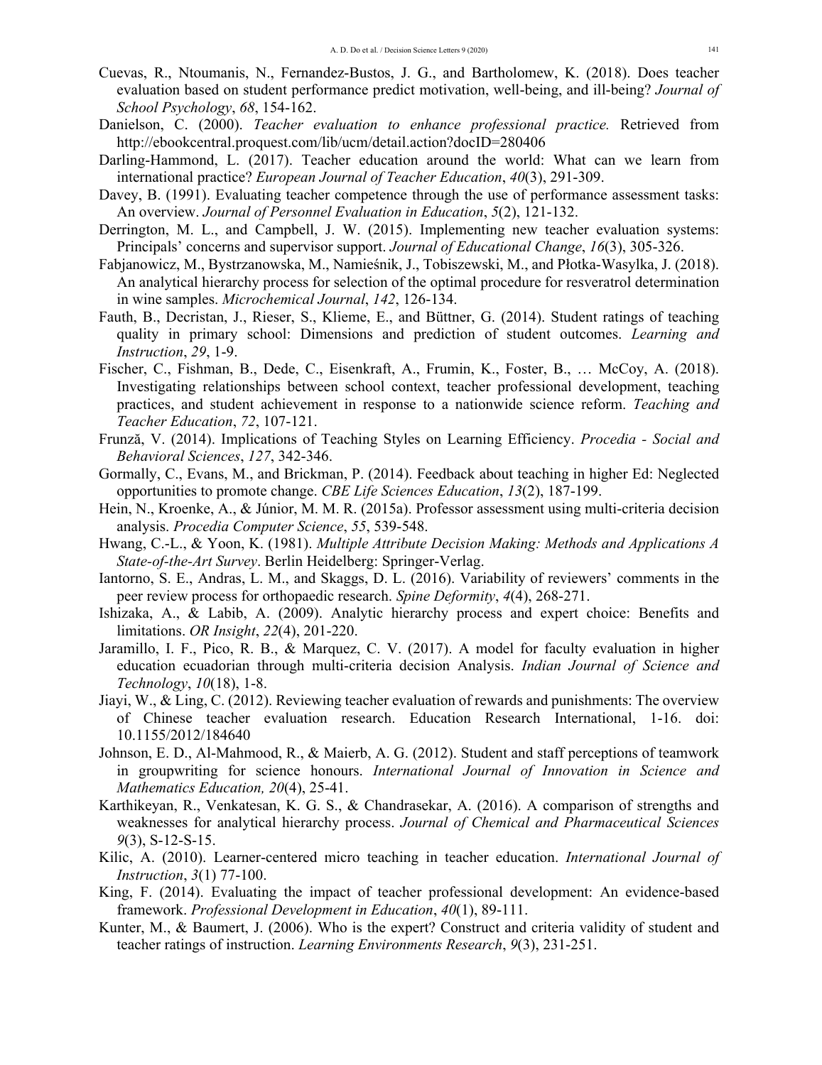- Cuevas, R., Ntoumanis, N., Fernandez-Bustos, J. G., and Bartholomew, K. (2018). Does teacher evaluation based on student performance predict motivation, well-being, and ill-being? *Journal of School Psychology*, *68*, 154-162.
- Danielson, C. (2000). *Teacher evaluation to enhance professional practice.* Retrieved from http://ebookcentral.proquest.com/lib/ucm/detail.action?docID=280406
- Darling-Hammond, L. (2017). Teacher education around the world: What can we learn from international practice? *European Journal of Teacher Education*, *40*(3), 291-309.
- Davey, B. (1991). Evaluating teacher competence through the use of performance assessment tasks: An overview. *Journal of Personnel Evaluation in Education*, *5*(2), 121-132.
- Derrington, M. L., and Campbell, J. W. (2015). Implementing new teacher evaluation systems: Principals' concerns and supervisor support. *Journal of Educational Change*, *16*(3), 305-326.
- Fabjanowicz, M., Bystrzanowska, M., Namieśnik, J., Tobiszewski, M., and Płotka-Wasylka, J. (2018). An analytical hierarchy process for selection of the optimal procedure for resveratrol determination in wine samples. *Microchemical Journal*, *142*, 126-134.
- Fauth, B., Decristan, J., Rieser, S., Klieme, E., and Büttner, G. (2014). Student ratings of teaching quality in primary school: Dimensions and prediction of student outcomes. *Learning and Instruction*, *29*, 1-9.
- Fischer, C., Fishman, B., Dede, C., Eisenkraft, A., Frumin, K., Foster, B., … McCoy, A. (2018). Investigating relationships between school context, teacher professional development, teaching practices, and student achievement in response to a nationwide science reform. *Teaching and Teacher Education*, *72*, 107-121.
- Frunză, V. (2014). Implications of Teaching Styles on Learning Efficiency. *Procedia Social and Behavioral Sciences*, *127*, 342-346.
- Gormally, C., Evans, M., and Brickman, P. (2014). Feedback about teaching in higher Ed: Neglected opportunities to promote change. *CBE Life Sciences Education*, *13*(2), 187-199.
- Hein, N., Kroenke, A., & Júnior, M. M. R. (2015a). Professor assessment using multi-criteria decision analysis. *Procedia Computer Science*, *55*, 539-548.
- Hwang, C.-L., & Yoon, K. (1981). *Multiple Attribute Decision Making: Methods and Applications A State-of-the-Art Survey*. Berlin Heidelberg: Springer-Verlag.
- Iantorno, S. E., Andras, L. M., and Skaggs, D. L. (2016). Variability of reviewers' comments in the peer review process for orthopaedic research. *Spine Deformity*, *4*(4), 268-271.
- Ishizaka, A., & Labib, A. (2009). Analytic hierarchy process and expert choice: Benefits and limitations. *OR Insight*, *22*(4), 201-220.
- Jaramillo, I. F., Pico, R. B., & Marquez, C. V. (2017). A model for faculty evaluation in higher education ecuadorian through multi-criteria decision Analysis. *Indian Journal of Science and Technology*, *10*(18), 1-8.
- Jiayi, W., & Ling, C. (2012). Reviewing teacher evaluation of rewards and punishments: The overview of Chinese teacher evaluation research. Education Research International, 1-16. doi: 10.1155/2012/184640
- Johnson, E. D., Al-Mahmood, R., & Maierb, A. G. (2012). Student and staff perceptions of teamwork in groupwriting for science honours. *International Journal of Innovation in Science and Mathematics Education, 20*(4), 25-41.
- Karthikeyan, R., Venkatesan, K. G. S., & Chandrasekar, A. (2016). A comparison of strengths and weaknesses for analytical hierarchy process. *Journal of Chemical and Pharmaceutical Sciences 9*(3), S-12-S-15.
- Kilic, A. (2010). Learner-centered micro teaching in teacher education. *International Journal of Instruction*, *3*(1) 77-100.
- King, F. (2014). Evaluating the impact of teacher professional development: An evidence-based framework. *Professional Development in Education*, *40*(1), 89-111.
- Kunter, M., & Baumert, J. (2006). Who is the expert? Construct and criteria validity of student and teacher ratings of instruction. *Learning Environments Research*, *9*(3), 231-251.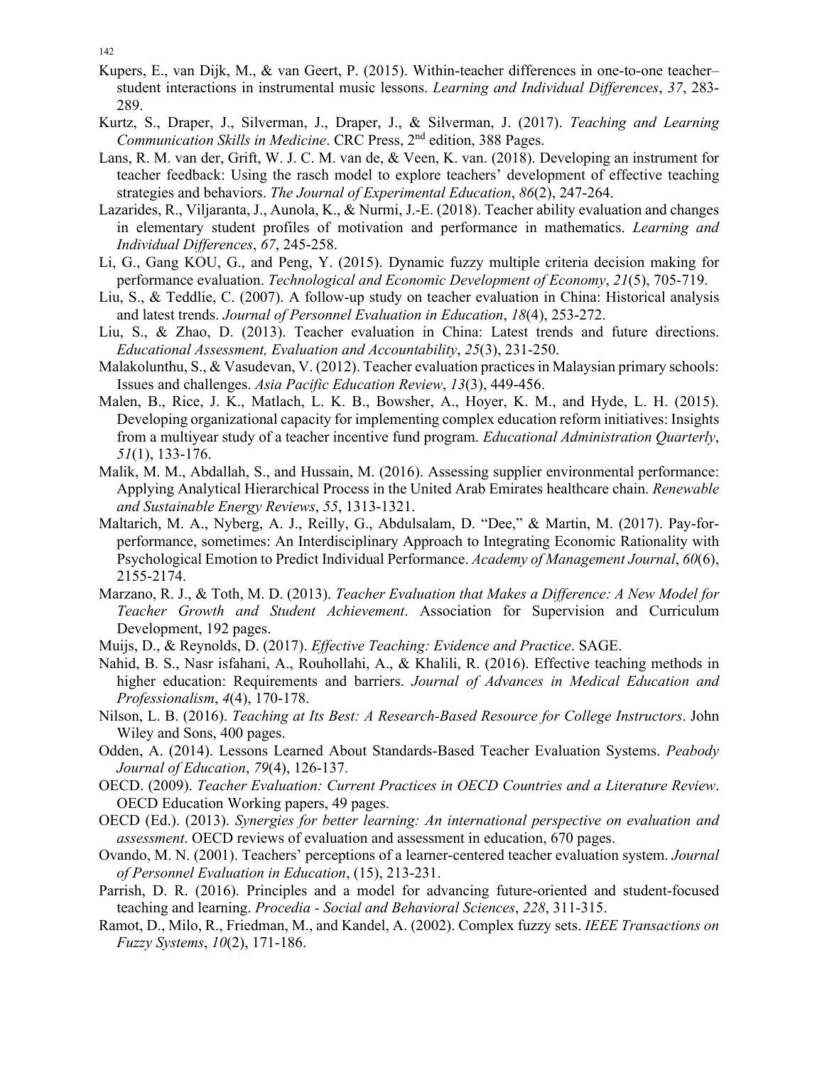- Kupers, E., van Dijk, M., & van Geert, P. (2015). Within-teacher differences in one-to-one teacher– student interactions in instrumental music lessons. *Learning and Individual Differences*, *37*, 283- 289.
- Kurtz, S., Draper, J., Silverman, J., Draper, J., & Silverman, J. (2017). *Teaching and Learning Communication Skills in Medicine*. CRC Press, 2nd edition, 388 Pages.
- Lans, R. M. van der, Grift, W. J. C. M. van de, & Veen, K. van. (2018). Developing an instrument for teacher feedback: Using the rasch model to explore teachers' development of effective teaching strategies and behaviors. *The Journal of Experimental Education*, *86*(2), 247-264.
- Lazarides, R., Viljaranta, J., Aunola, K., & Nurmi, J.-E. (2018). Teacher ability evaluation and changes in elementary student profiles of motivation and performance in mathematics. *Learning and Individual Differences*, *67*, 245-258.
- Li, G., Gang KOU, G., and Peng, Y. (2015). Dynamic fuzzy multiple criteria decision making for performance evaluation. *Technological and Economic Development of Economy*, *21*(5), 705-719.
- Liu, S., & Teddlie, C. (2007). A follow-up study on teacher evaluation in China: Historical analysis and latest trends. *Journal of Personnel Evaluation in Education*, *18*(4), 253-272.
- Liu, S., & Zhao, D. (2013). Teacher evaluation in China: Latest trends and future directions. *Educational Assessment, Evaluation and Accountability*, *25*(3), 231-250.
- Malakolunthu, S., & Vasudevan, V. (2012). Teacher evaluation practices in Malaysian primary schools: Issues and challenges. *Asia Pacific Education Review*, *13*(3), 449-456.
- Malen, B., Rice, J. K., Matlach, L. K. B., Bowsher, A., Hoyer, K. M., and Hyde, L. H. (2015). Developing organizational capacity for implementing complex education reform initiatives: Insights from a multiyear study of a teacher incentive fund program. *Educational Administration Quarterly*, *51*(1), 133-176.
- Malik, M. M., Abdallah, S., and Hussain, M. (2016). Assessing supplier environmental performance: Applying Analytical Hierarchical Process in the United Arab Emirates healthcare chain. *Renewable and Sustainable Energy Reviews*, *55*, 1313-1321.
- Maltarich, M. A., Nyberg, A. J., Reilly, G., Abdulsalam, D. "Dee," & Martin, M. (2017). Pay-forperformance, sometimes: An Interdisciplinary Approach to Integrating Economic Rationality with Psychological Emotion to Predict Individual Performance. *Academy of Management Journal*, *60*(6), 2155-2174.
- Marzano, R. J., & Toth, M. D. (2013). *Teacher Evaluation that Makes a Difference: A New Model for Teacher Growth and Student Achievement*. Association for Supervision and Curriculum Development, 192 pages.
- Muijs, D., & Reynolds, D. (2017). *Effective Teaching: Evidence and Practice*. SAGE.
- Nahid, B. S., Nasr isfahani, A., Rouhollahi, A., & Khalili, R. (2016). Effective teaching methods in higher education: Requirements and barriers. *Journal of Advances in Medical Education and Professionalism*, *4*(4), 170-178.
- Nilson, L. B. (2016). *Teaching at Its Best: A Research-Based Resource for College Instructors*. John Wiley and Sons, 400 pages.
- Odden, A. (2014). Lessons Learned About Standards-Based Teacher Evaluation Systems. *Peabody Journal of Education*, *79*(4), 126-137.
- OECD. (2009). *Teacher Evaluation: Current Practices in OECD Countries and a Literature Review*. OECD Education Working papers, 49 pages.
- OECD (Ed.). (2013). *Synergies for better learning: An international perspective on evaluation and assessment*. OECD reviews of evaluation and assessment in education, 670 pages.
- Ovando, M. N. (2001). Teachers' perceptions of a learner-centered teacher evaluation system. *Journal of Personnel Evaluation in Education*, (15), 213-231.
- Parrish, D. R. (2016). Principles and a model for advancing future-oriented and student-focused teaching and learning. *Procedia - Social and Behavioral Sciences*, *228*, 311-315.
- Ramot, D., Milo, R., Friedman, M., and Kandel, A. (2002). Complex fuzzy sets. *IEEE Transactions on Fuzzy Systems*, *10*(2), 171-186.

142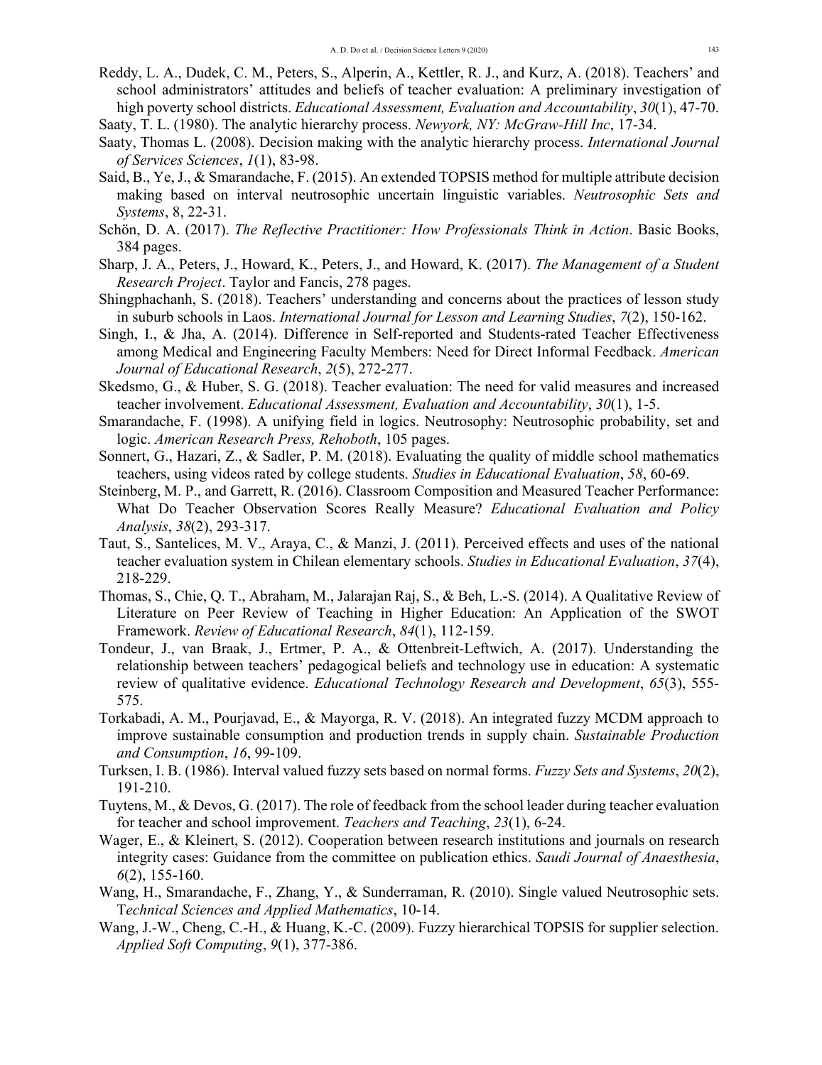- Reddy, L. A., Dudek, C. M., Peters, S., Alperin, A., Kettler, R. J., and Kurz, A. (2018). Teachers' and school administrators' attitudes and beliefs of teacher evaluation: A preliminary investigation of high poverty school districts. *Educational Assessment, Evaluation and Accountability*, *30*(1), 47-70.
- Saaty, T. L. (1980). The analytic hierarchy process. *Newyork, NY: McGraw-Hill Inc*, 17-34.
- Saaty, Thomas L. (2008). Decision making with the analytic hierarchy process. *International Journal of Services Sciences*, *1*(1), 83-98.
- Said, B., Ye, J., & Smarandache, F. (2015). An extended TOPSIS method for multiple attribute decision making based on interval neutrosophic uncertain linguistic variables. *Neutrosophic Sets and Systems*, 8, 22-31.
- Schön, D. A. (2017). *The Reflective Practitioner: How Professionals Think in Action*. Basic Books, 384 pages.
- Sharp, J. A., Peters, J., Howard, K., Peters, J., and Howard, K. (2017). *The Management of a Student Research Project*. Taylor and Fancis, 278 pages.
- Shingphachanh, S. (2018). Teachers' understanding and concerns about the practices of lesson study in suburb schools in Laos. *International Journal for Lesson and Learning Studies*, *7*(2), 150-162.
- Singh, I., & Jha, A. (2014). Difference in Self-reported and Students-rated Teacher Effectiveness among Medical and Engineering Faculty Members: Need for Direct Informal Feedback. *American Journal of Educational Research*, *2*(5), 272-277.
- Skedsmo, G., & Huber, S. G. (2018). Teacher evaluation: The need for valid measures and increased teacher involvement. *Educational Assessment, Evaluation and Accountability*, *30*(1), 1-5.
- Smarandache, F. (1998). A unifying field in logics. Neutrosophy: Neutrosophic probability, set and logic. *American Research Press, Rehoboth*, 105 pages.
- Sonnert, G., Hazari, Z., & Sadler, P. M. (2018). Evaluating the quality of middle school mathematics teachers, using videos rated by college students. *Studies in Educational Evaluation*, *58*, 60-69.
- Steinberg, M. P., and Garrett, R. (2016). Classroom Composition and Measured Teacher Performance: What Do Teacher Observation Scores Really Measure? *Educational Evaluation and Policy Analysis*, *38*(2), 293-317.
- Taut, S., Santelices, M. V., Araya, C., & Manzi, J. (2011). Perceived effects and uses of the national teacher evaluation system in Chilean elementary schools. *Studies in Educational Evaluation*, *37*(4), 218-229.
- Thomas, S., Chie, Q. T., Abraham, M., Jalarajan Raj, S., & Beh, L.-S. (2014). A Qualitative Review of Literature on Peer Review of Teaching in Higher Education: An Application of the SWOT Framework. *Review of Educational Research*, *84*(1), 112-159.
- Tondeur, J., van Braak, J., Ertmer, P. A., & Ottenbreit-Leftwich, A. (2017). Understanding the relationship between teachers' pedagogical beliefs and technology use in education: A systematic review of qualitative evidence. *Educational Technology Research and Development*, *65*(3), 555- 575.
- Torkabadi, A. M., Pourjavad, E., & Mayorga, R. V. (2018). An integrated fuzzy MCDM approach to improve sustainable consumption and production trends in supply chain. *Sustainable Production and Consumption*, *16*, 99-109.
- Turksen, I. B. (1986). Interval valued fuzzy sets based on normal forms. *Fuzzy Sets and Systems*, *20*(2), 191-210.
- Tuytens, M., & Devos, G. (2017). The role of feedback from the school leader during teacher evaluation for teacher and school improvement. *Teachers and Teaching*, *23*(1), 6-24.
- Wager, E., & Kleinert, S. (2012). Cooperation between research institutions and journals on research integrity cases: Guidance from the committee on publication ethics. *Saudi Journal of Anaesthesia*, *6*(2), 155-160.
- Wang, H., Smarandache, F., Zhang, Y., & Sunderraman, R. (2010). Single valued Neutrosophic sets. T*echnical Sciences and Applied Mathematics*, 10-14.
- Wang, J.-W., Cheng, C.-H., & Huang, K.-C. (2009). Fuzzy hierarchical TOPSIS for supplier selection. *Applied Soft Computing*, *9*(1), 377-386.